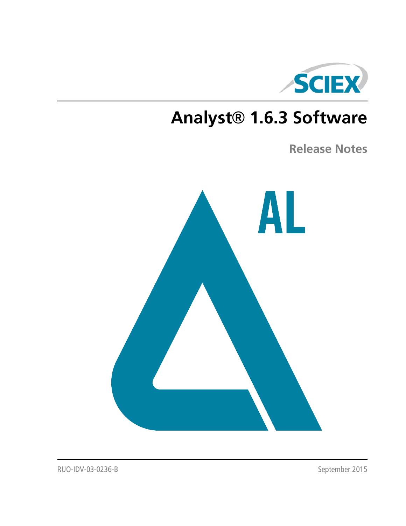

# **Analyst® 1.6.3 Software**

**Release Notes**



RUO-IDV-03-0236-B September 2015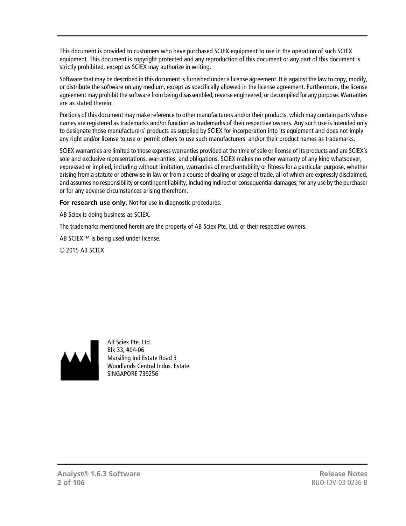This document is provided to customers who have purchased SCIEX equipment to use in the operation of such SCIEX equipment. This document is copyright protected and any reproduction of this document or any part of this document is strictly prohibited, except as SCIEX may authorize in writing.

Software that may be described in this document is furnished under a license agreement. It is against the law to copy, modify, or distribute the software on any medium, except as specifically allowed in the license agreement. Furthermore, the license agreement may prohibit the software from being disassembled, reverse engineered, or decompiled for any purpose. Warranties are as stated therein.

Portions of this document may make reference to other manufacturers and/or their products, which may contain parts whose names are registered as trademarks and/or function as trademarks of their respective owners. Any such use is intended only to designate those manufacturers' products as supplied by SCIEX for incorporation into its equipment and does not imply any right and/or license to use or permit others to use such manufacturers' and/or their product names as trademarks.

SCIEX warranties are limited to those express warranties provided at the time of sale or license of its products and are SCIEX's sole and exclusive representations, warranties, and obligations. SCIEX makes no other warranty of any kind whatsoever, expressed or implied, including without limitation, warranties of merchantability or fitness for a particular purpose, whether arising from a statute or otherwise in law or from a course of dealing or usage of trade, all of which are expressly disclaimed, and assumes no responsibility or contingent liability, including indirect or consequential damages, for any use by the purchaser or for any adverse circumstances arising therefrom.

**For research use only.** Not for use in diagnostic procedures.

AB Sciex is doing business as SCIEX.

The trademarks mentioned herein are the property of AB Sciex Pte. Ltd. or their respective owners.

AB SCIEX™ is being used under license.

© 2015 AB SCIEX



AB Sciex Pte. Ltd. Blk 33, #04-06 Marsiling Ind Estate Road 3 Woodlands Central Indus. Estate. SINGAPORE 739256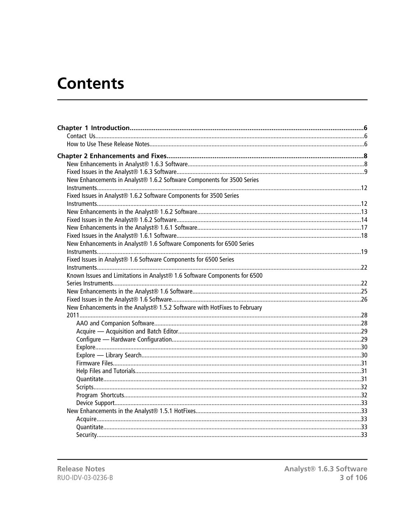# **Contents**

| New Enhancements in Analyst® 1.6.2 Software Components for 3500 Series    |  |
|---------------------------------------------------------------------------|--|
|                                                                           |  |
| Fixed Issues in Analyst® 1.6.2 Software Components for 3500 Series        |  |
|                                                                           |  |
|                                                                           |  |
|                                                                           |  |
|                                                                           |  |
|                                                                           |  |
| New Enhancements in Analyst® 1.6 Software Components for 6500 Series      |  |
|                                                                           |  |
| Fixed Issues in Analyst® 1.6 Software Components for 6500 Series          |  |
|                                                                           |  |
| Known Issues and Limitations in Analyst® 1.6 Software Components for 6500 |  |
|                                                                           |  |
|                                                                           |  |
|                                                                           |  |
| New Enhancements in the Analyst® 1.5.2 Software with HotFixes to February |  |
|                                                                           |  |
|                                                                           |  |
|                                                                           |  |
|                                                                           |  |
|                                                                           |  |
|                                                                           |  |
|                                                                           |  |
|                                                                           |  |
|                                                                           |  |
|                                                                           |  |
|                                                                           |  |
|                                                                           |  |
|                                                                           |  |
|                                                                           |  |
|                                                                           |  |
|                                                                           |  |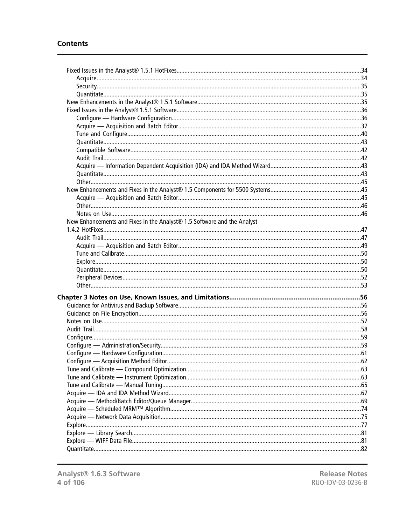#### **Contents**

| New Enhancements and Fixes in the Analyst® 1.5 Software and the Analyst |  |
|-------------------------------------------------------------------------|--|
|                                                                         |  |
|                                                                         |  |
|                                                                         |  |
|                                                                         |  |
|                                                                         |  |
|                                                                         |  |
|                                                                         |  |
|                                                                         |  |
|                                                                         |  |
|                                                                         |  |
|                                                                         |  |
|                                                                         |  |
|                                                                         |  |
|                                                                         |  |
|                                                                         |  |
|                                                                         |  |
|                                                                         |  |
|                                                                         |  |
|                                                                         |  |
|                                                                         |  |
|                                                                         |  |
|                                                                         |  |
|                                                                         |  |
|                                                                         |  |
|                                                                         |  |
|                                                                         |  |
|                                                                         |  |
|                                                                         |  |
|                                                                         |  |
|                                                                         |  |

**Release Notes** RUO-IDV-03-0236-B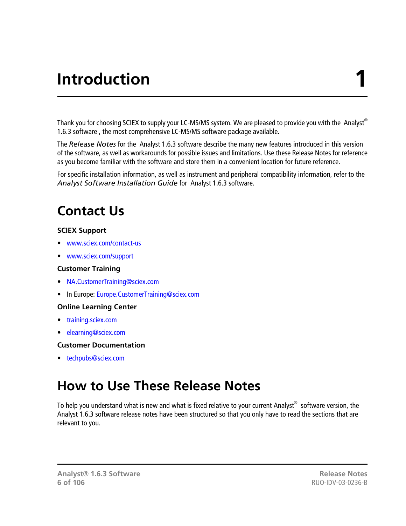# **Introduction 1**

<span id="page-5-0"></span>Thank you for choosing SCIEX to supply your LC-MS/MS system. We are pleased to provide you with the Analyst® 1.6.3 software , the most comprehensive LC-MS/MS software package available.

The *Release Notes* for the Analyst 1.6.3 software describe the many new features introduced in this version of the software, as well as workarounds for possible issues and limitations. Use these Release Notes for reference as you become familiar with the software and store them in a convenient location for future reference.

<span id="page-5-1"></span>For specific installation information, as well as instrument and peripheral compatibility information, refer to the *Analyst Software Installation Guide* for Analyst 1.6.3 software.

# **Contact Us**

# **SCIEX Support**

- [www.sciex.com/contact-us](http://sciex.com/about-us/contact-us)
- [www.sciex.com/support](http://sciex.com/support)

# **Customer Training**

- [NA.CustomerTraining@sciex.com](mailto:NA.CustomerTraining@sciex.com)
- In Europe: [Europe.CustomerTraining@sciex.com](mailto:Europe.CustomerTraining@sciex.com)

# **Online Learning Center**

- [training.sciex.com](http://training.sciex.com)
- [elearning@sciex.com](mailto:elearning@sciex.com)

# <span id="page-5-2"></span>**Customer Documentation**

• [techpubs@sciex.com](mailto:techpubs@sciex.com)

# **How to Use These Release Notes**

To help you understand what is new and what is fixed relative to your current Analyst $^\circledast$  software version, the Analyst 1.6.3 software release notes have been structured so that you only have to read the sections that are relevant to you.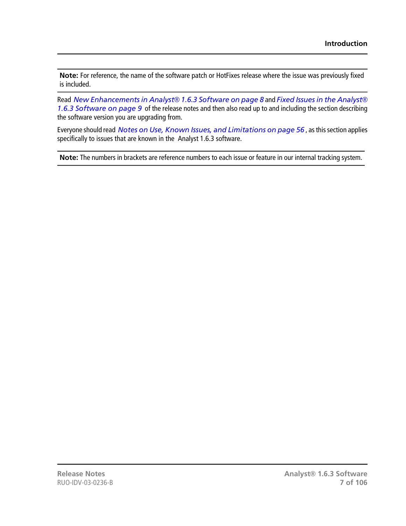**Note:** For reference, the name of the software patch or HotFixes release where the issue was previously fixed is included.

Read *[New Enhancements in Analyst](#page-7-1)® 1.6.3 Software on page 8* and *[Fixed Issues in the Analyst](#page-8-0)® [1.6.3 Software on page 9](#page-8-0)* of the release notes and then also read up to and including the section describing the software version you are upgrading from.

Everyone should read *[Notes on Use, Known Issues, and Limitations on page 56](#page-55-0)* , as this section applies specifically to issues that are known in the Analyst 1.6.3 software.

**Note:** The numbers in brackets are reference numbers to each issue or feature in our internal tracking system.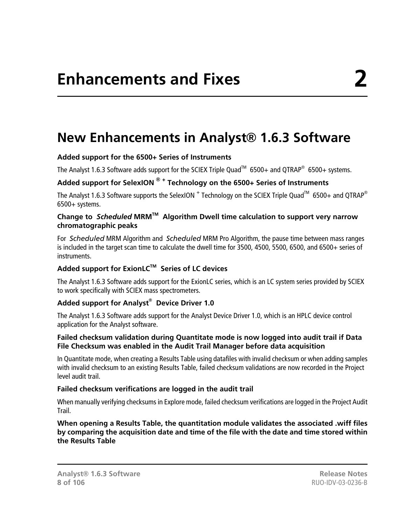# <span id="page-7-1"></span><span id="page-7-0"></span>**New Enhancements in Analyst® 1.6.3 Software**

# **Added support for the 6500+ Series of Instruments**

The Analyst 1.6.3 Software adds support for the SCIEX Triple Quad<sup>™</sup> 6500+ and QTRAP<sup>®</sup> 6500+ systems.

# **Added support for SelexION ® <sup>+</sup> Technology on the 6500+ Series of Instruments**

The Analyst 1.6.3 Software supports the SelexION  $^+$  Technology on the SCIEX Triple Quad<sup>TM</sup> 6500+ and QTRAP® 6500+ systems.

#### **Change to** *Scheduled* **MRMTM Algorithm Dwell time calculation to support very narrow chromatographic peaks**

For *Scheduled* MRM Algorithm and *Scheduled* MRM Pro Algorithm, the pause time between mass ranges is included in the target scan time to calculate the dwell time for 3500, 4500, 5500, 6500, and 6500+ series of instruments.

# **Added support for ExionLCTM Series of LC devices**

The Analyst 1.6.3 Software adds support for the ExionLC series, which is an LC system series provided by SCIEX to work specifically with SCIEX mass spectrometers.

# **Added support for Analyst® Device Driver 1.0**

The Analyst 1.6.3 Software adds support for the Analyst Device Driver 1.0, which is an HPLC device control application for the Analyst software.

# **Failed checksum validation during Quantitate mode is now logged into audit trail if Data File Checksum was enabled in the Audit Trail Manager before data acquisition**

In Quantitate mode, when creating a Results Table using datafiles with invalid checksum or when adding samples with invalid checksum to an existing Results Table, failed checksum validations are now recorded in the Project level audit trail.

# **Failed checksum verifications are logged in the audit trail**

When manually verifying checksums in Explore mode, failed checksum verifications are logged in the Project Audit Trail.

**When opening a Results Table, the quantitation module validates the associated .wiff files by comparing the acquisition date and time of the file with the date and time stored within the Results Table**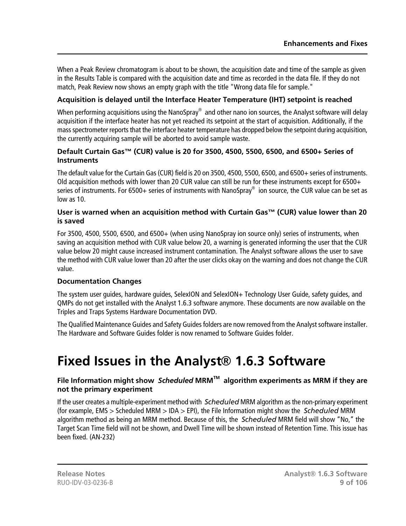When a Peak Review chromatogram is about to be shown, the acquisition date and time of the sample as given in the Results Table is compared with the acquisition date and time as recorded in the data file. If they do not match, Peak Review now shows an empty graph with the title "Wrong data file for sample."

# **Acquisition is delayed until the Interface Heater Temperature (IHT) setpoint is reached**

When performing acquisitions using the NanoSpray $^\circledast$  and other nano ion sources, the Analyst software will delay acquisition if the interface heater has not yet reached its setpoint at the start of acquisition. Additionally, if the mass spectrometer reports that the interface heater temperature has dropped below the setpoint during acquisition, the currently acquiring sample will be aborted to avoid sample waste.

# **Default Curtain Gas™ (CUR) value is 20 for 3500, 4500, 5500, 6500, and 6500+ Series of Instruments**

The default value for the Curtain Gas (CUR) field is 20 on 3500, 4500, 5500, 6500, and 6500+ series of instruments. Old acquisition methods with lower than 20 CUR value can still be run for these instruments except for 6500+ series of instruments. For 6500+ series of instruments with NanoSpray $^\circ$  ion source, the CUR value can be set as low as 10.

#### **User is warned when an acquisition method with Curtain Gas™ (CUR) value lower than 20 is saved**

For 3500, 4500, 5500, 6500, and 6500+ (when using NanoSpray ion source only) series of instruments, when saving an acquisition method with CUR value below 20, a warning is generated informing the user that the CUR value below 20 might cause increased instrument contamination. The Analyst software allows the user to save the method with CUR value lower than 20 after the user clicks okay on the warning and does not change the CUR value.

# **Documentation Changes**

The system user guides, hardware guides, SelexION and SelexION+ Technology User Guide, safety guides, and QMPs do not get installed with the Analyst 1.6.3 software anymore. These documents are now available on the Triples and Traps Systems Hardware Documentation DVD.

<span id="page-8-0"></span>The Qualified Maintenance Guides and Safety Guides folders are now removed from the Analyst software installer. The Hardware and Software Guides folder is now renamed to Software Guides folder.

# **Fixed Issues in the Analyst® 1.6.3 Software**

# **File Information might show** *Scheduled* **MRMTM algorithm experiments as MRM if they are not the primary experiment**

If the user creates a multiple-experiment method with *Scheduled* MRM algorithm as the non-primary experiment (for example, EMS > Scheduled MRM > IDA > EPI), the File Information might show the *Scheduled* MRM algorithm method as being an MRM method. Because of this, the *Scheduled* MRM field will show "No," the Target Scan Time field will not be shown, and Dwell Time will be shown instead of Retention Time. This issue has been fixed. (AN-232)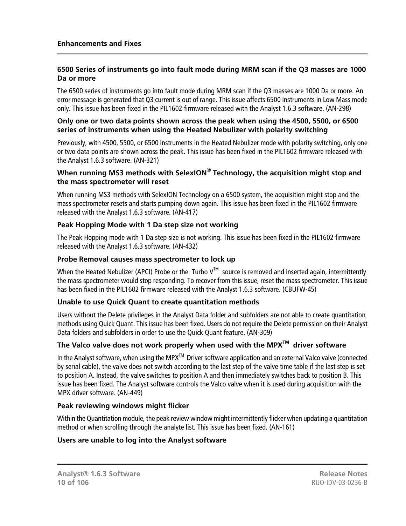#### **6500 Series of instruments go into fault mode during MRM scan if the Q3 masses are 1000 Da or more**

The 6500 series of instruments go into fault mode during MRM scan if the Q3 masses are 1000 Da or more. An error message is generated that Q3 current is out of range. This issue affects 6500 instruments in Low Mass mode only. This issue has been fixed in the PIL1602 firmware released with the Analyst 1.6.3 software. (AN-298)

#### **Only one or two data points shown across the peak when using the 4500, 5500, or 6500 series of instruments when using the Heated Nebulizer with polarity switching**

Previously, with 4500, 5500, or 6500 instruments in the Heated Nebulizer mode with polarity switching, only one or two data points are shown across the peak. This issue has been fixed in the PIL1602 firmware released with the Analyst 1.6.3 software. (AN-321)

# **When running MS3 methods with SelexION® Technology, the acquisition might stop and the mass spectrometer will reset**

When running MS3 methods with SelexION Technology on a 6500 system, the acquisition might stop and the mass spectrometer resets and starts pumping down again. This issue has been fixed in the PIL1602 firmware released with the Analyst 1.6.3 software. (AN-417)

# **Peak Hopping Mode with 1 Da step size not working**

The Peak Hopping mode with 1 Da step size is not working. This issue has been fixed in the PIL1602 firmware released with the Analyst 1.6.3 software. (AN-432)

#### **Probe Removal causes mass spectrometer to lock up**

When the Heated Nebulizer (APCI) Probe or the Turbo  $V^{TM}$  source is removed and inserted again, intermittently the mass spectrometer would stop responding. To recover from this issue, reset the mass spectrometer. This issue has been fixed in the PIL1602 firmware released with the Analyst 1.6.3 software. (CBUFW-45)

# **Unable to use Quick Quant to create quantitation methods**

Users without the Delete privileges in the Analyst Data folder and subfolders are not able to create quantitation methods using Quick Quant. This issue has been fixed. Users do not require the Delete permission on their Analyst Data folders and subfolders in order to use the Quick Quant feature. (AN-309)

# **The Valco valve does not work properly when used with the MPXTM driver software**

In the Analyst software, when using the MPX<sup>™</sup> Driver software application and an external Valco valve (connected by serial cable), the valve does not switch according to the last step of the valve time table if the last step is set to position A. Instead, the valve switches to position A and then immediately switches back to position B. This issue has been fixed. The Analyst software controls the Valco valve when it is used during acquisition with the MPX driver software. (AN-449)

# **Peak reviewing windows might flicker**

Within the Quantitation module, the peak review window might intermittently flicker when updating a quantitation method or when scrolling through the analyte list. This issue has been fixed. (AN-161)

# **Users are unable to log into the Analyst software**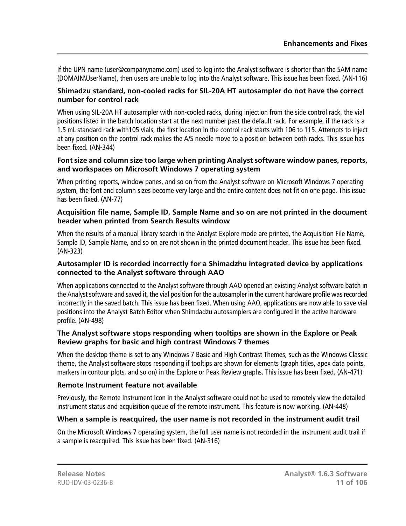If the UPN name (user@companyname.com) used to log into the Analyst software is shorter than the SAM name (DOMAIN\UserName), then users are unable to log into the Analyst software. This issue has been fixed. (AN-116)

#### **Shimadzu standard, non-cooled racks for SIL-20A HT autosampler do not have the correct number for control rack**

When using SIL-20A HT autosampler with non-cooled racks, during injection from the side control rack, the vial positions listed in the batch location start at the next number past the default rack. For example, if the rack is a 1.5 mL standard rack with105 vials, the first location in the control rack starts with 106 to 115. Attempts to inject at any position on the control rack makes the A/S needle move to a position between both racks. This issue has been fixed. (AN-344)

#### **Font size and column size too large when printing Analyst software window panes, reports, and workspaces on Microsoft Windows 7 operating system**

When printing reports, window panes, and so on from the Analyst software on Microsoft Windows 7 operating system, the font and column sizes become very large and the entire content does not fit on one page. This issue has been fixed. (AN-77)

#### **Acquisition file name, Sample ID, Sample Name and so on are not printed in the document header when printed from Search Results window**

When the results of a manual library search in the Analyst Explore mode are printed, the Acquisition File Name, Sample ID, Sample Name, and so on are not shown in the printed document header. This issue has been fixed. (AN-323)

#### **Autosampler ID is recorded incorrectly for a Shimadzhu integrated device by applications connected to the Analyst software through AAO**

When applications connected to the Analyst software through AAO opened an existing Analyst software batch in the Analyst software and saved it, the vial position for the autosampler in the current hardware profile was recorded incorrectly in the saved batch. This issue has been fixed. When using AAO, applications are now able to save vial positions into the Analyst Batch Editor when Shimdadzu autosamplers are configured in the active hardware profile. (AN-498)

#### **The Analyst software stops responding when tooltips are shown in the Explore or Peak Review graphs for basic and high contrast Windows 7 themes**

When the desktop theme is set to any Windows 7 Basic and High Contrast Themes, such as the Windows Classic theme, the Analyst software stops responding if tooltips are shown for elements (graph titles, apex data points, markers in contour plots, and so on) in the Explore or Peak Review graphs. This issue has been fixed. (AN-471)

# **Remote Instrument feature not available**

Previously, the Remote Instrument Icon in the Analyst software could not be used to remotely view the detailed instrument status and acquisition queue of the remote instrument. This feature is now working. (AN-448)

# **When a sample is reacquired, the user name is not recorded in the instrument audit trail**

On the Microsoft Windows 7 operating system, the full user name is not recorded in the instrument audit trail if a sample is reacquired. This issue has been fixed. (AN-316)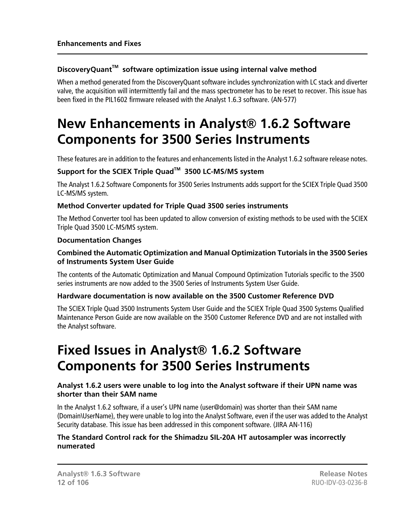# **DiscoveryQuantTM software optimization issue using internal valve method**

When a method generated from the DiscoveryQuant software includes synchronization with LC stack and diverter valve, the acquisition will intermittently fail and the mass spectrometer has to be reset to recover. This issue has been fixed in the PIL1602 firmware released with the Analyst 1.6.3 software. (AN-577)

# <span id="page-11-0"></span>**New Enhancements in Analyst® 1.6.2 Software Components for 3500 Series Instruments**

These features are in addition to the features and enhancements listed in the Analyst 1.6.2 software release notes.

# **Support for the SCIEX Triple QuadTM 3500 LC-MS/MS system**

The Analyst 1.6.2 Software Components for 3500 Series Instruments adds support for the SCIEX Triple Quad 3500 LC-MS/MS system.

# **Method Converter updated for Triple Quad 3500 series instruments**

The Method Converter tool has been updated to allow conversion of existing methods to be used with the SCIEX Triple Quad 3500 LC-MS/MS system.

#### **Documentation Changes**

# **Combined the Automatic Optimization and Manual Optimization Tutorials in the 3500 Series of Instruments System User Guide**

The contents of the Automatic Optimization and Manual Compound Optimization Tutorials specific to the 3500 series instruments are now added to the 3500 Series of Instruments System User Guide.

# **Hardware documentation is now available on the 3500 Customer Reference DVD**

<span id="page-11-1"></span>The SCIEX Triple Quad 3500 Instruments System User Guide and the SCIEX Triple Quad 3500 Systems Qualified Maintenance Person Guide are now available on the 3500 Customer Reference DVD and are not installed with the Analyst software.

# **Fixed Issues in Analyst® 1.6.2 Software Components for 3500 Series Instruments**

# **Analyst 1.6.2 users were unable to log into the Analyst software if their UPN name was shorter than their SAM name**

In the Analyst 1.6.2 software, if a user's UPN name (user@domain) was shorter than their SAM name (Domain\UserName), they were unable to log into the Analyst Software, even if the user was added to the Analyst Security database. This issue has been addressed in this component software. (JIRA AN-116)

# **The Standard Control rack for the Shimadzu SIL-20A HT autosampler was incorrectly numerated**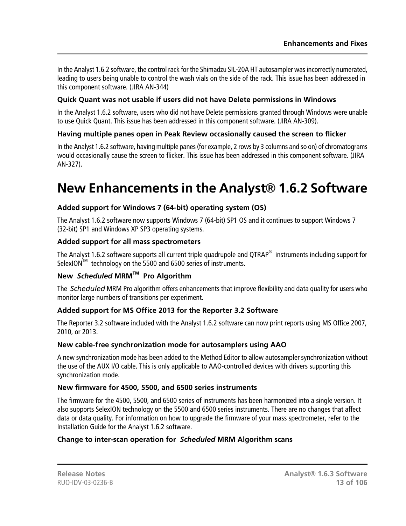In the Analyst 1.6.2 software, the control rack for the Shimadzu SIL-20A HT autosampler was incorrectly numerated, leading to users being unable to control the wash vials on the side of the rack. This issue has been addressed in this component software. (JIRA AN-344)

# **Quick Quant was not usable if users did not have Delete permissions in Windows**

In the Analyst 1.6.2 software, users who did not have Delete permissions granted through Windows were unable to use Quick Quant. This issue has been addressed in this component software. (JIRA AN-309).

# **Having multiple panes open in Peak Review occasionally caused the screen to flicker**

In the Analyst 1.6.2 software, having multiple panes (for example, 2 rows by 3 columns and so on) of chromatograms would occasionally cause the screen to flicker. This issue has been addressed in this component software. (JIRA AN-327).

# <span id="page-12-0"></span>**New Enhancements in the Analyst® 1.6.2 Software**

# **Added support for Windows 7 (64-bit) operating system (OS)**

The Analyst 1.6.2 software now supports Windows 7 (64-bit) SP1 OS and it continues to support Windows 7 (32-bit) SP1 and Windows XP SP3 operating systems.

# **Added support for all mass spectrometers**

The Analyst 1.6.2 software supports all current triple quadrupole and QTRAP $^{\circledast}$  instruments including support for SelexION<sup>™</sup> technology on the 5500 and 6500 series of instruments.

# **New** *Scheduled* **MRMTM Pro Algorithm**

The *Scheduled* MRM Pro algorithm offers enhancements that improve flexibility and data quality for users who monitor large numbers of transitions per experiment.

# **Added support for MS Office 2013 for the Reporter 3.2 Software**

The Reporter 3.2 software included with the Analyst 1.6.2 software can now print reports using MS Office 2007, 2010, or 2013.

# **New cable-free synchronization mode for autosamplers using AAO**

A new synchronization mode has been added to the Method Editor to allow autosampler synchronization without the use of the AUX I/O cable. This is only applicable to AAO-controlled devices with drivers supporting this synchronization mode.

# **New firmware for 4500, 5500, and 6500 series instruments**

The firmware for the 4500, 5500, and 6500 series of instruments has been harmonized into a single version. It also supports SelexION technology on the 5500 and 6500 series instruments. There are no changes that affect data or data quality. For information on how to upgrade the firmware of your mass spectrometer, refer to the Installation Guide for the Analyst 1.6.2 software.

# **Change to inter-scan operation for** *Scheduled* **MRM Algorithm scans**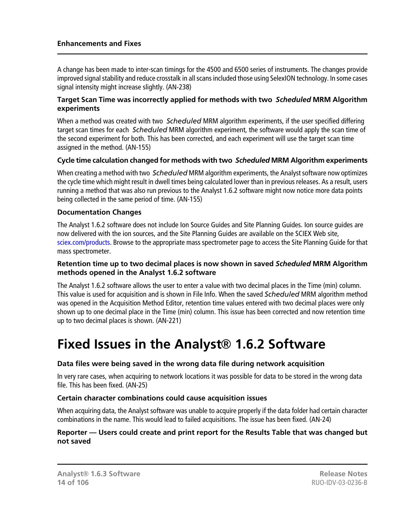A change has been made to inter-scan timings for the 4500 and 6500 series of instruments. The changes provide improved signal stability and reduce crosstalk in all scans included those using SelexION technology. In some cases signal intensity might increase slightly. (AN-238)

#### **Target Scan Time was incorrectly applied for methods with two** *Scheduled* **MRM Algorithm experiments**

When a method was created with two *Scheduled* MRM algorithm experiments, if the user specified differing target scan times for each *Scheduled* MRM algorithm experiment, the software would apply the scan time of the second experiment for both. This has been corrected, and each experiment will use the target scan time assigned in the method. (AN-155)

# **Cycle time calculation changed for methods with two** *Scheduled* **MRM Algorithm experiments**

When creating a method with two *Scheduled* MRM algorithm experiments, the Analyst software now optimizes the cycle time which might result in dwell times being calculated lower than in previous releases. As a result, users running a method that was also run previous to the Analyst 1.6.2 software might now notice more data points being collected in the same period of time. (AN-155)

# **Documentation Changes**

The Analyst 1.6.2 software does not include Ion Source Guides and Site Planning Guides. Ion source guides are now delivered with the ion sources, and the Site Planning Guides are available on the SCIEX Web site, [sciex.com/products.](http://sciex.com/products) Browse to the appropriate mass spectrometer page to access the Site Planning Guide for that mass spectrometer.

#### **Retention time up to two decimal places is now shown in saved** *Scheduled* **MRM Algorithm methods opened in the Analyst 1.6.2 software**

<span id="page-13-0"></span>The Analyst 1.6.2 software allows the user to enter a value with two decimal places in the Time (min) column. This value is used for acquisition and is shown in File Info. When the saved *Scheduled* MRM algorithm method was opened in the Acquisition Method Editor, retention time values entered with two decimal places were only shown up to one decimal place in the Time (min) column. This issue has been corrected and now retention time up to two decimal places is shown. (AN-221)

# **Fixed Issues in the Analyst® 1.6.2 Software**

# **Data files were being saved in the wrong data file during network acquisition**

In very rare cases, when acquiring to network locations it was possible for data to be stored in the wrong data file. This has been fixed. (AN-25)

# **Certain character combinations could cause acquisition issues**

When acquiring data, the Analyst software was unable to acquire properly if the data folder had certain character combinations in the name. This would lead to failed acquisitions. The issue has been fixed. (AN-24)

#### **Reporter — Users could create and print report for the Results Table that was changed but not saved**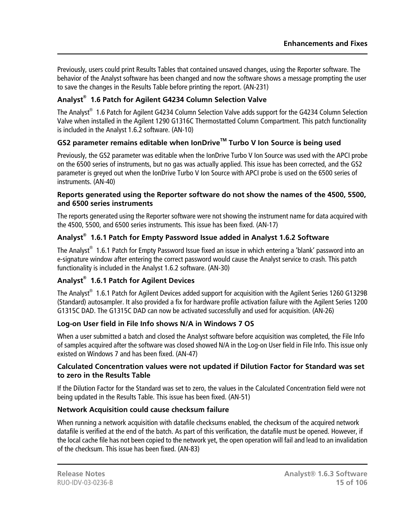Previously, users could print Results Tables that contained unsaved changes, using the Reporter software. The behavior of the Analyst software has been changed and now the software shows a message prompting the user to save the changes in the Results Table before printing the report. (AN-231)

# **Analyst® 1.6 Patch for Agilent G4234 Column Selection Valve**

The Analyst $^\circledast$  1.6 Patch for Agilent G4234 Column Selection Valve adds support for the G4234 Column Selection Valve when installed in the Agilent 1290 G1316C Thermostatted Column Compartment. This patch functionality is included in the Analyst 1.6.2 software. (AN-10)

# **GS2 parameter remains editable when IonDriveTM Turbo V Ion Source is being used**

Previously, the GS2 parameter was editable when the IonDrive Turbo V Ion Source was used with the APCI probe on the 6500 series of instruments, but no gas was actually applied. This issue has been corrected, and the GS2 parameter is greyed out when the IonDrive Turbo V Ion Source with APCI probe is used on the 6500 series of instruments. (AN-40)

# **Reports generated using the Reporter software do not show the names of the 4500, 5500, and 6500 series instruments**

The reports generated using the Reporter software were not showing the instrument name for data acquired with the 4500, 5500, and 6500 series instruments. This issue has been fixed. (AN-17)

# **Analyst® 1.6.1 Patch for Empty Password Issue added in Analyst 1.6.2 Software**

The Analyst $^{\circledast}$  1.6.1 Patch for Empty Password Issue fixed an issue in which entering a 'blank' password into an e-signature window after entering the correct password would cause the Analyst service to crash. This patch functionality is included in the Analyst 1.6.2 software. (AN-30)

# **Analyst® 1.6.1 Patch for Agilent Devices**

The Analyst $^\circ$  1.6.1 Patch for Agilent Devices added support for acquisition with the Agilent Series 1260 G1329B (Standard) autosampler. It also provided a fix for hardware profile activation failure with the Agilent Series 1200 G1315C DAD. The G1315C DAD can now be activated successfully and used for acquisition. (AN-26)

# **Log-on User field in File Info shows N/A in Windows 7 OS**

When a user submitted a batch and closed the Analyst software before acquisition was completed, the File Info of samples acquired after the software was closed showed N/A in the Log-on User field in File Info. This issue only existed on Windows 7 and has been fixed. (AN-47)

# **Calculated Concentration values were not updated if Dilution Factor for Standard was set to zero in the Results Table**

If the Dilution Factor for the Standard was set to zero, the values in the Calculated Concentration field were not being updated in the Results Table. This issue has been fixed. (AN-51)

# **Network Acquisition could cause checksum failure**

When running a network acquisition with datafile checksums enabled, the checksum of the acquired network datafile is verified at the end of the batch. As part of this verification, the datafile must be opened. However, if the local cache file has not been copied to the network yet, the open operation will fail and lead to an invalidation of the checksum. This issue has been fixed. (AN-83)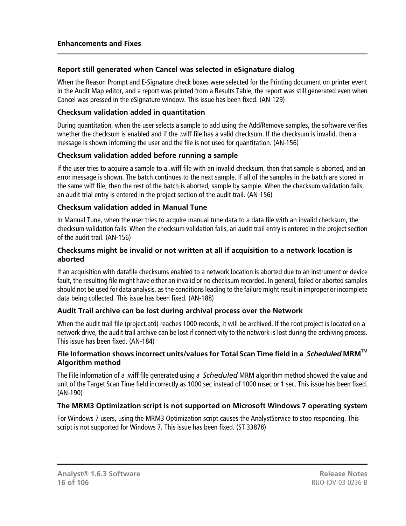# **Report still generated when Cancel was selected in eSignature dialog**

When the Reason Prompt and E-Signature check boxes were selected for the Printing document on printer event in the Audit Map editor, and a report was printed from a Results Table, the report was still generated even when Cancel was pressed in the eSignature window. This issue has been fixed. (AN-129)

#### **Checksum validation added in quantitation**

During quantitation, when the user selects a sample to add using the Add/Remove samples, the software verifies whether the checksum is enabled and if the .wiff file has a valid checksum. If the checksum is invalid, then a message is shown informing the user and the file is not used for quantitation. (AN-156)

# **Checksum validation added before running a sample**

If the user tries to acquire a sample to a .wiff file with an invalid checksum, then that sample is aborted, and an error message is shown. The batch continues to the next sample. If all of the samples in the batch are stored in the same wiff file, then the rest of the batch is aborted, sample by sample. When the checksum validation fails, an audit trial entry is entered in the project section of the audit trail. (AN-156)

#### **Checksum validation added in Manual Tune**

In Manual Tune, when the user tries to acquire manual tune data to a data file with an invalid checksum, the checksum validation fails. When the checksum validation fails, an audit trail entry is entered in the project section of the audit trail. (AN-156)

#### **Checksums might be invalid or not written at all if acquisition to a network location is aborted**

If an acquisition with datafile checksums enabled to a network location is aborted due to an instrument or device fault, the resulting file might have either an invalid or no checksum recorded. In general, failed or aborted samples should not be used for data analysis, as the conditions leading to the failure might result in improper or incomplete data being collected. This issue has been fixed. (AN-188)

# **Audit Trail archive can be lost during archival process over the Network**

When the audit trail file (project.atd) reaches 1000 records, it will be archived. If the root project is located on a network drive, the audit trail archive can be lost if connectivity to the network is lost during the archiving process. This issue has been fixed. (AN-184)

#### **File Information shows incorrect units/values for Total Scan Time field in a** *Scheduled* **MRMTM Algorithm method**

The File Information of a .wiff file generated using a *Scheduled* MRM algorithm method showed the value and unit of the Target Scan Time field incorrectly as 1000 sec instead of 1000 msec or 1 sec. This issue has been fixed. (AN-190)

# **The MRM3 Optimization script is not supported on Microsoft Windows 7 operating system**

For Windows 7 users, using the MRM3 Optimization script causes the AnalystService to stop responding. This script is not supported for Windows 7. This issue has been fixed. (ST 33878)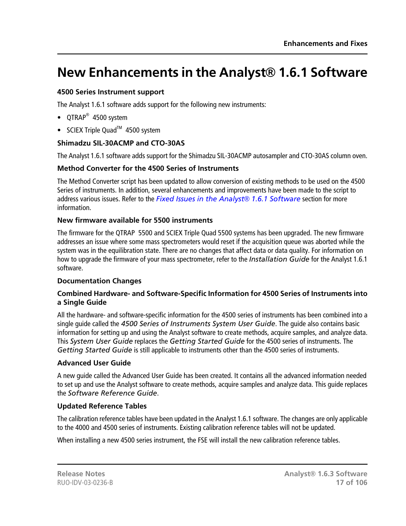# <span id="page-16-0"></span>**New Enhancements in the Analyst® 1.6.1 Software**

# **4500 Series Instrument support**

The Analyst 1.6.1 software adds support for the following new instruments:

- QTRAP<sup>®</sup> 4500 system
- SCIEX Triple Quad<sup>™</sup> 4500 system

# **Shimadzu SIL-30ACMP and CTO-30AS**

The Analyst 1.6.1 software adds support for the Shimadzu SIL-30ACMP autosampler and CTO-30AS column oven.

# **Method Converter for the 4500 Series of Instruments**

The Method Converter script has been updated to allow conversion of existing methods to be used on the 4500 Series of instruments. In addition, several enhancements and improvements have been made to the script to address various issues. Refer to the *[Fixed Issues in the Analyst](#page-17-0)® 1.6.1 Software* section for more information.

# **New firmware available for 5500 instruments**

The firmware for the QTRAP 5500 and SCIEX Triple Quad 5500 systems has been upgraded. The new firmware addresses an issue where some mass spectrometers would reset if the acquisition queue was aborted while the system was in the equilibration state. There are no changes that affect data or data quality. For information on how to upgrade the firmware of your mass spectrometer, refer to the *Installation Guide* for the Analyst 1.6.1 software.

# **Documentation Changes**

#### **Combined Hardware- and Software-Specific Information for 4500 Series of Instruments into a Single Guide**

All the hardware- and software-specific information for the 4500 series of instruments has been combined into a single guide called the *4500 Series of Instruments System User Guide*. The guide also contains basic information for setting up and using the Analyst software to create methods, acquire samples, and analyze data. This *System User Guide* replaces the *Getting Started Guide* for the 4500 series of instruments. The *Getting Started Guide* is still applicable to instruments other than the 4500 series of instruments.

# **Advanced User Guide**

A new guide called the Advanced User Guide has been created. It contains all the advanced information needed to set up and use the Analyst software to create methods, acquire samples and analyze data. This guide replaces the *Software Reference Guide*.

# **Updated Reference Tables**

The calibration reference tables have been updated in the Analyst 1.6.1 software. The changes are only applicable to the 4000 and 4500 series of instruments. Existing calibration reference tables will not be updated.

When installing a new 4500 series instrument, the FSE will install the new calibration reference tables.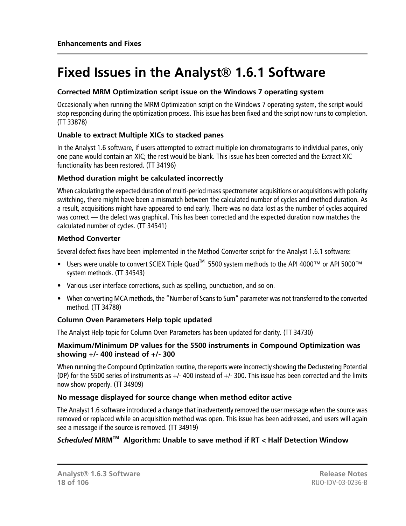# <span id="page-17-0"></span>**Fixed Issues in the Analyst® 1.6.1 Software**

# **Corrected MRM Optimization script issue on the Windows 7 operating system**

Occasionally when running the MRM Optimization script on the Windows 7 operating system, the script would stop responding during the optimization process. This issue has been fixed and the script now runs to completion. (TT 33878)

# **Unable to extract Multiple XICs to stacked panes**

In the Analyst 1.6 software, if users attempted to extract multiple ion chromatograms to individual panes, only one pane would contain an XIC; the rest would be blank. This issue has been corrected and the Extract XIC functionality has been restored. (TT 34196)

# **Method duration might be calculated incorrectly**

When calculating the expected duration of multi-period mass spectrometer acquisitions or acquisitions with polarity switching, there might have been a mismatch between the calculated number of cycles and method duration. As a result, acquisitions might have appeared to end early. There was no data lost as the number of cycles acquired was correct — the defect was graphical. This has been corrected and the expected duration now matches the calculated number of cycles. (TT 34541)

# **Method Converter**

Several defect fixes have been implemented in the Method Converter script for the Analyst 1.6.1 software:

- Users were unable to convert SCIEX Triple Quad<sup>™</sup> 5500 system methods to the API 4000™ or API 5000™ system methods. (TT 34543)
- Various user interface corrections, such as spelling, punctuation, and so on.
- When converting MCA methods, the "Number of Scans to Sum" parameter was not transferred to the converted method. (TT 34788)

# **Column Oven Parameters Help topic updated**

The Analyst Help topic for Column Oven Parameters has been updated for clarity. (TT 34730)

#### **Maximum/Minimum DP values for the 5500 instruments in Compound Optimization was showing +/- 400 instead of +/- 300**

When running the Compound Optimization routine, the reports were incorrectly showing the Declustering Potential (DP) for the 5500 series of instruments as +/- 400 instead of +/- 300. This issue has been corrected and the limits now show properly. (TT 34909)

# **No message displayed for source change when method editor active**

The Analyst 1.6 software introduced a change that inadvertently removed the user message when the source was removed or replaced while an acquisition method was open. This issue has been addressed, and users will again see a message if the source is removed. (TT 34919)

# *Scheduled* **MRMTM Algorithm: Unable to save method if RT < Half Detection Window**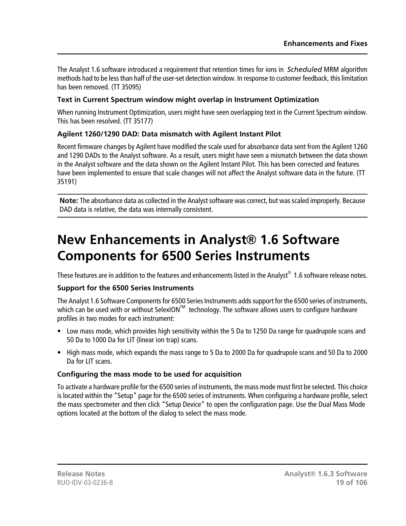The Analyst 1.6 software introduced a requirement that retention times for ions in *Scheduled* MRM algorithm methods had to be less than half of the user-set detection window. In response to customer feedback, this limitation has been removed. (TT 35095)

# **Text in Current Spectrum window might overlap in Instrument Optimization**

When running Instrument Optimization, users might have seen overlapping text in the Current Spectrum window. This has been resolved. (TT 35177)

# **Agilent 1260/1290 DAD: Data mismatch with Agilent Instant Pilot**

Recent firmware changes by Agilent have modified the scale used for absorbance data sent from the Agilent 1260 and 1290 DADs to the Analyst software. As a result, users might have seen a mismatch between the data shown in the Analyst software and the data shown on the Agilent Instant Pilot. This has been corrected and features have been implemented to ensure that scale changes will not affect the Analyst software data in the future. (TT 35191)

<span id="page-18-0"></span>**Note:** The absorbance data as collected in the Analyst software was correct, but was scaled improperly. Because DAD data is relative, the data was internally consistent.

# **New Enhancements in Analyst® 1.6 Software Components for 6500 Series Instruments**

These features are in addition to the features and enhancements listed in the Analyst $^\circledR$  1.6 software release notes.

# **Support for the 6500 Series Instruments**

The Analyst 1.6 Software Components for 6500 Series Instruments adds support for the 6500 series of instruments, which can be used with or without SelexION<sup>TM</sup> technology. The software allows users to configure hardware profiles in two modes for each instrument:

- Low mass mode, which provides high sensitivity within the 5 Da to 1250 Da range for quadrupole scans and 50 Da to 1000 Da for LIT (linear ion trap) scans.
- High mass mode, which expands the mass range to 5 Da to 2000 Da for quadrupole scans and 50 Da to 2000 Da for LIT scans.

# **Configuring the mass mode to be used for acquisition**

To activate a hardware profile for the 6500 series of instruments, the mass mode must first be selected. This choice is located within the "Setup" page for the 6500 series of instruments. When configuring a hardware profile, select the mass spectrometer and then click "Setup Device" to open the configuration page. Use the Dual Mass Mode options located at the bottom of the dialog to select the mass mode.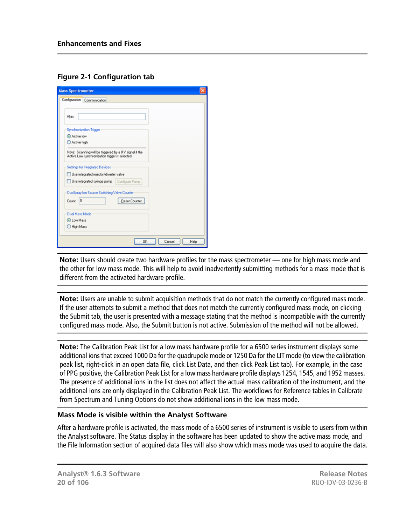# **Figure 2-1 Configuration tab**

| <b>Mass Spectrometer</b>                                                                                  |
|-----------------------------------------------------------------------------------------------------------|
| Configuration Communication                                                                               |
| Alias:                                                                                                    |
| <b>Synchronization Trigger</b>                                                                            |
| Active low<br>Active high                                                                                 |
| Note: Scanning will be triggered by a 0V signal if the<br>Active Low synchronization trigger is selected. |
| Settings for Integrated Devices                                                                           |
| Use integrated injector/diverter valve                                                                    |
| Use integrated syringe pump   Configure Pump                                                              |
| DuoSpray Ion Source Switching Valve Counter                                                               |
| Count: 0<br>Reset Counter                                                                                 |
| <b>Dual Mass Mode</b>                                                                                     |
| <b>O</b> Low Mass                                                                                         |
| O High Mass                                                                                               |
| 0K<br>Cancel<br>Help                                                                                      |

**Note:** Users should create two hardware profiles for the mass spectrometer — one for high mass mode and the other for low mass mode. This will help to avoid inadvertently submitting methods for a mass mode that is different from the activated hardware profile.

**Note:** Users are unable to submit acquisition methods that do not match the currently configured mass mode. If the user attempts to submit a method that does not match the currently configured mass mode, on clicking the Submit tab, the user is presented with a message stating that the method is incompatible with the currently configured mass mode. Also, the Submit button is not active. Submission of the method will not be allowed.

**Note:** The Calibration Peak List for a low mass hardware profile for a 6500 series instrument displays some additional ions that exceed 1000 Da for the quadrupole mode or 1250 Da for the LIT mode (to view the calibration peak list, right-click in an open data file, click List Data, and then click Peak List tab). For example, in the case of PPG positive, the Calibration Peak List for a low mass hardware profile displays 1254, 1545, and 1952 masses. The presence of additional ions in the list does not affect the actual mass calibration of the instrument, and the additional ions are only displayed in the Calibration Peak List. The workflows for Reference tables in Calibrate from Spectrum and Tuning Options do not show additional ions in the low mass mode.

# **Mass Mode is visible within the Analyst Software**

After a hardware profile is activated, the mass mode of a 6500 series of instrument is visible to users from within the Analyst software. The Status display in the software has been updated to show the active mass mode, and the File Information section of acquired data files will also show which mass mode was used to acquire the data.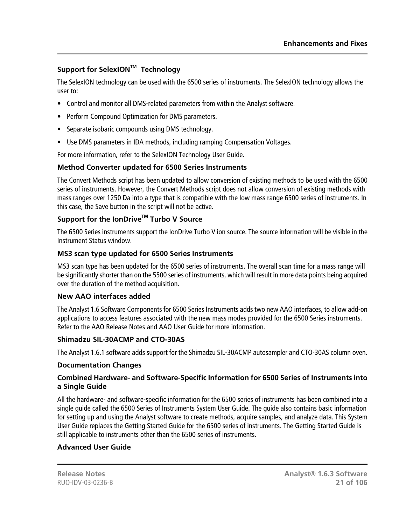# **Support for SelexIONTM Technology**

The SelexION technology can be used with the 6500 series of instruments. The SelexION technology allows the user to:

- Control and monitor all DMS-related parameters from within the Analyst software.
- Perform Compound Optimization for DMS parameters.
- Separate isobaric compounds using DMS technology.
- Use DMS parameters in IDA methods, including ramping Compensation Voltages.

For more information, refer to the SelexION Technology User Guide.

#### **Method Converter updated for 6500 Series Instruments**

The Convert Methods script has been updated to allow conversion of existing methods to be used with the 6500 series of instruments. However, the Convert Methods script does not allow conversion of existing methods with mass ranges over 1250 Da into a type that is compatible with the low mass range 6500 series of instruments. In this case, the Save button in the script will not be active.

# **Support for the IonDriveTM Turbo V Source**

The 6500 Series instruments support the IonDrive Turbo V ion source. The source information will be visible in the Instrument Status window.

#### **MS3 scan type updated for 6500 Series Instruments**

MS3 scan type has been updated for the 6500 series of instruments. The overall scan time for a mass range will be significantly shorter than on the 5500 series of instruments, which will result in more data points being acquired over the duration of the method acquisition.

#### **New AAO interfaces added**

The Analyst 1.6 Software Components for 6500 Series Instruments adds two new AAO interfaces, to allow add-on applications to access features associated with the new mass modes provided for the 6500 Series instruments. Refer to the AAO Release Notes and AAO User Guide for more information.

#### **Shimadzu SIL-30ACMP and CTO-30AS**

The Analyst 1.6.1 software adds support for the Shimadzu SIL-30ACMP autosampler and CTO-30AS column oven.

#### **Documentation Changes**

#### **Combined Hardware- and Software-Specific Information for 6500 Series of Instruments into a Single Guide**

All the hardware- and software-specific information for the 6500 series of instruments has been combined into a single guide called the 6500 Series of Instruments System User Guide. The guide also contains basic information for setting up and using the Analyst software to create methods, acquire samples, and analyze data. This System User Guide replaces the Getting Started Guide for the 6500 series of instruments. The Getting Started Guide is still applicable to instruments other than the 6500 series of instruments.

# **Advanced User Guide**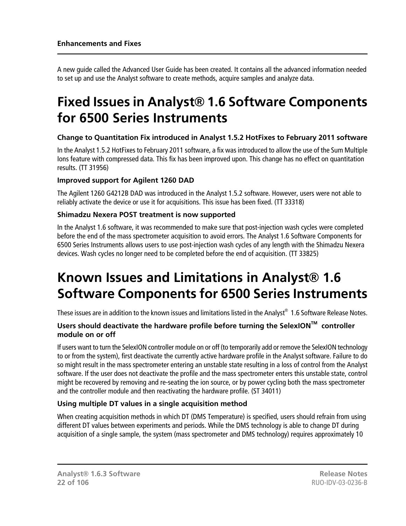A new guide called the Advanced User Guide has been created. It contains all the advanced information needed to set up and use the Analyst software to create methods, acquire samples and analyze data.

# <span id="page-21-0"></span>**Fixed Issues in Analyst® 1.6 Software Components for 6500 Series Instruments**

# **Change to Quantitation Fix introduced in Analyst 1.5.2 HotFixes to February 2011 software**

In the Analyst 1.5.2 HotFixes to February 2011 software, a fix was introduced to allow the use of the Sum Multiple Ions feature with compressed data. This fix has been improved upon. This change has no effect on quantitation results. (TT 31956)

# **Improved support for Agilent 1260 DAD**

The Agilent 1260 G4212B DAD was introduced in the Analyst 1.5.2 software. However, users were not able to reliably activate the device or use it for acquisitions. This issue has been fixed. (TT 33318)

# **Shimadzu Nexera POST treatment is now supported**

<span id="page-21-1"></span>In the Analyst 1.6 software, it was recommended to make sure that post-injection wash cycles were completed before the end of the mass spectrometer acquisition to avoid errors. The Analyst 1.6 Software Components for 6500 Series Instruments allows users to use post-injection wash cycles of any length with the Shimadzu Nexera devices. Wash cycles no longer need to be completed before the end of acquisition. (TT 33825)

# **Known Issues and Limitations in Analyst® 1.6 Software Components for 6500 Series Instruments**

These issues are in addition to the known issues and limitations listed in the Analyst $^{\circ}\,$  1.6 Software Release Notes.

# **Users should deactivate the hardware profile before turning the SelexIONTM controller module on or off**

If users want to turn the SelexION controller module on or off (to temporarily add or remove the SelexION technology to or from the system), first deactivate the currently active hardware profile in the Analyst software. Failure to do so might result in the mass spectrometer entering an unstable state resulting in a loss of control from the Analyst software. If the user does not deactivate the profile and the mass spectrometer enters this unstable state, control might be recovered by removing and re-seating the ion source, or by power cycling both the mass spectrometer and the controller module and then reactivating the hardware profile. (ST 34011)

# **Using multiple DT values in a single acquisition method**

When creating acquisition methods in which DT (DMS Temperature) is specified, users should refrain from using different DT values between experiments and periods. While the DMS technology is able to change DT during acquisition of a single sample, the system (mass spectrometer and DMS technology) requires approximately 10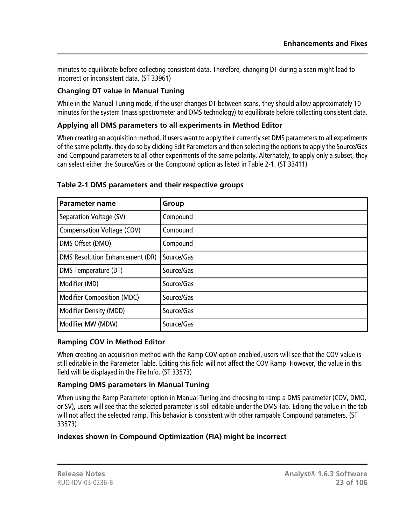minutes to equilibrate before collecting consistent data. Therefore, changing DT during a scan might lead to incorrect or inconsistent data. (ST 33961)

# **Changing DT value in Manual Tuning**

While in the Manual Tuning mode, if the user changes DT between scans, they should allow approximately 10 minutes for the system (mass spectrometer and DMS technology) to equilibrate before collecting consistent data.

# **Applying all DMS parameters to all experiments in Method Editor**

When creating an acquisition method, if users want to apply their currently set DMS parameters to all experiments of the same polarity, they do so by clicking Edit Parameters and then selecting the options to apply the Source/Gas and Compound parameters to all other experiments of the same polarity. Alternately, to apply only a subset, they can select either the Source/Gas or the Compound option as listed in Table 2-1. (ST 33411)

| <b>Parameter name</b>                  | Group      |
|----------------------------------------|------------|
| Separation Voltage (SV)                | Compound   |
| Compensation Voltage (COV)             | Compound   |
| DMS Offset (DMO)                       | Compound   |
| <b>DMS Resolution Enhancement (DR)</b> | Source/Gas |
| DMS Temperature (DT)                   | Source/Gas |
| Modifier (MD)                          | Source/Gas |
| <b>Modifier Composition (MDC)</b>      | Source/Gas |
| <b>Modifier Density (MDD)</b>          | Source/Gas |
| Modifier MW (MDW)                      | Source/Gas |

#### **Table 2-1 DMS parameters and their respective groups**

# **Ramping COV in Method Editor**

When creating an acquisition method with the Ramp COV option enabled, users will see that the COV value is still editable in the Parameter Table. Editing this field will not affect the COV Ramp. However, the value in this field will be displayed in the File Info. (ST 33573)

# **Ramping DMS parameters in Manual Tuning**

When using the Ramp Parameter option in Manual Tuning and choosing to ramp a DMS parameter (COV, DMO, or SV), users will see that the selected parameter is still editable under the DMS Tab. Editing the value in the tab will not affect the selected ramp. This behavior is consistent with other rampable Compound parameters. (ST 33573)

# **Indexes shown in Compound Optimization (FIA) might be incorrect**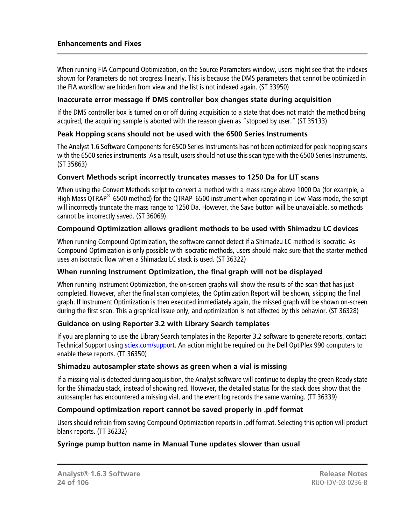When running FIA Compound Optimization, on the Source Parameters window, users might see that the indexes shown for Parameters do not progress linearly. This is because the DMS parameters that cannot be optimized in the FIA workflow are hidden from view and the list is not indexed again. (ST 33950)

#### **Inaccurate error message if DMS controller box changes state during acquisition**

If the DMS controller box is turned on or off during acquisition to a state that does not match the method being acquired, the acquiring sample is aborted with the reason given as "stopped by user." (ST 35133)

# **Peak Hopping scans should not be used with the 6500 Series Instruments**

The Analyst 1.6 Software Components for 6500 Series Instruments has not been optimized for peak hopping scans with the 6500 series instruments. As a result, users should not use this scan type with the 6500 Series Instruments. (ST 35863)

# **Convert Methods script incorrectly truncates masses to 1250 Da for LIT scans**

When using the Convert Methods script to convert a method with a mass range above 1000 Da (for example, a High Mass QTRAP<sup>®</sup> 6500 method) for the QTRAP 6500 instrument when operating in Low Mass mode, the script will incorrectly truncate the mass range to 1250 Da. However, the Save button will be unavailable, so methods cannot be incorrectly saved. (ST 36069)

# **Compound Optimization allows gradient methods to be used with Shimadzu LC devices**

When running Compound Optimization, the software cannot detect if a Shimadzu LC method is isocratic. As Compound Optimization is only possible with isocratic methods, users should make sure that the starter method uses an isocratic flow when a Shimadzu LC stack is used. (ST 36322)

# **When running Instrument Optimization, the final graph will not be displayed**

When running Instrument Optimization, the on-screen graphs will show the results of the scan that has just completed. However, after the final scan completes, the Optimization Report will be shown, skipping the final graph. If Instrument Optimization is then executed immediately again, the missed graph will be shown on-screen during the first scan. This a graphical issue only, and optimization is not affected by this behavior. (ST 36328)

# **Guidance on using Reporter 3.2 with Library Search templates**

If you are planning to use the Library Search templates in the Reporter 3.2 software to generate reports, contact Technical Support using [sciex.com/support](http://sciex.com/support). An action might be required on the Dell OptiPlex 990 computers to enable these reports. (TT 36350)

#### **Shimadzu autosampler state shows as green when a vial is missing**

If a missing vial is detected during acquisition, the Analyst software will continue to display the green Ready state for the Shimadzu stack, instead of showing red. However, the detailed status for the stack does show that the autosampler has encountered a missing vial, and the event log records the same warning. (TT 36339)

# **Compound optimization report cannot be saved properly in .pdf format**

Users should refrain from saving Compound Optimization reports in .pdf format. Selecting this option will product blank reports. (TT 36232)

# **Syringe pump button name in Manual Tune updates slower than usual**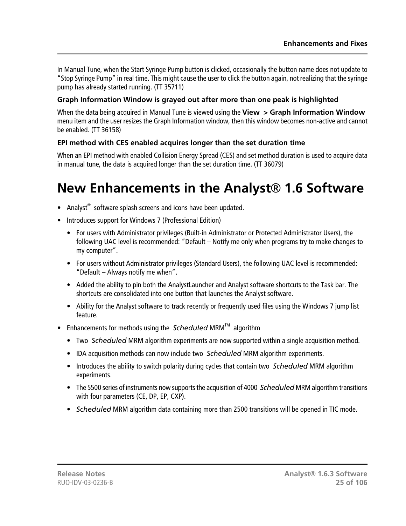In Manual Tune, when the Start Syringe Pump button is clicked, occasionally the button name does not update to "Stop Syringe Pump" in real time. This might cause the user to click the button again, not realizing that the syringe pump has already started running. (TT 35711)

# **Graph Information Window is grayed out after more than one peak is highlighted**

When the data being acquired in Manual Tune is viewed using the **View > Graph Information Window** menu item and the user resizes the Graph Information window, then this window becomes non-active and cannot be enabled. (TT 36158)

# **EPI method with CES enabled acquires longer than the set duration time**

<span id="page-24-0"></span>When an EPI method with enabled Collision Energy Spread (CES) and set method duration is used to acquire data in manual tune, the data is acquired longer than the set duration time. (TT 36079)

# **New Enhancements in the Analyst® 1.6 Software**

- Analyst<sup>®</sup> software splash screens and icons have been updated.
- Introduces support for Windows 7 (Professional Edition)
	- For users with Administrator privileges (Built-in Administrator or Protected Administrator Users), the following UAC level is recommended: "Default – Notify me only when programs try to make changes to my computer".
	- For users without Administrator privileges (Standard Users), the following UAC level is recommended: "Default – Always notify me when".
	- Added the ability to pin both the AnalystLauncher and Analyst software shortcuts to the Task bar. The shortcuts are consolidated into one button that launches the Analyst software.
	- Ability for the Analyst software to track recently or frequently used files using the Windows 7 jump list feature.
- Enhancements for methods using the *Scheduled* MRM<sup>TM</sup> algorithm
	- Two *Scheduled* MRM algorithm experiments are now supported within a single acquisition method.
	- IDA acquisition methods can now include two *Scheduled* MRM algorithm experiments.
	- Introduces the ability to switch polarity during cycles that contain two *Scheduled* MRM algorithm experiments.
	- The 5500 series of instruments now supports the acquisition of 4000 *Scheduled* MRM algorithm transitions with four parameters (CE, DP, EP, CXP).
	- *Scheduled* MRM algorithm data containing more than 2500 transitions will be opened in TIC mode.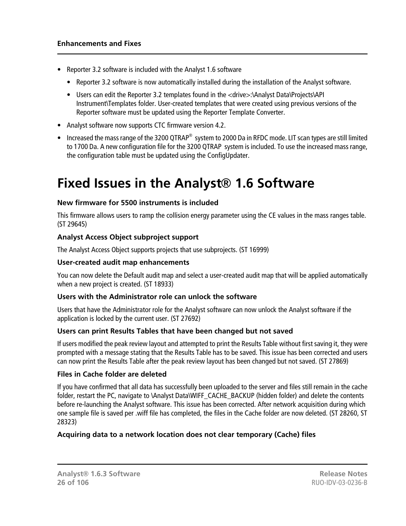- Reporter 3.2 software is included with the Analyst 1.6 software
	- Reporter 3.2 software is now automatically installed during the installation of the Analyst software.
	- Users can edit the Reporter 3.2 templates found in the <drive>:\Analyst Data\Projects\API Instrument\Templates folder. User-created templates that were created using previous versions of the Reporter software must be updated using the Reporter Template Converter.
- Analyst software now supports CTC firmware version 4.2.
- Increased the mass range of the 3200 QTRAP® system to 2000 Da in RFDC mode. LIT scan types are still limited to 1700 Da. A new configuration file for the 3200 QTRAP system is included. To use the increased mass range, the configuration table must be updated using the ConfigUpdater.

# <span id="page-25-0"></span>**Fixed Issues in the Analyst® 1.6 Software**

# **New firmware for 5500 instruments is included**

This firmware allows users to ramp the collision energy parameter using the CE values in the mass ranges table. (ST 29645)

# **Analyst Access Object subproject support**

The Analyst Access Object supports projects that use subprojects. (ST 16999)

#### **User-created audit map enhancements**

You can now delete the Default audit map and select a user-created audit map that will be applied automatically when a new project is created. (ST 18933)

#### **Users with the Administrator role can unlock the software**

Users that have the Administrator role for the Analyst software can now unlock the Analyst software if the application is locked by the current user. (ST 27692)

# **Users can print Results Tables that have been changed but not saved**

If users modified the peak review layout and attempted to print the Results Table without first saving it, they were prompted with a message stating that the Results Table has to be saved. This issue has been corrected and users can now print the Results Table after the peak review layout has been changed but not saved. (ST 27869)

#### **Files in Cache folder are deleted**

If you have confirmed that all data has successfully been uploaded to the server and files still remain in the cache folder, restart the PC, navigate to \Analyst Data\WIFF\_CACHE\_BACKUP (hidden folder) and delete the contents before re-launching the Analyst software. This issue has been corrected. After network acquisition during which one sample file is saved per .wiff file has completed, the files in the Cache folder are now deleted. (ST 28260, ST 28323)

# **Acquiring data to a network location does not clear temporary (Cache) files**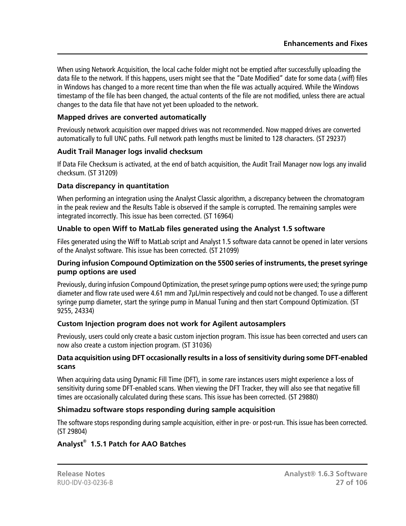When using Network Acquisition, the local cache folder might not be emptied after successfully uploading the data file to the network. If this happens, users might see that the "Date Modified" date for some data (.wiff) files in Windows has changed to a more recent time than when the file was actually acquired. While the Windows timestamp of the file has been changed, the actual contents of the file are not modified, unless there are actual changes to the data file that have not yet been uploaded to the network.

# **Mapped drives are converted automatically**

Previously network acquisition over mapped drives was not recommended. Now mapped drives are converted automatically to full UNC paths. Full network path lengths must be limited to 128 characters. (ST 29237)

# **Audit Trail Manager logs invalid checksum**

If Data File Checksum is activated, at the end of batch acquisition, the Audit Trail Manager now logs any invalid checksum. (ST 31209)

# **Data discrepancy in quantitation**

When performing an integration using the Analyst Classic algorithm, a discrepancy between the chromatogram in the peak review and the Results Table is observed if the sample is corrupted. The remaining samples were integrated incorrectly. This issue has been corrected. (ST 16964)

# **Unable to open Wiff to MatLab files generated using the Analyst 1.5 software**

Files generated using the Wiff to MatLab script and Analyst 1.5 software data cannot be opened in later versions of the Analyst software. This issue has been corrected. (ST 21099)

# **During infusion Compound Optimization on the 5500 series of instruments, the preset syringe pump options are used**

Previously, during infusion Compound Optimization, the preset syringe pump options were used; the syringe pump diameter and flow rate used were 4.61 mm and 7μL/min respectively and could not be changed. To use a different syringe pump diameter, start the syringe pump in Manual Tuning and then start Compound Optimization. (ST 9255, 24334)

# **Custom Injection program does not work for Agilent autosamplers**

Previously, users could only create a basic custom injection program. This issue has been corrected and users can now also create a custom injection program. (ST 31036)

#### **Data acquisition using DFT occasionally results in a loss of sensitivity during some DFT-enabled scans**

When acquiring data using Dynamic Fill Time (DFT), in some rare instances users might experience a loss of sensitivity during some DFT-enabled scans. When viewing the DFT Tracker, they will also see that negative fill times are occasionally calculated during these scans. This issue has been corrected. (ST 29880)

# **Shimadzu software stops responding during sample acquisition**

The software stops responding during sample acquisition, either in pre- or post-run. This issue has been corrected. (ST 29804)

# **Analyst® 1.5.1 Patch for AAO Batches**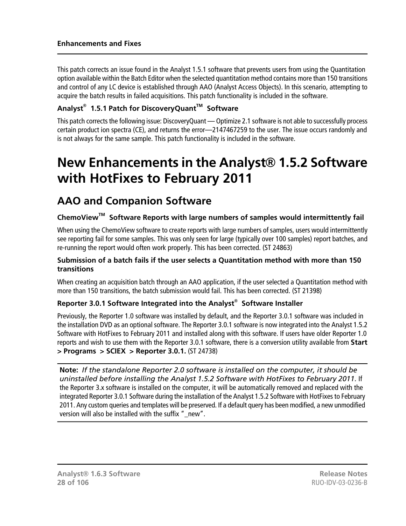This patch corrects an issue found in the Analyst 1.5.1 software that prevents users from using the Quantitation option available within the Batch Editor when the selected quantitation method contains more than 150 transitions and control of any LC device is established through AAO (Analyst Access Objects). In this scenario, attempting to acquire the batch results in failed acquisitions. This patch functionality is included in the software.

# **Analyst® 1.5.1 Patch for DiscoveryQuantTM Software**

This patch corrects the following issue: DiscoveryQuant — Optimize 2.1 software is not able to successfully process certain product ion spectra (CE), and returns the error—2147467259 to the user. The issue occurs randomly and is not always for the same sample. This patch functionality is included in the software.

# <span id="page-27-0"></span>**New Enhancements in the Analyst® 1.5.2 Software with HotFixes to February 2011**

# <span id="page-27-1"></span>**AAO and Companion Software**

# **ChemoViewTM Software Reports with large numbers of samples would intermittently fail**

When using the ChemoView software to create reports with large numbers of samples, users would intermittently see reporting fail for some samples. This was only seen for large (typically over 100 samples) report batches, and re-running the report would often work properly. This has been corrected. (ST 24863)

#### **Submission of a batch fails if the user selects a Quantitation method with more than 150 transitions**

When creating an acquisition batch through an AAO application, if the user selected a Quantitation method with more than 150 transitions, the batch submission would fail. This has been corrected. (ST 21398)

# **Reporter 3.0.1 Software Integrated into the Analyst® Software Installer**

Previously, the Reporter 1.0 software was installed by default, and the Reporter 3.0.1 software was included in the installation DVD as an optional software. The Reporter 3.0.1 software is now integrated into the Analyst 1.5.2 Software with HotFixes to February 2011 and installed along with this software. If users have older Reporter 1.0 reports and wish to use them with the Reporter 3.0.1 software, there is a conversion utility available from **Start > Programs > SCIEX > Reporter 3.0.1.** (ST 24738)

**Note:** *If the standalone Reporter 2.0 software is installed on the computer, it should be uninstalled before installing the Analyst 1.5.2 Software with HotFixes to February 2011.* If the Reporter 3.x software is installed on the computer, it will be automatically removed and replaced with the integrated Reporter 3.0.1 Software during the installation of the Analyst 1.5.2 Software with HotFixes to February 2011. Any custom queries and templates will be preserved. If a default query has been modified, a new unmodified version will also be installed with the suffix " new".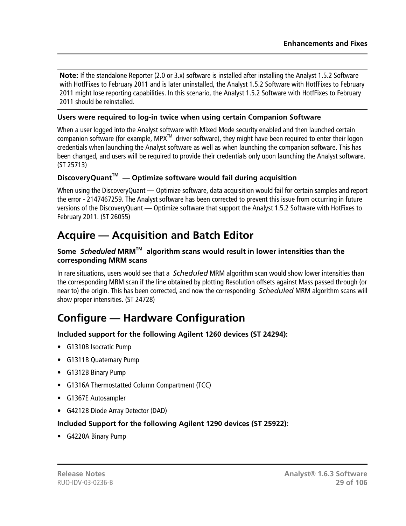**Note:** If the standalone Reporter (2.0 or 3.x) software is installed after installing the Analyst 1.5.2 Software with HotfFixes to February 2011 and is later uninstalled, the Analyst 1.5.2 Software with HotfFixes to February 2011 might lose reporting capabilities. In this scenario, the Analyst 1.5.2 Software with HotfFixes to February 2011 should be reinstalled.

# **Users were required to log-in twice when using certain Companion Software**

When a user logged into the Analyst software with Mixed Mode security enabled and then launched certain companion software (for example, MPX<sup>TM</sup> driver software), they might have been required to enter their logon credentials when launching the Analyst software as well as when launching the companion software. This has been changed, and users will be required to provide their credentials only upon launching the Analyst software. (ST 25713)

# **DiscoveryQuantTM — Optimize software would fail during acquisition**

<span id="page-28-0"></span>When using the DiscoveryQuant — Optimize software, data acquisition would fail for certain samples and report the error - 2147467259. The Analyst software has been corrected to prevent this issue from occurring in future versions of the DiscoveryQuant — Optimize software that support the Analyst 1.5.2 Software with HotFixes to February 2011. (ST 26055)

# **Acquire — Acquisition and Batch Editor**

# **Some** *Scheduled* **MRMTM algorithm scans would result in lower intensities than the corresponding MRM scans**

<span id="page-28-1"></span>In rare situations, users would see that a *Scheduled* MRM algorithm scan would show lower intensities than the corresponding MRM scan if the line obtained by plotting Resolution offsets against Mass passed through (or near to) the origin. This has been corrected, and now the corresponding *Scheduled* MRM algorithm scans will show proper intensities. (ST 24728)

# **Configure — Hardware Configuration**

# **Included support for the following Agilent 1260 devices (ST 24294):**

- G1310B Isocratic Pump
- G1311B Quaternary Pump
- G1312B Binary Pump
- G1316A Thermostatted Column Compartment (TCC)
- G1367E Autosampler
- G4212B Diode Array Detector (DAD)

# **Included Support for the following Agilent 1290 devices (ST 25922):**

• G4220A Binary Pump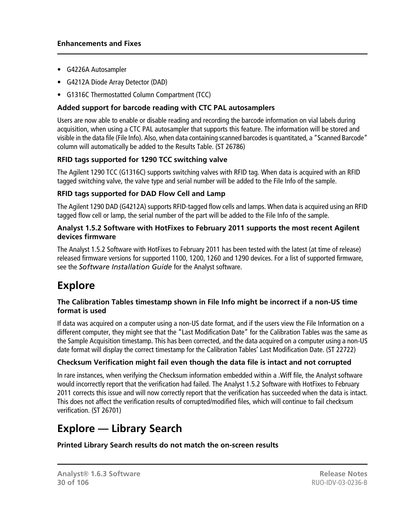- G4226A Autosampler
- G4212A Diode Array Detector (DAD)
- G1316C Thermostatted Column Compartment (TCC)

# **Added support for barcode reading with CTC PAL autosamplers**

Users are now able to enable or disable reading and recording the barcode information on vial labels during acquisition, when using a CTC PAL autosampler that supports this feature. The information will be stored and visible in the data file (File Info). Also, when data containing scanned barcodes is quantitated, a "Scanned Barcode" column will automatically be added to the Results Table. (ST 26786)

# **RFID tags supported for 1290 TCC switching valve**

The Agilent 1290 TCC (G1316C) supports switching valves with RFID tag. When data is acquired with an RFID tagged switching valve, the valve type and serial number will be added to the File Info of the sample.

# **RFID tags supported for DAD Flow Cell and Lamp**

The Agilent 1290 DAD (G4212A) supports RFID-tagged flow cells and lamps. When data is acquired using an RFID tagged flow cell or lamp, the serial number of the part will be added to the File Info of the sample.

#### **Analyst 1.5.2 Software with HotFixes to February 2011 supports the most recent Agilent devices firmware**

<span id="page-29-0"></span>The Analyst 1.5.2 Software with HotFixes to February 2011 has been tested with the latest (at time of release) released firmware versions for supported 1100, 1200, 1260 and 1290 devices. For a list of supported firmware, see the *Software Installation Guide* for the Analyst software.

# **Explore**

# **The Calibration Tables timestamp shown in File Info might be incorrect if a non-US time format is used**

If data was acquired on a computer using a non-US date format, and if the users view the File Information on a different computer, they might see that the "Last Modification Date" for the Calibration Tables was the same as the Sample Acquisition timestamp. This has been corrected, and the data acquired on a computer using a non-US date format will display the correct timestamp for the Calibration Tables' Last Modification Date. (ST 22722)

# **Checksum Verification might fail even though the data file is intact and not corrupted**

<span id="page-29-1"></span>In rare instances, when verifying the Checksum information embedded within a .Wiff file, the Analyst software would incorrectly report that the verification had failed. The Analyst 1.5.2 Software with HotFixes to February 2011 corrects this issue and will now correctly report that the verification has succeeded when the data is intact. This does not affect the verification results of corrupted/modified files, which will continue to fail checksum verification. (ST 26701)

# **Explore — Library Search**

**Printed Library Search results do not match the on-screen results**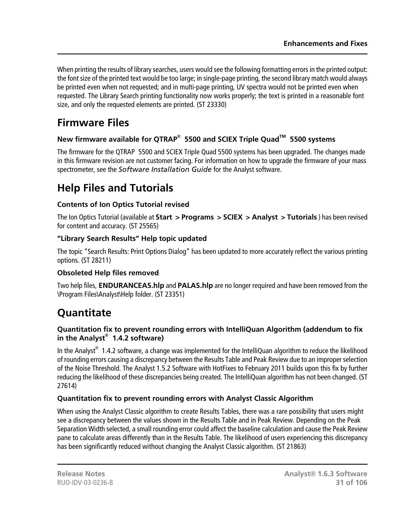When printing the results of library searches, users would see the following formatting errors in the printed output: the font size of the printed text would be too large; in single-page printing, the second library match would always be printed even when not requested; and in multi-page printing, UV spectra would not be printed even when requested. The Library Search printing functionality now works properly; the text is printed in a reasonable font size, and only the requested elements are printed. (ST 23330)

# <span id="page-30-0"></span>**Firmware Files**

# **New firmware available for QTRAP® 5500 and SCIEX Triple QuadTM 5500 systems**

<span id="page-30-1"></span>The firmware for the QTRAP 5500 and SCIEX Triple Quad 5500 systems has been upgraded. The changes made in this firmware revision are not customer facing. For information on how to upgrade the firmware of your mass spectrometer, see the *Software Installation Guide* for the Analyst software.

# **Help Files and Tutorials**

# **Contents of Ion Optics Tutorial revised**

The Ion Optics Tutorial (available at **Start > Programs > SCIEX > Analyst > Tutorials** ) has been revised for content and accuracy. (ST 25565)

# **"Library Search Results" Help topic updated**

The topic "Search Results: Print Options Dialog" has been updated to more accurately reflect the various printing options. (ST 28211)

# **Obsoleted Help files removed**

<span id="page-30-2"></span>Two help files, **ENDURANCEAS.hlp** and **PALAS.hlp** are no longer required and have been removed from the \Program Files\Analyst\Help folder. (ST 23351)

# **Quantitate**

# **Quantitation fix to prevent rounding errors with IntelliQuan Algorithm (addendum to fix in the Analyst® 1.4.2 software)**

In the Analyst $^{\circledast}$  1.4.2 software, a change was implemented for the IntelliQuan algorithm to reduce the likelihood of rounding errors causing a discrepancy between the Results Table and Peak Review due to an improper selection of the Noise Threshold. The Analyst 1.5.2 Software with HotFixes to February 2011 builds upon this fix by further reducing the likelihood of these discrepancies being created. The IntelliQuan algorithm has not been changed. (ST 27614)

# **Quantitation fix to prevent rounding errors with Analyst Classic Algorithm**

When using the Analyst Classic algorithm to create Results Tables, there was a rare possibility that users might see a discrepancy between the values shown in the Results Table and in Peak Review. Depending on the Peak Separation Width selected, a small rounding error could affect the baseline calculation and cause the Peak Review pane to calculate areas differently than in the Results Table. The likelihood of users experiencing this discrepancy has been significantly reduced without changing the Analyst Classic algorithm. (ST 21863)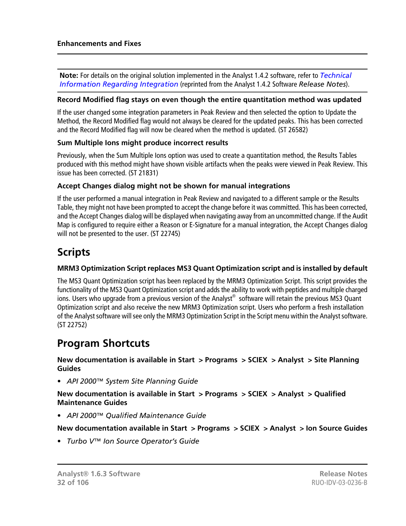**Note:** For details on the original solution implemented in the Analyst 1.4.2 software, refer to *[Technical](#page-103-0) [Information Regarding Integration](#page-103-0)* (reprinted from the Analyst 1.4.2 Software *Release Notes*).

#### **Record Modified flag stays on even though the entire quantitation method was updated**

If the user changed some integration parameters in Peak Review and then selected the option to Update the Method, the Record Modified flag would not always be cleared for the updated peaks. This has been corrected and the Record Modified flag will now be cleared when the method is updated. (ST 26582)

#### **Sum Multiple Ions might produce incorrect results**

Previously, when the Sum Multiple Ions option was used to create a quantitation method, the Results Tables produced with this method might have shown visible artifacts when the peaks were viewed in Peak Review. This issue has been corrected. (ST 21831)

#### **Accept Changes dialog might not be shown for manual integrations**

If the user performed a manual integration in Peak Review and navigated to a different sample or the Results Table, they might not have been prompted to accept the change before it was committed. This has been corrected, and the Accept Changes dialog will be displayed when navigating away from an uncommitted change. If the Audit Map is configured to require either a Reason or E-Signature for a manual integration, the Accept Changes dialog will not be presented to the user. (ST 22745)

# <span id="page-31-0"></span>**Scripts**

# **MRM3 Optimization Script replaces MS3 Quant Optimization script and is installed by default**

<span id="page-31-1"></span>The MS3 Quant Optimization script has been replaced by the MRM3 Optimization Script. This script provides the functionality of the MS3 Quant Optimization script and adds the ability to work with peptides and multiple charged ions. Users who upgrade from a previous version of the Analyst® software will retain the previous MS3 Quant Optimization script and also receive the new MRM3 Optimization script. Users who perform a fresh installation of the Analyst software will see only the MRM3 Optimization Script in the Script menu within the Analyst software. (ST 22752)

# **Program Shortcuts**

**New documentation is available in Start > Programs > SCIEX > Analyst > Site Planning Guides**

• *API 2000™ System Site Planning Guide*

**New documentation is available in Start > Programs > SCIEX > Analyst > Qualified Maintenance Guides**

• *API 2000™ Qualified Maintenance Guide*

**New documentation available in Start > Programs > SCIEX > Analyst > Ion Source Guides**

• *Turbo V™ Ion Source Operator's Guide*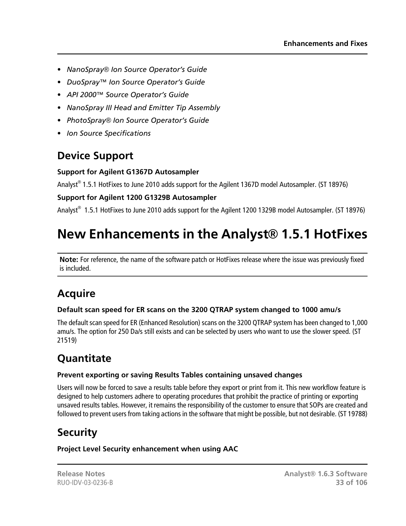- *NanoSpray® Ion Source Operator's Guide*
- *DuoSpray™ Ion Source Operator's Guide*
- *API 2000™ Source Operator's Guide*
- *NanoSpray III Head and Emitter Tip Assembly*
- *PhotoSpray® Ion Source Operator's Guide*
- <span id="page-32-0"></span>• *Ion Source Specifications*

# **Device Support**

# **Support for Agilent G1367D Autosampler**

Analyst® 1.5.1 HotFixes to June 2010 adds support for the Agilent 1367D model Autosampler. (ST 18976)

# **Support for Agilent 1200 G1329B Autosampler**

<span id="page-32-1"></span>Analyst® 1.5.1 HotFixes to June 2010 adds support for the Agilent 1200 1329B model Autosampler. (ST 18976)

# **New Enhancements in the Analyst® 1.5.1 HotFixes**

<span id="page-32-2"></span>**Note:** For reference, the name of the software patch or HotFixes release where the issue was previously fixed is included.

# **Acquire**

# **Default scan speed for ER scans on the 3200 QTRAP system changed to 1000 amu/s**

<span id="page-32-3"></span>The default scan speed for ER (Enhanced Resolution) scans on the 3200 QTRAP system has been changed to 1,000 amu/s. The option for 250 Da/s still exists and can be selected by users who want to use the slower speed. (ST 21519)

# **Quantitate**

# **Prevent exporting or saving Results Tables containing unsaved changes**

<span id="page-32-4"></span>Users will now be forced to save a results table before they export or print from it. This new workflow feature is designed to help customers adhere to operating procedures that prohibit the practice of printing or exporting unsaved results tables. However, it remains the responsibility of the customer to ensure that SOPs are created and followed to prevent users from taking actions in the software that might be possible, but not desirable. (ST 19788)

# **Security**

**Project Level Security enhancement when using AAC**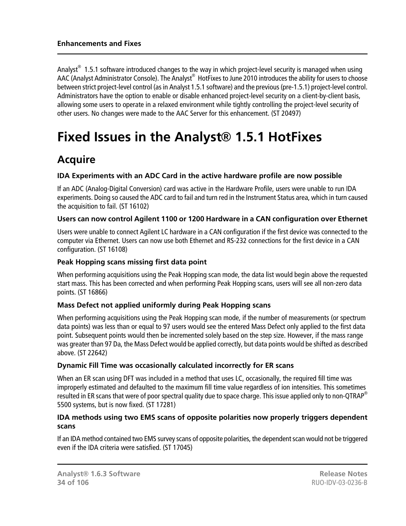Analyst $^{\circledast}$  1.5.1 software introduced changes to the way in which project-level security is managed when using AAC (Analyst Administrator Console). The Analyst® HotFixes to June 2010 introduces the ability for users to choose between strict project-level control (as in Analyst 1.5.1 software) and the previous (pre-1.5.1) project-level control. Administrators have the option to enable or disable enhanced project-level security on a client-by-client basis, allowing some users to operate in a relaxed environment while tightly controlling the project-level security of other users. No changes were made to the AAC Server for this enhancement. (ST 20497)

# <span id="page-33-1"></span><span id="page-33-0"></span>**Fixed Issues in the Analyst® 1.5.1 HotFixes**

# **Acquire**

# **IDA Experiments with an ADC Card in the active hardware profile are now possible**

If an ADC (Analog-Digital Conversion) card was active in the Hardware Profile, users were unable to run IDA experiments. Doing so caused the ADC card to fail and turn red in the Instrument Status area, which in turn caused the acquisition to fail. (ST 16102)

# **Users can now control Agilent 1100 or 1200 Hardware in a CAN configuration over Ethernet**

Users were unable to connect Agilent LC hardware in a CAN configuration if the first device was connected to the computer via Ethernet. Users can now use both Ethernet and RS-232 connections for the first device in a CAN configuration. (ST 16108)

# **Peak Hopping scans missing first data point**

When performing acquisitions using the Peak Hopping scan mode, the data list would begin above the requested start mass. This has been corrected and when performing Peak Hopping scans, users will see all non-zero data points. (ST 16866)

# **Mass Defect not applied uniformly during Peak Hopping scans**

When performing acquisitions using the Peak Hopping scan mode, if the number of measurements (or spectrum data points) was less than or equal to 97 users would see the entered Mass Defect only applied to the first data point. Subsequent points would then be incremented solely based on the step size. However, if the mass range was greater than 97 Da, the Mass Defect would be applied correctly, but data points would be shifted as described above. (ST 22642)

# **Dynamic Fill Time was occasionally calculated incorrectly for ER scans**

When an ER scan using DFT was included in a method that uses LC, occasionally, the required fill time was improperly estimated and defaulted to the maximum fill time value regardless of ion intensities. This sometimes resulted in ER scans that were of poor spectral quality due to space charge. This issue applied only to non-OTRAP<sup>®</sup> 5500 systems, but is now fixed. (ST 17281)

# **IDA methods using two EMS scans of opposite polarities now properly triggers dependent scans**

If an IDA method contained two EMS survey scans of opposite polarities, the dependent scan would not be triggered even if the IDA criteria were satisfied. (ST 17045)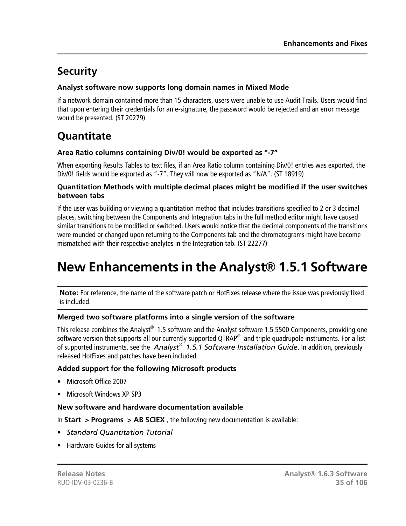# <span id="page-34-0"></span>**Security**

# **Analyst software now supports long domain names in Mixed Mode**

If a network domain contained more than 15 characters, users were unable to use Audit Trails. Users would find that upon entering their credentials for an e-signature, the password would be rejected and an error message would be presented. (ST 20279)

# <span id="page-34-1"></span>**Quantitate**

# **Area Ratio columns containing Div/0! would be exported as "-7"**

When exporting Results Tables to text files, if an Area Ratio column containing Div/0! entries was exported, the Div/0! fields would be exported as "-7". They will now be exported as "N/A". (ST 18919)

# **Quantitation Methods with multiple decimal places might be modified if the user switches between tabs**

If the user was building or viewing a quantitation method that includes transitions specified to 2 or 3 decimal places, switching between the Components and Integration tabs in the full method editor might have caused similar transitions to be modified or switched. Users would notice that the decimal components of the transitions were rounded or changed upon returning to the Components tab and the chromatograms might have become mismatched with their respective analytes in the Integration tab. (ST 22277)

# <span id="page-34-2"></span>**New Enhancements in the Analyst® 1.5.1 Software**

**Note:** For reference, the name of the software patch or HotFixes release where the issue was previously fixed is included.

# **Merged two software platforms into a single version of the software**

This release combines the Analyst $^{\circledast}$  1.5 software and the Analyst software 1.5 5500 Components, providing one software version that supports all our currently supported QTRAP® and triple quadrupole instruments. For a list of supported instruments, see the *Analyst® 1.5.1 Software Installation Guide*. In addition, previously released HotFixes and patches have been included.

# **Added support for the following Microsoft products**

- Microsoft Office 2007
- Microsoft Windows XP SP3

# **New software and hardware documentation available**

In **Start > Programs > AB SCIEX** , the following new documentation is available:

- *Standard Quantitation Tutorial*
- Hardware Guides for all systems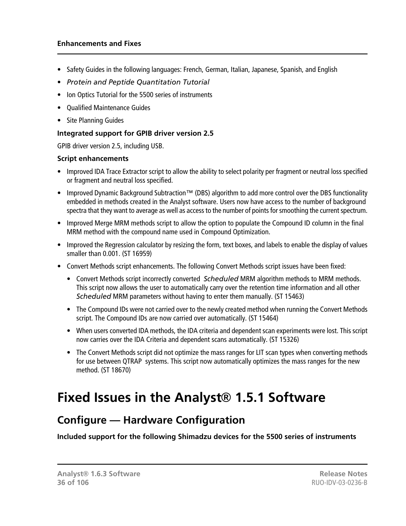#### **Enhancements and Fixes**

- Safety Guides in the following languages: French, German, Italian, Japanese, Spanish, and English
- *Protein and Peptide Quantitation Tutorial*
- Ion Optics Tutorial for the 5500 series of instruments
- Qualified Maintenance Guides
- Site Planning Guides

# **Integrated support for GPIB driver version 2.5**

GPIB driver version 2.5, including USB.

#### **Script enhancements**

- Improved IDA Trace Extractor script to allow the ability to select polarity per fragment or neutral loss specified or fragment and neutral loss specified.
- Improved Dynamic Background Subtraction™ (DBS) algorithm to add more control over the DBS functionality embedded in methods created in the Analyst software. Users now have access to the number of background spectra that they want to average as well as access to the number of points for smoothing the current spectrum.
- Improved Merge MRM methods script to allow the option to populate the Compound ID column in the final MRM method with the compound name used in Compound Optimization.
- Improved the Regression calculator by resizing the form, text boxes, and labels to enable the display of values smaller than 0.001. (ST 16959)
- Convert Methods script enhancements. The following Convert Methods script issues have been fixed:
	- Convert Methods script incorrectly converted *Scheduled* MRM algorithm methods to MRM methods. This script now allows the user to automatically carry over the retention time information and all other *Scheduled* MRM parameters without having to enter them manually. (ST 15463)
	- The Compound IDs were not carried over to the newly created method when running the Convert Methods script. The Compound IDs are now carried over automatically. (ST 15464)
	- When users converted IDA methods, the IDA criteria and dependent scan experiments were lost. This script now carries over the IDA Criteria and dependent scans automatically. (ST 15326)
	- The Convert Methods script did not optimize the mass ranges for LIT scan types when converting methods for use between QTRAP systems. This script now automatically optimizes the mass ranges for the new method. (ST 18670)

# <span id="page-35-1"></span><span id="page-35-0"></span>**Fixed Issues in the Analyst® 1.5.1 Software**

# **Configure — Hardware Configuration**

**Included support for the following Shimadzu devices for the 5500 series of instruments**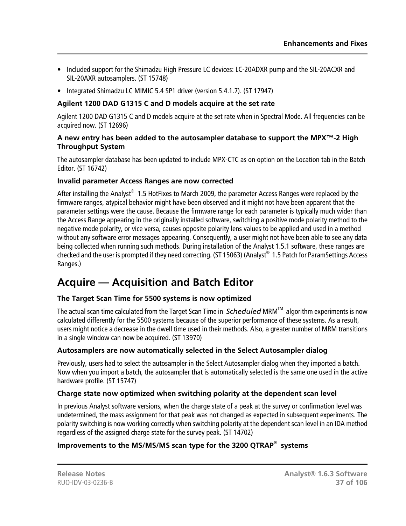- Included support for the Shimadzu High Pressure LC devices: LC-20ADXR pump and the SIL-20ACXR and SIL-20AXR autosamplers. (ST 15748)
- Integrated Shimadzu LC MIMIC 5.4 SP1 driver (version 5.4.1.7). (ST 17947)

## **Agilent 1200 DAD G1315 C and D models acquire at the set rate**

Agilent 1200 DAD G1315 C and D models acquire at the set rate when in Spectral Mode. All frequencies can be acquired now. (ST 12696)

#### **A new entry has been added to the autosampler database to support the MPX™-2 High Throughput System**

The autosampler database has been updated to include MPX-CTC as on option on the Location tab in the Batch Editor. (ST 16742)

#### **Invalid parameter Access Ranges are now corrected**

After installing the Analyst $^{\circledast}$  1.5 HotFixes to March 2009, the parameter Access Ranges were replaced by the firmware ranges, atypical behavior might have been observed and it might not have been apparent that the parameter settings were the cause. Because the firmware range for each parameter is typically much wider than the Access Range appearing in the originally installed software, switching a positive mode polarity method to the negative mode polarity, or vice versa, causes opposite polarity lens values to be applied and used in a method without any software error messages appearing. Consequently, a user might not have been able to see any data being collected when running such methods. During installation of the Analyst 1.5.1 software, these ranges are checked and the user is prompted if they need correcting. (ST 15063) (Analyst® 1.5 Patch for ParamSettings Access Ranges.)

# **Acquire — Acquisition and Batch Editor**

# **The Target Scan Time for 5500 systems is now optimized**

The actual scan time calculated from the Target Scan Time in *Scheduled* MRM<sup>™</sup> algorithm experiments is now calculated differently for the 5500 systems because of the superior performance of these systems. As a result, users might notice a decrease in the dwell time used in their methods. Also, a greater number of MRM transitions in a single window can now be acquired. (ST 13970)

# **Autosamplers are now automatically selected in the Select Autosampler dialog**

Previously, users had to select the autosampler in the Select Autosampler dialog when they imported a batch. Now when you import a batch, the autosampler that is automatically selected is the same one used in the active hardware profile. (ST 15747)

# **Charge state now optimized when switching polarity at the dependent scan level**

In previous Analyst software versions, when the charge state of a peak at the survey or confirmation level was undetermined, the mass assignment for that peak was not changed as expected in subsequent experiments. The polarity switching is now working correctly when switching polarity at the dependent scan level in an IDA method regardless of the assigned charge state for the survey peak. (ST 14702)

# **Improvements to the MS/MS/MS scan type for the 3200 QTRAP® systems**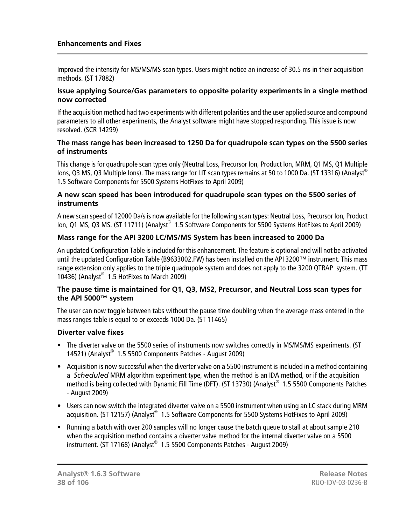Improved the intensity for MS/MS/MS scan types. Users might notice an increase of 30.5 ms in their acquisition methods. (ST 17882)

#### **Issue applying Source/Gas parameters to opposite polarity experiments in a single method now corrected**

If the acquisition method had two experiments with different polarities and the user applied source and compound parameters to all other experiments, the Analyst software might have stopped responding. This issue is now resolved. (SCR 14299)

#### **The mass range has been increased to 1250 Da for quadrupole scan types on the 5500 series of instruments**

This change is for quadrupole scan types only (Neutral Loss, Precursor Ion, Product Ion, MRM, Q1 MS, Q1 Multiple Ions, Q3 MS, Q3 Multiple Ions). The mass range for LIT scan types remains at 50 to 1000 Da. (ST 13316) (Analyst® 1.5 Software Components for 5500 Systems HotFixes to April 2009)

#### **A new scan speed has been introduced for quadrupole scan types on the 5500 series of instruments**

A new scan speed of 12000 Da/s is now available for the following scan types: Neutral Loss, Precursor Ion, Product lon, Q1 MS, Q3 MS. (ST 11711) (Analyst® 1.5 Software Components for 5500 Systems HotFixes to April 2009)

#### **Mass range for the API 3200 LC/MS/MS System has been increased to 2000 Da**

An updated Configuration Table is included for this enhancement. The feature is optional and will not be activated until the updated Configuration Table (B9633002.FW) has been installed on the API 3200™ instrument. This mass range extension only applies to the triple quadrupole system and does not apply to the 3200 QTRAP system. (TT 10436) (Analyst® 1.5 HotFixes to March 2009)

#### **The pause time is maintained for Q1, Q3, MS2, Precursor, and Neutral Loss scan types for the API 5000™ system**

The user can now toggle between tabs without the pause time doubling when the average mass entered in the mass ranges table is equal to or exceeds 1000 Da. (ST 11465)

#### **Diverter valve fixes**

- The diverter valve on the 5500 series of instruments now switches correctly in MS/MS/MS experiments. (ST 14521) (Analyst® 1.5 5500 Components Patches - August 2009)
- Acquisition is now successful when the diverter valve on a 5500 instrument is included in a method containing a *Scheduled* MRM algorithm experiment type, when the method is an IDA method, or if the acquisition method is being collected with Dynamic Fill Time (DFT). (ST 13730) (Analyst® 1.5 5500 Components Patches - August 2009)
- Users can now switch the integrated diverter valve on a 5500 instrument when using an LC stack during MRM acquisition. (ST 12157) (Analyst® 1.5 Software Components for 5500 Systems HotFixes to April 2009)
- Running a batch with over 200 samples will no longer cause the batch queue to stall at about sample 210 when the acquisition method contains a diverter valve method for the internal diverter valve on a 5500 instrument. (ST 17168) (Analyst® 1.5 5500 Components Patches - August 2009)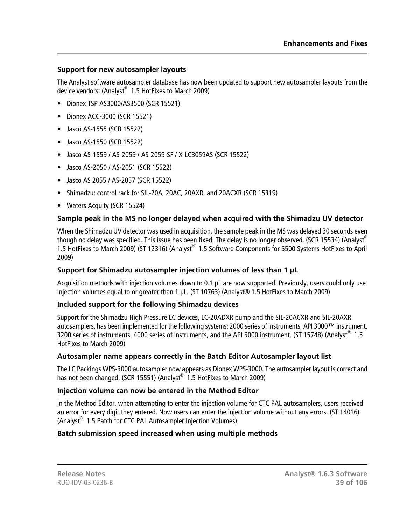## **Support for new autosampler layouts**

The Analyst software autosampler database has now been updated to support new autosampler layouts from the device vendors: (Analyst® 1.5 HotFixes to March 2009)

- Dionex TSP AS3000/AS3500 (SCR 15521)
- Dionex ACC-3000 (SCR 15521)
- Jasco AS-1555 (SCR 15522)
- Jasco AS-1550 (SCR 15522)
- Jasco AS-1559 / AS-2059 / AS-2059-SF / X-LC3059AS (SCR 15522)
- Jasco AS-2050 / AS-2051 (SCR 15522)
- Jasco AS 2055 / AS-2057 (SCR 15522)
- Shimadzu: control rack for SIL-20A, 20AC, 20AXR, and 20ACXR (SCR 15319)
- Waters Acquity (SCR 15524)

### **Sample peak in the MS no longer delayed when acquired with the Shimadzu UV detector**

When the Shimadzu UV detector was used in acquisition, the sample peak in the MS was delayed 30 seconds even though no delay was specified. This issue has been fixed. The delay is no longer observed. (SCR 15534) (Analyst® 1.5 HotFixes to March 2009) (ST 12316) (Analyst® 1.5 Software Components for 5500 Systems HotFixes to April 2009)

#### **Support for Shimadzu autosampler injection volumes of less than 1 μL**

Acquisition methods with injection volumes down to 0.1 μL are now supported. Previously, users could only use injection volumes equal to or greater than 1 μL. (ST 10763) (Analyst® 1.5 HotFixes to March 2009)

#### **Included support for the following Shimadzu devices**

Support for the Shimadzu High Pressure LC devices, LC-20ADXR pump and the SIL-20ACXR and SIL-20AXR autosamplers, has been implemented for the following systems: 2000 series of instruments, API 3000™ instrument, 3200 series of instruments, 4000 series of instruments, and the API 5000 instrument. (ST 15748) (Analyst<sup>®</sup> 1.5 HotFixes to March 2009)

#### **Autosampler name appears correctly in the Batch Editor Autosampler layout list**

The LC Packings WPS-3000 autosampler now appears as Dionex WPS-3000. The autosampler layout is correct and has not been changed. (SCR 15551) (Analyst® 1.5 HotFixes to March 2009)

#### **Injection volume can now be entered in the Method Editor**

In the Method Editor, when attempting to enter the injection volume for CTC PAL autosamplers, users received an error for every digit they entered. Now users can enter the injection volume without any errors. (ST 14016) (Analyst® 1.5 Patch for CTC PAL Autosampler Injection Volumes)

#### **Batch submission speed increased when using multiple methods**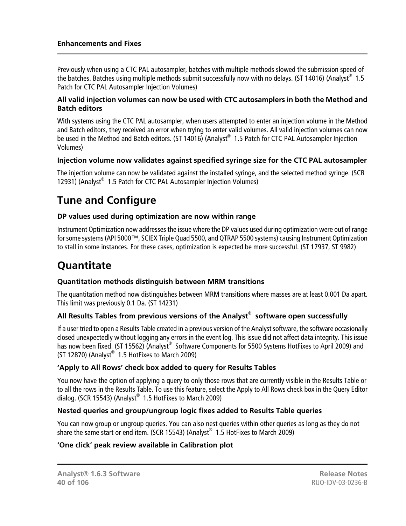Previously when using a CTC PAL autosampler, batches with multiple methods slowed the submission speed of the batches. Batches using multiple methods submit successfully now with no delays. (ST 14016) (Analyst $^{\circ}\,$  1.5 Patch for CTC PAL Autosampler Injection Volumes)

#### **All valid injection volumes can now be used with CTC autosamplers in both the Method and Batch editors**

With systems using the CTC PAL autosampler, when users attempted to enter an injection volume in the Method and Batch editors, they received an error when trying to enter valid volumes. All valid injection volumes can now be used in the Method and Batch editors. (ST 14016) (Analyst® 1.5 Patch for CTC PAL Autosampler Injection Volumes)

#### **Injection volume now validates against specified syringe size for the CTC PAL autosampler**

The injection volume can now be validated against the installed syringe, and the selected method syringe. (SCR 12931) (Analyst® 1.5 Patch for CTC PAL Autosampler Injection Volumes)

# **Tune and Configure**

#### **DP values used during optimization are now within range**

Instrument Optimization now addresses the issue where the DP values used during optimization were out of range for some systems (API 5000™, SCIEX Triple Quad 5500, and QTRAP 5500 systems) causing Instrument Optimization to stall in some instances. For these cases, optimization is expected be more successful. (ST 17937, ST 9982)

# **Quantitate**

#### **Quantitation methods distinguish between MRM transitions**

The quantitation method now distinguishes between MRM transitions where masses are at least 0.001 Da apart. This limit was previously 0.1 Da. (ST 14231)

#### **All Results Tables from previous versions of the Analyst® software open successfully**

If a user tried to open a Results Table created in a previous version of the Analyst software, the software occasionally closed unexpectedly without logging any errors in the event log. This issue did not affect data integrity. This issue has now been fixed. (ST 15562) (Analyst® Software Components for 5500 Systems HotFixes to April 2009) and  $(ST 12870)$  (Analyst $^{\circledast}$  1.5 HotFixes to March 2009)

#### **'Apply to All Rows' check box added to query for Results Tables**

You now have the option of applying a query to only those rows that are currently visible in the Results Table or to all the rows in the Results Table. To use this feature, select the Apply to All Rows check box in the Query Editor dialog. (SCR 15543) (Analyst $^\circledast$  1.5 HotFixes to March 2009)

#### **Nested queries and group/ungroup logic fixes added to Results Table queries**

You can now group or ungroup queries. You can also nest queries within other queries as long as they do not share the same start or end item. (SCR 15543) (Analyst $^{\circledast}$  1.5 HotFixes to March 2009)

## **'One click' peak review available in Calibration plot**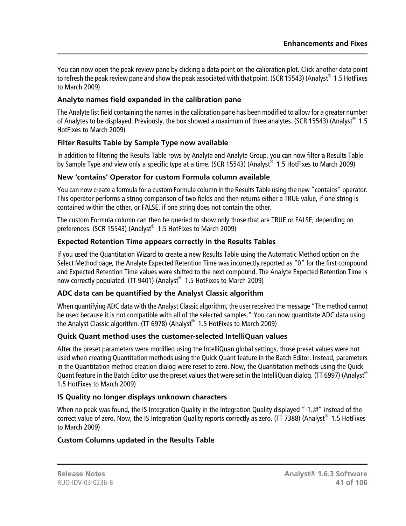You can now open the peak review pane by clicking a data point on the calibration plot. Click another data point to refresh the peak review pane and show the peak associated with that point. (SCR 15543) (Analyst $^{\circledast}$  1.5 HotFixes to March 2009)

#### **Analyte names field expanded in the calibration pane**

The Analyte list field containing the names in the calibration pane has been modified to allow for a greater number of Analytes to be displayed. Previously, the box showed a maximum of three analytes. (SCR 15543) (Analyst® 1.5 HotFixes to March 2009)

### **Filter Results Table by Sample Type now available**

In addition to filtering the Results Table rows by Analyte and Analyte Group, you can now filter a Results Table by Sample Type and view only a specific type at a time. (SCR 15543) (Analyst® 1.5 HotFixes to March 2009)

### **New 'contains' Operator for custom Formula column available**

You can now create a formula for a custom Formula column in the Results Table using the new "contains" operator. This operator performs a string comparison of two fields and then returns either a TRUE value, if one string is contained within the other, or FALSE, if one string does not contain the other.

The custom Formula column can then be queried to show only those that are TRUE or FALSE, depending on preferences. (SCR 15543) (Analyst® 1.5 HotFixes to March 2009)

### **Expected Retention Time appears correctly in the Results Tables**

If you used the Quantitation Wizard to create a new Results Table using the Automatic Method option on the Select Method page, the Analyte Expected Retention Time was incorrectly reported as "0" for the first compound and Expected Retention Time values were shifted to the next compound. The Analyte Expected Retention Time is now correctly populated. (TT 9401) (Analyst® 1.5 HotFixes to March 2009)

# **ADC data can be quantified by the Analyst Classic algorithm**

When quantifying ADC data with the Analyst Classic algorithm, the user received the message "The method cannot be used because it is not compatible with all of the selected samples." You can now quantitate ADC data using the Analyst Classic algorithm. (TT 6978) (Analyst® 1.5 HotFixes to March 2009)

# **Quick Quant method uses the customer-selected IntelliQuan values**

After the preset parameters were modified using the IntelliQuan global settings, those preset values were not used when creating Quantitation methods using the Quick Quant feature in the Batch Editor. Instead, parameters in the Quantitation method creation dialog were reset to zero. Now, the Quantitation methods using the Quick Quant feature in the Batch Editor use the preset values that were set in the IntelliQuan dialog. (TT 6997) (Analyst<sup>®</sup> 1.5 HotFixes to March 2009)

# **IS Quality no longer displays unknown characters**

When no peak was found, the IS Integration Quality in the Integration Quality displayed "-1.J#" instead of the correct value of zero. Now, the IS Integration Quality reports correctly as zero. (TT 7388) (Analyst® 1.5 HotFixes to March 2009)

# **Custom Columns updated in the Results Table**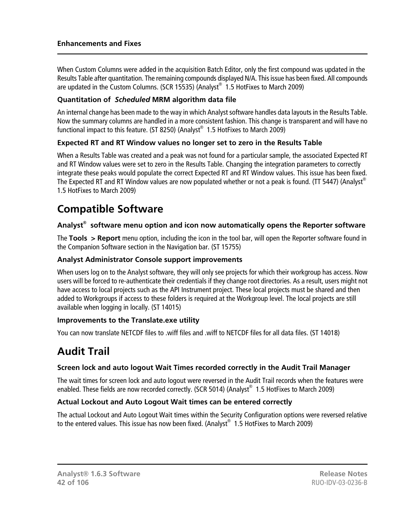When Custom Columns were added in the acquisition Batch Editor, only the first compound was updated in the Results Table after quantitation. The remaining compounds displayed N/A. This issue has been fixed. All compounds are updated in the Custom Columns. (SCR 15535) (Analyst® 1.5 HotFixes to March 2009)

#### **Quantitation of** *Scheduled* **MRM algorithm data file**

An internal change has been made to the way in which Analyst software handles data layouts in the Results Table. Now the summary columns are handled in a more consistent fashion. This change is transparent and will have no functional impact to this feature. (ST 8250) (Analyst $^\circledast$  1.5 HotFixes to March 2009)

### **Expected RT and RT Window values no longer set to zero in the Results Table**

When a Results Table was created and a peak was not found for a particular sample, the associated Expected RT and RT Window values were set to zero in the Results Table. Changing the integration parameters to correctly integrate these peaks would populate the correct Expected RT and RT Window values. This issue has been fixed. The Expected RT and RT Window values are now populated whether or not a peak is found. (TT 5447) (Analyst® 1.5 HotFixes to March 2009)

# **Compatible Software**

### **Analyst® software menu option and icon now automatically opens the Reporter software**

The **Tools > Report** menu option, including the icon in the tool bar, will open the Reporter software found in the Companion Software section in the Navigation bar. (ST 15755)

#### **Analyst Administrator Console support improvements**

When users log on to the Analyst software, they will only see projects for which their workgroup has access. Now users will be forced to re-authenticate their credentials if they change root directories. As a result, users might not have access to local projects such as the API Instrument project. These local projects must be shared and then added to Workgroups if access to these folders is required at the Workgroup level. The local projects are still available when logging in locally. (ST 14015)

#### **Improvements to the Translate.exe utility**

You can now translate NETCDF files to .wiff files and .wiff to NETCDF files for all data files. (ST 14018)

# **Audit Trail**

#### **Screen lock and auto logout Wait Times recorded correctly in the Audit Trail Manager**

The wait times for screen lock and auto logout were reversed in the Audit Trail records when the features were enabled. These fields are now recorded correctly. (SCR 5014) (Analyst® 1.5 HotFixes to March 2009)

#### **Actual Lockout and Auto Logout Wait times can be entered correctly**

The actual Lockout and Auto Logout Wait times within the Security Configuration options were reversed relative to the entered values. This issue has now been fixed. (Analyst® 1.5 HotFixes to March 2009)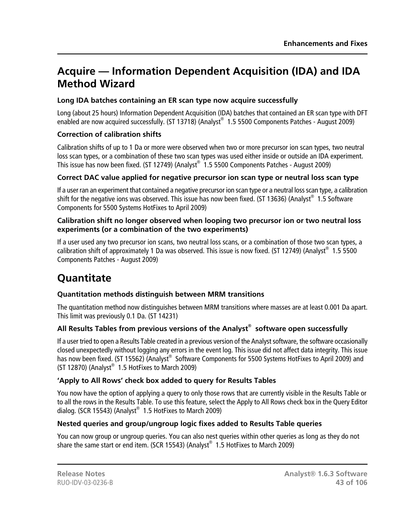# **Acquire — Information Dependent Acquisition (IDA) and IDA Method Wizard**

# **Long IDA batches containing an ER scan type now acquire successfully**

Long (about 25 hours) Information Dependent Acquisition (IDA) batches that contained an ER scan type with DFT enabled are now acquired successfully. (ST 13718) (Analyst® 1.5 5500 Components Patches - August 2009)

## **Correction of calibration shifts**

Calibration shifts of up to 1 Da or more were observed when two or more precursor ion scan types, two neutral loss scan types, or a combination of these two scan types was used either inside or outside an IDA experiment. This issue has now been fixed. (ST 12749) (Analyst® 1.5 5500 Components Patches - August 2009)

### **Correct DAC value applied for negative precursor ion scan type or neutral loss scan type**

If a user ran an experiment that contained a negative precursor ion scan type or a neutral loss scan type, a calibration shift for the negative ions was observed. This issue has now been fixed. (ST 13636) (Analyst $^{\circledast}$  1.5 Software Components for 5500 Systems HotFixes to April 2009)

#### **Calibration shift no longer observed when looping two precursor ion or two neutral loss experiments (or a combination of the two experiments)**

If a user used any two precursor ion scans, two neutral loss scans, or a combination of those two scan types, a calibration shift of approximately 1 Da was observed. This issue is now fixed. (ST 12749) (Analyst® 1.5 5500 Components Patches - August 2009)

# **Quantitate**

# **Quantitation methods distinguish between MRM transitions**

The quantitation method now distinguishes between MRM transitions where masses are at least 0.001 Da apart. This limit was previously 0.1 Da. (ST 14231)

# **All Results Tables from previous versions of the Analyst® software open successfully**

If a user tried to open a Results Table created in a previous version of the Analyst software, the software occasionally closed unexpectedly without logging any errors in the event log. This issue did not affect data integrity. This issue has now been fixed. (ST 15562) (Analyst® Software Components for 5500 Systems HotFixes to April 2009) and  $(ST 12870)$  (Analyst $^{\circledast}$  1.5 HotFixes to March 2009)

# **'Apply to All Rows' check box added to query for Results Tables**

You now have the option of applying a query to only those rows that are currently visible in the Results Table or to all the rows in the Results Table. To use this feature, select the Apply to All Rows check box in the Query Editor dialog. (SCR 15543) (Analyst $^\circledast$  1.5 HotFixes to March 2009)

# **Nested queries and group/ungroup logic fixes added to Results Table queries**

You can now group or ungroup queries. You can also nest queries within other queries as long as they do not share the same start or end item. (SCR 15543) (Analyst $^{\circledast}$  1.5 HotFixes to March 2009)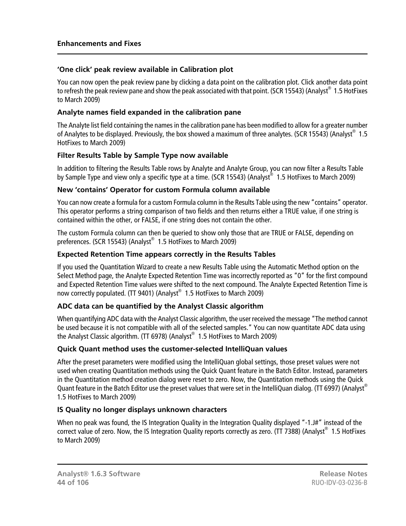#### **'One click' peak review available in Calibration plot**

You can now open the peak review pane by clicking a data point on the calibration plot. Click another data point to refresh the peak review pane and show the peak associated with that point. (SCR 15543) (Analyst $^{\circledast}$  1.5 HotFixes to March 2009)

#### **Analyte names field expanded in the calibration pane**

The Analyte list field containing the names in the calibration pane has been modified to allow for a greater number of Analytes to be displayed. Previously, the box showed a maximum of three analytes. (SCR 15543) (Analyst® 1.5 HotFixes to March 2009)

# **Filter Results Table by Sample Type now available**

In addition to filtering the Results Table rows by Analyte and Analyte Group, you can now filter a Results Table by Sample Type and view only a specific type at a time. (SCR 15543) (Analyst® 1.5 HotFixes to March 2009)

### **New 'contains' Operator for custom Formula column available**

You can now create a formula for a custom Formula column in the Results Table using the new "contains" operator. This operator performs a string comparison of two fields and then returns either a TRUE value, if one string is contained within the other, or FALSE, if one string does not contain the other.

The custom Formula column can then be queried to show only those that are TRUE or FALSE, depending on preferences. (SCR 15543) (Analyst® 1.5 HotFixes to March 2009)

# **Expected Retention Time appears correctly in the Results Tables**

If you used the Quantitation Wizard to create a new Results Table using the Automatic Method option on the Select Method page, the Analyte Expected Retention Time was incorrectly reported as "0" for the first compound and Expected Retention Time values were shifted to the next compound. The Analyte Expected Retention Time is now correctly populated. (TT 9401) (Analyst® 1.5 HotFixes to March 2009)

# **ADC data can be quantified by the Analyst Classic algorithm**

When quantifying ADC data with the Analyst Classic algorithm, the user received the message "The method cannot be used because it is not compatible with all of the selected samples." You can now quantitate ADC data using the Analyst Classic algorithm. (TT 6978) (Analyst® 1.5 HotFixes to March 2009)

# **Quick Quant method uses the customer-selected IntelliQuan values**

After the preset parameters were modified using the IntelliQuan global settings, those preset values were not used when creating Quantitation methods using the Quick Quant feature in the Batch Editor. Instead, parameters in the Quantitation method creation dialog were reset to zero. Now, the Quantitation methods using the Quick Quant feature in the Batch Editor use the preset values that were set in the IntelliQuan dialog. (TT 6997) (Analyst® 1.5 HotFixes to March 2009)

# **IS Quality no longer displays unknown characters**

When no peak was found, the IS Integration Quality in the Integration Quality displayed "-1.J#" instead of the correct value of zero. Now, the IS Integration Quality reports correctly as zero. (TT 7388) (Analyst® 1.5 HotFixes to March 2009)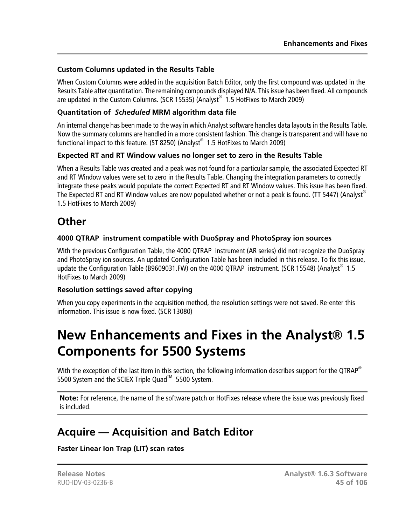#### **Custom Columns updated in the Results Table**

When Custom Columns were added in the acquisition Batch Editor, only the first compound was updated in the Results Table after quantitation. The remaining compounds displayed N/A. This issue has been fixed. All compounds are updated in the Custom Columns. (SCR 15535) (Analyst® 1.5 HotFixes to March 2009)

### **Quantitation of** *Scheduled* **MRM algorithm data file**

An internal change has been made to the way in which Analyst software handles data layouts in the Results Table. Now the summary columns are handled in a more consistent fashion. This change is transparent and will have no functional impact to this feature. (ST 8250) (Analyst $^\circledast$  1.5 HotFixes to March 2009)

### **Expected RT and RT Window values no longer set to zero in the Results Table**

When a Results Table was created and a peak was not found for a particular sample, the associated Expected RT and RT Window values were set to zero in the Results Table. Changing the integration parameters to correctly integrate these peaks would populate the correct Expected RT and RT Window values. This issue has been fixed. The Expected RT and RT Window values are now populated whether or not a peak is found. (TT 5447) (Analyst® 1.5 HotFixes to March 2009)

# **Other**

# **4000 QTRAP instrument compatible with DuoSpray and PhotoSpray ion sources**

With the previous Configuration Table, the 4000 QTRAP instrument (AR series) did not recognize the DuoSpray and PhotoSpray ion sources. An updated Configuration Table has been included in this release. To fix this issue, update the Configuration Table (B9609031.FW) on the 4000 QTRAP instrument. (SCR 15548) (Analyst<sup>®</sup> 1.5 HotFixes to March 2009)

#### **Resolution settings saved after copying**

When you copy experiments in the acquisition method, the resolution settings were not saved. Re-enter this information. This issue is now fixed. (SCR 13080)

# **New Enhancements and Fixes in the Analyst® 1.5 Components for 5500 Systems**

With the exception of the last item in this section, the following information describes support for the QTRAP<sup>®</sup> 5500 System and the SCIEX Triple Quad<sup>™</sup> 5500 System.

**Note:** For reference, the name of the software patch or HotFixes release where the issue was previously fixed is included.

# **Acquire — Acquisition and Batch Editor**

# **Faster Linear Ion Trap (LIT) scan rates**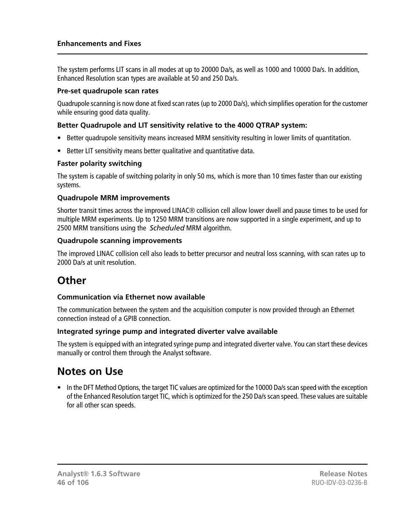The system performs LIT scans in all modes at up to 20000 Da/s, as well as 1000 and 10000 Da/s. In addition, Enhanced Resolution scan types are available at 50 and 250 Da/s.

#### **Pre-set quadrupole scan rates**

Quadrupole scanning is now done at fixed scan rates (up to 2000 Da/s), which simplifies operation for the customer while ensuring good data quality.

#### **Better Quadrupole and LIT sensitivity relative to the 4000 QTRAP system:**

- Better quadrupole sensitivity means increased MRM sensitivity resulting in lower limits of quantitation.
- Better LIT sensitivity means better qualitative and quantitative data.

#### **Faster polarity switching**

The system is capable of switching polarity in only 50 ms, which is more than 10 times faster than our existing systems.

#### **Quadrupole MRM improvements**

Shorter transit times across the improved LINAC® collision cell allow lower dwell and pause times to be used for multiple MRM experiments. Up to 1250 MRM transitions are now supported in a single experiment, and up to 2500 MRM transitions using the *Scheduled* MRM algorithm.

#### **Quadrupole scanning improvements**

The improved LINAC collision cell also leads to better precursor and neutral loss scanning, with scan rates up to 2000 Da/s at unit resolution.

# **Other**

#### **Communication via Ethernet now available**

The communication between the system and the acquisition computer is now provided through an Ethernet connection instead of a GPIB connection.

#### **Integrated syringe pump and integrated diverter valve available**

The system is equipped with an integrated syringe pump and integrated diverter valve. You can start these devices manually or control them through the Analyst software.

# **Notes on Use**

• In the DFT Method Options, the target TIC values are optimized for the 10000 Da/s scan speed with the exception of the Enhanced Resolution target TIC, which is optimized for the 250 Da/s scan speed. These values are suitable for all other scan speeds.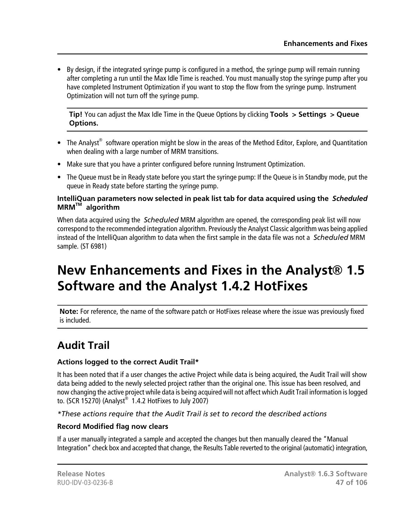• By design, if the integrated syringe pump is configured in a method, the syringe pump will remain running after completing a run until the Max Idle Time is reached. You must manually stop the syringe pump after you have completed Instrument Optimization if you want to stop the flow from the syringe pump. Instrument Optimization will not turn off the syringe pump.

**Tip!** You can adjust the Max Idle Time in the Queue Options by clicking **Tools > Settings > Queue Options.**

- The Analyst<sup>®</sup> software operation might be slow in the areas of the Method Editor, Explore, and Quantitation when dealing with a large number of MRM transitions.
- Make sure that you have a printer configured before running Instrument Optimization.
- The Queue must be in Ready state before you start the syringe pump: If the Queue is in Standby mode, put the queue in Ready state before starting the syringe pump.

#### **IntelliQuan parameters now selected in peak list tab for data acquired using the** *Scheduled* **MRMTM algorithm**

When data acquired using the *Scheduled* MRM algorithm are opened, the corresponding peak list will now correspond to the recommended integration algorithm. Previously the Analyst Classic algorithm was being applied instead of the IntelliQuan algorithm to data when the first sample in the data file was not a *Scheduled* MRM sample. (ST 6981)

# **New Enhancements and Fixes in the Analyst® 1.5 Software and the Analyst 1.4.2 HotFixes**

**Note:** For reference, the name of the software patch or HotFixes release where the issue was previously fixed is included.

# **Audit Trail**

# **Actions logged to the correct Audit Trail\***

It has been noted that if a user changes the active Project while data is being acquired, the Audit Trail will show data being added to the newly selected project rather than the original one. This issue has been resolved, and now changing the active project while data is being acquired will not affect which Audit Trail information is logged to. (SCR 15270) (Analyst $^{\circ}$  1.4.2 HotFixes to July 2007)

# *\*These actions require that the Audit Trail is set to record the described actions*

# **Record Modified flag now clears**

If a user manually integrated a sample and accepted the changes but then manually cleared the "Manual Integration" check box and accepted that change, the Results Table reverted to the original (automatic) integration,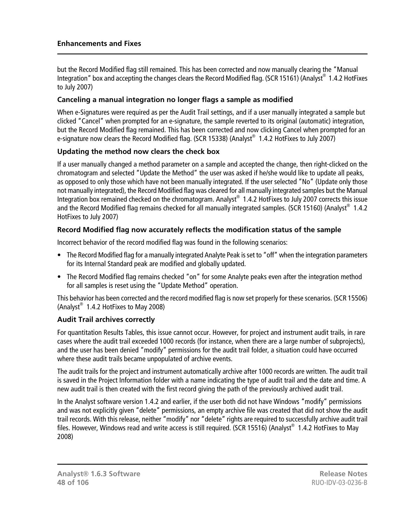but the Record Modified flag still remained. This has been corrected and now manually clearing the "Manual Integration" box and accepting the changes clears the Record Modified flag. (SCR 15161) (Analyst® 1.4.2 HotFixes to July 2007)

#### **Canceling a manual integration no longer flags a sample as modified**

When e-Signatures were required as per the Audit Trail settings, and if a user manually integrated a sample but clicked "Cancel" when prompted for an e-signature, the sample reverted to its original (automatic) integration, but the Record Modified flag remained. This has been corrected and now clicking Cancel when prompted for an e-signature now clears the Record Modified flag. (SCR 15338) (Analyst® 1.4.2 HotFixes to July 2007)

#### **Updating the method now clears the check box**

If a user manually changed a method parameter on a sample and accepted the change, then right-clicked on the chromatogram and selected "Update the Method" the user was asked if he/she would like to update all peaks, as opposed to only those which have not been manually integrated. If the user selected "No" (Update only those not manually integrated), the Record Modified flag was cleared for all manually integrated samples but the Manual Integration box remained checked on the chromatogram. Analyst® 1.4.2 HotFixes to July 2007 corrects this issue and the Record Modified flag remains checked for all manually integrated samples. (SCR 15160) (Analyst® 1.4.2 HotFixes to July 2007)

#### **Record Modified flag now accurately reflects the modification status of the sample**

Incorrect behavior of the record modified flag was found in the following scenarios:

- The Record Modified flag for a manually integrated Analyte Peak is set to "off" when the integration parameters for its Internal Standard peak are modified and globally updated.
- The Record Modified flag remains checked "on" for some Analyte peaks even after the integration method for all samples is reset using the "Update Method" operation.

This behavior has been corrected and the record modified flag is now set properly for these scenarios. (SCR 15506) (Analyst $^{\circ}$  1.4.2 HotFixes to May 2008)

#### **Audit Trail archives correctly**

For quantitation Results Tables, this issue cannot occur. However, for project and instrument audit trails, in rare cases where the audit trail exceeded 1000 records (for instance, when there are a large number of subprojects), and the user has been denied "modify" permissions for the audit trail folder, a situation could have occurred where these audit trails became unpopulated of archive events.

The audit trails for the project and instrument automatically archive after 1000 records are written. The audit trail is saved in the Project Information folder with a name indicating the type of audit trail and the date and time. A new audit trail is then created with the first record giving the path of the previously archived audit trail.

In the Analyst software version 1.4.2 and earlier, if the user both did not have Windows "modify" permissions and was not explicitly given "delete" permissions, an empty archive file was created that did not show the audit trail records. With this release, neither "modify" nor "delete" rights are required to successfully archive audit trail files. However, Windows read and write access is still required. (SCR 15516) (Analyst® 1.4.2 HotFixes to May 2008)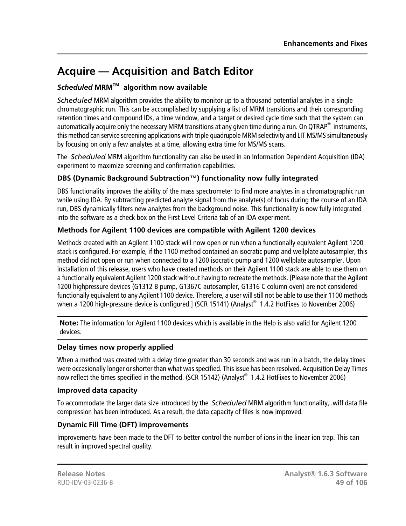# **Acquire — Acquisition and Batch Editor**

# *Scheduled* **MRMTM algorithm now available**

*Scheduled* MRM algorithm provides the ability to monitor up to a thousand potential analytes in a single chromatographic run. This can be accomplished by supplying a list of MRM transitions and their corresponding retention times and compound IDs, a time window, and a target or desired cycle time such that the system can automatically acquire only the necessary MRM transitions at any given time during a run. On QTRAP® instruments, this method can service screening applications with triple quadrupole MRM selectivity and LIT MS/MS simultaneously by focusing on only a few analytes at a time, allowing extra time for MS/MS scans.

The *Scheduled* MRM algorithm functionality can also be used in an Information Dependent Acquisition (IDA) experiment to maximize screening and confirmation capabilities.

# **DBS (Dynamic Background Subtraction™) functionality now fully integrated**

DBS functionality improves the ability of the mass spectrometer to find more analytes in a chromatographic run while using IDA. By subtracting predicted analyte signal from the analyte(s) of focus during the course of an IDA run, DBS dynamically filters new analytes from the background noise. This functionality is now fully integrated into the software as a check box on the First Level Criteria tab of an IDA experiment.

# **Methods for Agilent 1100 devices are compatible with Agilent 1200 devices**

Methods created with an Agilent 1100 stack will now open or run when a functionally equivalent Agilent 1200 stack is configured. For example, if the 1100 method contained an isocratic pump and wellplate autosampler, this method did not open or run when connected to a 1200 isocratic pump and 1200 wellplate autosampler. Upon installation of this release, users who have created methods on their Agilent 1100 stack are able to use them on a functionally equivalent Agilent 1200 stack without having to recreate the methods. [Please note that the Agilent 1200 highpressure devices (G1312 B pump, G1367C autosampler, G1316 C column oven) are not considered functionally equivalent to any Agilent 1100 device. Therefore, a user will still not be able to use their 1100 methods when a 1200 high-pressure device is configured.] (SCR 15141) (Analyst $^\circledast$  1.4.2 HotFixes to November 2006)

**Note:** The information for Agilent 1100 devices which is available in the Help is also valid for Agilent 1200 devices.

# **Delay times now properly applied**

When a method was created with a delay time greater than 30 seconds and was run in a batch, the delay times were occasionally longer or shorter than what was specified. This issue has been resolved. Acquisition Delay Times now reflect the times specified in the method. (SCR 15142) (Analyst<sup>®</sup> 1.4.2 HotFixes to November 2006)

#### **Improved data capacity**

To accommodate the larger data size introduced by the *Scheduled* MRM algorithm functionality, .wiff data file compression has been introduced. As a result, the data capacity of files is now improved.

# **Dynamic Fill Time (DFT) improvements**

Improvements have been made to the DFT to better control the number of ions in the linear ion trap. This can result in improved spectral quality.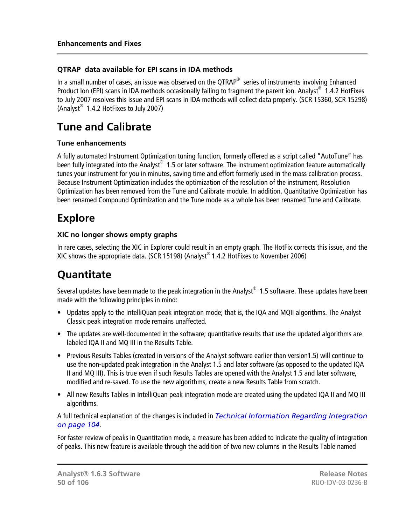## **QTRAP data available for EPI scans in IDA methods**

In a small number of cases, an issue was observed on the QTRAP<sup>®</sup> series of instruments involving Enhanced Product Ion (EPI) scans in IDA methods occasionally failing to fragment the parent ion. Analyst® 1.4.2 HotFixes to July 2007 resolves this issue and EPI scans in IDA methods will collect data properly. (SCR 15360, SCR 15298) (Analyst® 1.4.2 HotFixes to July 2007)

# **Tune and Calibrate**

#### **Tune enhancements**

A fully automated Instrument Optimization tuning function, formerly offered as a script called "AutoTune" has been fully integrated into the Analyst® 1.5 or later software. The instrument optimization feature automatically tunes your instrument for you in minutes, saving time and effort formerly used in the mass calibration process. Because Instrument Optimization includes the optimization of the resolution of the instrument, Resolution Optimization has been removed from the Tune and Calibrate module. In addition, Quantitative Optimization has been renamed Compound Optimization and the Tune mode as a whole has been renamed Tune and Calibrate.

# **Explore**

#### **XIC no longer shows empty graphs**

In rare cases, selecting the XIC in Explorer could result in an empty graph. The HotFix corrects this issue, and the XIC shows the appropriate data. (SCR 15198) (Analyst® 1.4.2 HotFixes to November 2006)

# **Quantitate**

Several updates have been made to the peak integration in the Analyst $^{\circledast}$  1.5 software. These updates have been made with the following principles in mind:

- Updates apply to the IntelliQuan peak integration mode; that is, the IQA and MQII algorithms. The Analyst Classic peak integration mode remains unaffected.
- The updates are well-documented in the software; quantitative results that use the updated algorithms are labeled IQA II and MQ III in the Results Table.
- Previous Results Tables (created in versions of the Analyst software earlier than version1.5) will continue to use the non-updated peak integration in the Analyst 1.5 and later software (as opposed to the updated IQA II and MQ III). This is true even if such Results Tables are opened with the Analyst 1.5 and later software, modified and re-saved. To use the new algorithms, create a new Results Table from scratch.
- All new Results Tables in IntelliQuan peak integration mode are created using the updated IQA II and MQ III algorithms.

A full technical explanation of the changes is included in *[Technical Information Regarding Integration](#page-103-0) [on page 104](#page-103-0)*.

For faster review of peaks in Quantitation mode, a measure has been added to indicate the quality of integration of peaks. This new feature is available through the addition of two new columns in the Results Table named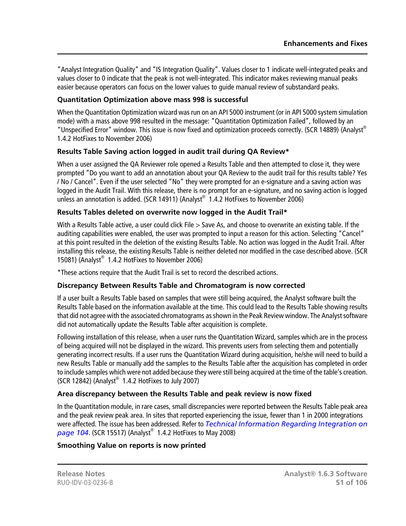"Analyst Integration Quality" and "IS Integration Quality". Values closer to 1 indicate well-integrated peaks and values closer to 0 indicate that the peak is not well-integrated. This indicator makes reviewing manual peaks easier because operators can focus on the lower values to guide manual review of substandard peaks.

### **Quantitation Optimization above mass 998 is successful**

When the Quantitation Optimization wizard was run on an API 5000 instrument (or in API 5000 system simulation mode) with a mass above 998 resulted in the message: "Quantitation Optimization Failed", followed by an "Unspecified Error" window. This issue is now fixed and optimization proceeds correctly. (SCR 14889) (Analyst® 1.4.2 HotFixes to November 2006)

### **Results Table Saving action logged in audit trail during QA Review\***

When a user assigned the QA Reviewer role opened a Results Table and then attempted to close it, they were prompted "Do you want to add an annotation about your QA Review to the audit trail for this results table? Yes / No / Cancel". Even if the user selected "No" they were prompted for an e-signature and a saving action was logged in the Audit Trail. With this release, there is no prompt for an e-signature, and no saving action is logged unless an annotation is added. (SCR 14911) (Analyst® 1.4.2 HotFixes to November 2006)

### **Results Tables deleted on overwrite now logged in the Audit Trail\***

With a Results Table active, a user could click File > Save As, and choose to overwrite an existing table. If the auditing capabilities were enabled, the user was prompted to input a reason for this action. Selecting "Cancel" at this point resulted in the deletion of the existing Results Table. No action was logged in the Audit Trail. After installing this release, the existing Results Table is neither deleted nor modified in the case described above. (SCR 15081) (Analyst® 1.4.2 HotFixes to November 2006)

\*These actions require that the Audit Trail is set to record the described actions.

#### **Discrepancy Between Results Table and Chromatogram is now corrected**

If a user built a Results Table based on samples that were still being acquired, the Analyst software built the Results Table based on the information available at the time. This could lead to the Results Table showing results that did not agree with the associated chromatograms as shown in the Peak Review window. The Analyst software did not automatically update the Results Table after acquisition is complete.

Following installation of this release, when a user runs the Quantitation Wizard, samples which are in the process of being acquired will not be displayed in the wizard. This prevents users from selecting them and potentially generating incorrect results. If a user runs the Quantitation Wizard during acquisition, he/she will need to build a new Results Table or manually add the samples to the Results Table after the acquisition has completed in order to include samples which were not added because they were still being acquired at the time of the table's creation.  $(SCR 12842)$  (Analyst® 1.4.2 HotFixes to July 2007)

#### **Area discrepancy between the Results Table and peak review is now fixed**

In the Quantitation module, in rare cases, small discrepancies were reported between the Results Table peak area and the peak review peak area. In sites that reported experiencing the issue, fewer than 1 in 2000 integrations were affected. The issue has been addressed. Refer to *[Technical Information Regarding Integration on](#page-103-0) [page 104](#page-103-0)*. (SCR 15517) (Analyst® 1.4.2 HotFixes to May 2008)

#### **Smoothing Value on reports is now printed**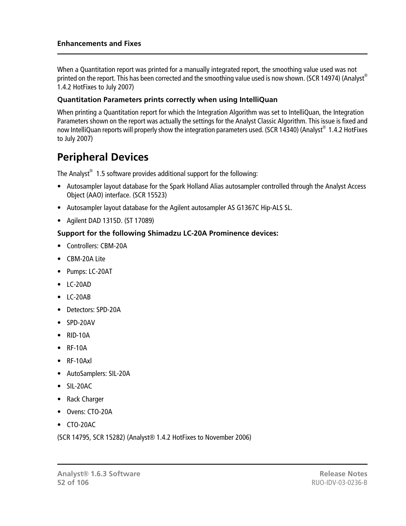When a Quantitation report was printed for a manually integrated report, the smoothing value used was not printed on the report. This has been corrected and the smoothing value used is now shown. (SCR 14974) (Analyst® 1.4.2 HotFixes to July 2007)

#### **Quantitation Parameters prints correctly when using IntelliQuan**

When printing a Quantitation report for which the Integration Algorithm was set to IntelliQuan, the Integration Parameters shown on the report was actually the settings for the Analyst Classic Algorithm. This issue is fixed and now IntelliQuan reports will properly show the integration parameters used. (SCR 14340) (Analyst $^\circledR$  1.4.2 HotFixes to July 2007)

# **Peripheral Devices**

The Analyst $^{\circledast}$  1.5 software provides additional support for the following:

- Autosampler layout database for the Spark Holland Alias autosampler controlled through the Analyst Access Object (AAO) interface. (SCR 15523)
- Autosampler layout database for the Agilent autosampler AS G1367C Hip-ALS SL.
- Agilent DAD 1315D. (ST 17089)

### **Support for the following Shimadzu LC-20A Prominence devices:**

- Controllers: CBM-20A
- CBM-20A Lite
- Pumps: LC-20AT
- LC-20AD
- LC-20AB
- Detectors: SPD-20A
- SPD-20AV
- RID-10A
- RF-10A
- RF-10Axl
- AutoSamplers: SIL-20A
- SIL-20AC
- Rack Charger
- Ovens: CTO-20A
- CTO-20AC

(SCR 14795, SCR 15282) (Analyst® 1.4.2 HotFixes to November 2006)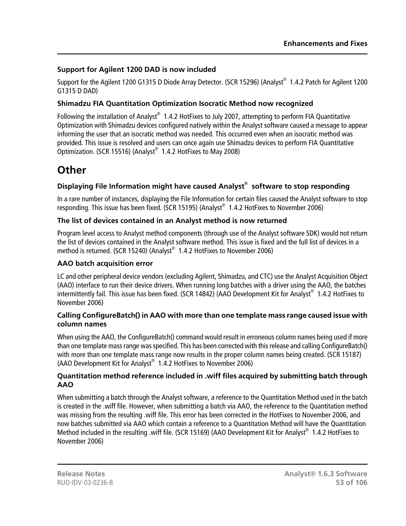# **Support for Agilent 1200 DAD is now included**

Support for the Agilent 1200 G1315 D Diode Array Detector. (SCR 15296) (Analyst® 1.4.2 Patch for Agilent 1200 G1315 D DAD)

# **Shimadzu FIA Quantitation Optimization Isocratic Method now recognized**

Following the installation of Analyst® 1.4.2 HotFixes to July 2007, attempting to perform FIA Quantitative Optimization with Shimadzu devices configured natively within the Analyst software caused a message to appear informing the user that an isocratic method was needed. This occurred even when an isocratic method was provided. This issue is resolved and users can once again use Shimadzu devices to perform FIA Quantitative Optimization. (SCR 15516) (Analyst® 1.4.2 HotFixes to May 2008)

# **Other**

# **Displaying File Information might have caused Analyst® software to stop responding**

In a rare number of instances, displaying the File Information for certain files caused the Analyst software to stop responding. This issue has been fixed. (SCR 15195) (Analyst® 1.4.2 HotFixes to November 2006)

# **The list of devices contained in an Analyst method is now returned**

Program level access to Analyst method components (through use of the Analyst software SDK) would not return the list of devices contained in the Analyst software method. This issue is fixed and the full list of devices in a method is returned. (SCR 15240) (Analyst® 1.4.2 HotFixes to November 2006)

# **AAO batch acquisition error**

LC and other peripheral device vendors (excluding Agilent, Shimadzu, and CTC) use the Analyst Acquisition Object (AAO) interface to run their device drivers. When running long batches with a driver using the AAO, the batches intermittently fail. This issue has been fixed. (SCR 14842) (AAO Development Kit for Analyst® 1.4.2 HotFixes to November 2006)

#### **Calling ConfigureBatch() in AAO with more than one template mass range caused issue with column names**

When using the AAO, the ConfigureBatch() command would result in erroneous column names being used if more than one template mass range was specified. This has been corrected with this release and calling ConfigureBatch() with more than one template mass range now results in the proper column names being created. (SCR 15187) (AAO Development Kit for Analyst® 1.4.2 HotFixes to November 2006)

#### **Quantitation method reference included in .wiff files acquired by submitting batch through AAO**

When submitting a batch through the Analyst software, a reference to the Quantitation Method used in the batch is created in the .wiff file. However, when submitting a batch via AAO, the reference to the Quantitation method was missing from the resulting .wiff file. This error has been corrected in the HotFixes to November 2006, and now batches submitted via AAO which contain a reference to a Quantitation Method will have the Quantitation Method included in the resulting .wiff file. (SCR 15169) (AAO Development Kit for Analyst® 1.4.2 HotFixes to November 2006)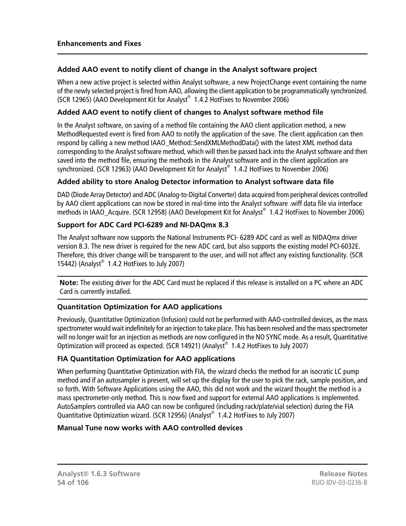### **Added AAO event to notify client of change in the Analyst software project**

When a new active project is selected within Analyst software, a new ProjectChange event containing the name of the newly selected project is fired from AAO, allowing the client application to be programmatically synchronized. (SCR 12965) (AAO Development Kit for Analyst® 1.4.2 HotFixes to November 2006)

#### **Added AAO event to notify client of changes to Analyst software method file**

In the Analyst software, on saving of a method file containing the AAO client application method, a new MethodRequested event is fired from AAO to notify the application of the save. The client application can then respond by calling a new method IAAO\_Method::SendXMLMethodData() with the latest XML method data corresponding to the Analyst software method, which will then be passed back into the Analyst software and then saved into the method file, ensuring the methods in the Analyst software and in the client application are synchronized. (SCR 12963) (AAO Development Kit for Analyst® 1.4.2 HotFixes to November 2006)

### **Added ability to store Analog Detector information to Analyst software data file**

DAD (Diode Array Detector) and ADC (Analog-to-Digital Converter) data acquired from peripheral devices controlled by AAO client applications can now be stored in real-time into the Analyst software .wiff data file via interface methods in IAAO\_Acquire. (SCR 12958) (AAO Development Kit for Analyst® 1.4.2 HotFixes to November 2006)

## **Support for ADC Card PCI-6289 and NI-DAQmx 8.3**

The Analyst software now supports the National Instruments PCI- 6289 ADC card as well as NIDAQmx driver version 8.3. The new driver is required for the new ADC card, but also supports the existing model PCI-6032E. Therefore, this driver change will be transparent to the user, and will not affect any existing functionality. (SCR 15442) (Analyst® 1.4.2 HotFixes to July 2007)

**Note:** The existing driver for the ADC Card must be replaced if this release is installed on a PC where an ADC Card is currently installed.

# **Quantitation Optimization for AAO applications**

Previously, Quantitative Optimization (Infusion) could not be performed with AAO-controlled devices, as the mass spectrometer would wait indefinitely for an injection to take place. This has been resolved and the mass spectrometer will no longer wait for an injection as methods are now configured in the NO SYNC mode. As a result, Quantitative Optimization will proceed as expected. (SCR 14921) (Analyst® 1.4.2 HotFixes to July 2007)

#### **FIA Quantitation Optimization for AAO applications**

When performing Quantitative Optimization with FIA, the wizard checks the method for an isocratic LC pump method and if an autosampler is present, will set up the display for the user to pick the rack, sample position, and so forth. With Software Applications using the AAO, this did not work and the wizard thought the method is a mass spectrometer-only method. This is now fixed and support for external AAO applications is implemented. AutoSamplers controlled via AAO can now be configured (including rack/plate/vial selection) during the FIA Quantitative Optimization wizard. (SCR 12956) (Analyst® 1.4.2 HotFixes to July 2007)

#### **Manual Tune now works with AAO controlled devices**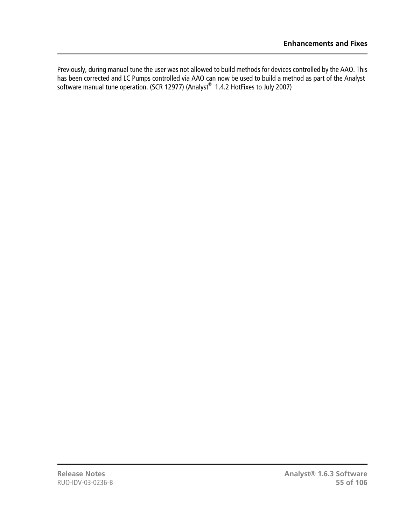Previously, during manual tune the user was not allowed to build methods for devices controlled by the AAO. This has been corrected and LC Pumps controlled via AAO can now be used to build a method as part of the Analyst software manual tune operation. (SCR 12977) (Analyst® 1.4.2 HotFixes to July 2007)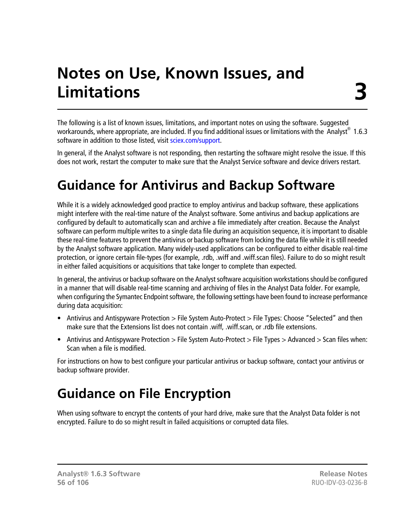# **Notes on Use, Known Issues, and Limitations**

The following is a list of known issues, limitations, and important notes on using the software. Suggested workarounds, where appropriate, are included. If you find additional issues or limitations with the Analyst $^{\circ}\,$  1.6.3 software in addition to those listed, visit [sciex.com/support.](http://sciex.com/support)

In general, if the Analyst software is not responding, then restarting the software might resolve the issue. If this does not work, restart the computer to make sure that the Analyst Service software and device drivers restart.

# **Guidance for Antivirus and Backup Software**

While it is a widely acknowledged good practice to employ antivirus and backup software, these applications might interfere with the real-time nature of the Analyst software. Some antivirus and backup applications are configured by default to automatically scan and archive a file immediately after creation. Because the Analyst software can perform multiple writes to a single data file during an acquisition sequence, it is important to disable these real-time features to prevent the antivirus or backup software from locking the data file while it is still needed by the Analyst software application. Many widely-used applications can be configured to either disable real-time protection, or ignore certain file-types (for example, .rdb, .wiff and .wiff.scan files). Failure to do so might result in either failed acquisitions or acquisitions that take longer to complete than expected.

In general, the antivirus or backup software on the Analyst software acquisition workstations should be configured in a manner that will disable real-time scanning and archiving of files in the Analyst Data folder. For example, when configuring the Symantec Endpoint software, the following settings have been found to increase performance during data acquisition:

- Antivirus and Antispyware Protection > File System Auto-Protect > File Types: Choose "Selected" and then make sure that the Extensions list does not contain .wiff, .wiff.scan, or .rdb file extensions.
- Antivirus and Antispyware Protection > File System Auto-Protect > File Types > Advanced > Scan files when: Scan when a file is modified.

For instructions on how to best configure your particular antivirus or backup software, contact your antivirus or backup software provider.

# **Guidance on File Encryption**

When using software to encrypt the contents of your hard drive, make sure that the Analyst Data folder is not encrypted. Failure to do so might result in failed acquisitions or corrupted data files.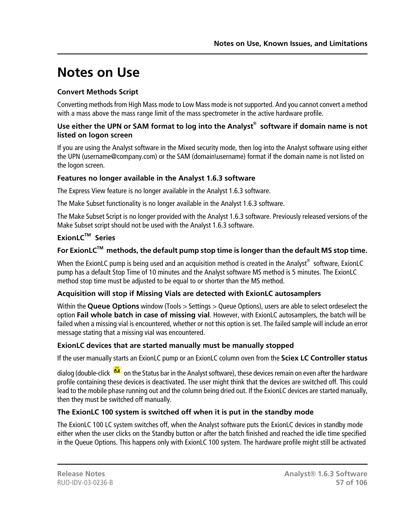# **Notes on Use**

# **Convert Methods Script**

Converting methods from High Mass mode to Low Mass mode is not supported. And you cannot convert a method with a mass above the mass range limit of the mass spectrometer in the active hardware profile.

### **Use either the UPN or SAM format to log into the Analyst® software if domain name is not listed on logon screen**

If you are using the Analyst software in the Mixed security mode, then log into the Analyst software using either the UPN (username@company.com) or the SAM (domain\username) format if the domain name is not listed on the logon screen.

# **Features no longer available in the Analyst 1.6.3 software**

The Express View feature is no longer available in the Analyst 1.6.3 software.

The Make Subset functionality is no longer available in the Analyst 1.6.3 software.

The Make Subset Script is no longer provided with the Analyst 1.6.3 software. Previously released versions of the Make Subset script should not be used with the Analyst 1.6.3 software.

# **ExionLCTM Series**

# **For ExionLCTM methods, the default pump stop time is longer than the default MS stop time.**

When the ExionLC pump is being used and an acquisition method is created in the Analyst $^{\circledast}$  software, ExionLC pump has a default Stop Time of 10 minutes and the Analyst software MS method is 5 minutes. The ExionLC method stop time must be adjusted to be equal to or shorter than the MS method.

# **Acquisition will stop if Missing Vials are detected with ExionLC autosamplers**

Within the **Queue Options** window (Tools > Settings > Queue Options), users are able to select ordeselect the option **Fail whole batch in case of missing vial**. However, with ExionLC autosamplers, the batch will be failed when a missing vial is encountered, whether or not this option is set. The failed sample will include an error message stating that a missing vial was encountered.

# **ExionLC devices that are started manually must be manually stopped**

If the user manually starts an ExionLC pump or an ExionLC column oven from the **Sciex LC Controller status**

dialog (double-click  $\frac{d^2}{dx}$  on the Status bar in the Analyst software), these devices remain on even after the hardware profile containing these devices is deactivated. The user might think that the devices are switched off. This could lead to the mobile phase running out and the column being dried out. If the ExionLC devices are started manually, then they must be switched off manually.

# **The ExionLC 100 system is switched off when it is put in the standby mode**

The ExionLC 100 LC system switches off, when the Analyst software puts the ExionLC devices in standby mode either when the user clicks on the Standby button or after the batch finished and reached the idle time specified in the Queue Options. This happens only with ExionLC 100 system. The hardware profile might still be activated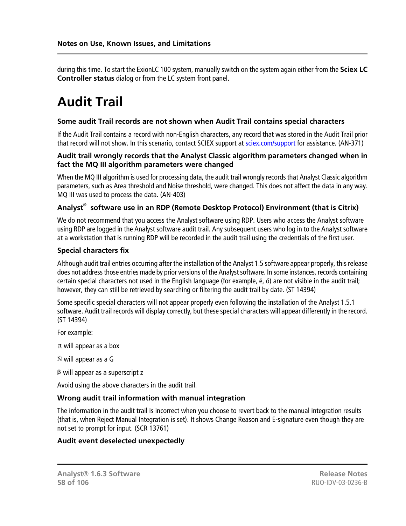during this time. To start the ExionLC 100 system, manually switch on the system again either from the **Sciex LC Controller status** dialog or from the LC system front panel.

# **Audit Trail**

#### **Some audit Trail records are not shown when Audit Trail contains special characters**

If the Audit Trail contains a record with non-English characters, any record that was stored in the Audit Trail prior that record will not show. In this scenario, contact SCIEX support at [sciex.com/support](http://sciex.com/support) for assistance. (AN-371)

#### **Audit trail wrongly records that the Analyst Classic algorithm parameters changed when in fact the MQ III algorithm parameters were changed**

When the MQ III algorithm is used for processing data, the audit trail wrongly records that Analyst Classic algorithm parameters, such as Area threshold and Noise threshold, were changed. This does not affect the data in any way. MQ III was used to process the data. (AN-403)

### **Analyst® software use in an RDP (Remote Desktop Protocol) Environment (that is Citrix)**

We do not recommend that you access the Analyst software using RDP. Users who access the Analyst software using RDP are logged in the Analyst software audit trail. Any subsequent users who log in to the Analyst software at a workstation that is running RDP will be recorded in the audit trail using the credentials of the first user.

#### **Special characters fix**

Although audit trail entries occurring after the installation of the Analyst 1.5 software appear properly, this release does not address those entries made by prior versions of the Analyst software. In some instances, records containing certain special characters not used in the English language (for example, é, ö) are not visible in the audit trail; however, they can still be retrieved by searching or filtering the audit trail by date. (ST 14394)

Some specific special characters will not appear properly even following the installation of the Analyst 1.5.1 software. Audit trail records will display correctly, but these special characters will appear differently in the record. (ST 14394)

For example:

will appear as a box

 $\tilde{N}$  will appear as a G

will appear as a superscript z

Avoid using the above characters in the audit trail.

#### **Wrong audit trail information with manual integration**

The information in the audit trail is incorrect when you choose to revert back to the manual integration results (that is, when Reject Manual Integration is set). It shows Change Reason and E-signature even though they are not set to prompt for input. (SCR 13761)

#### **Audit event deselected unexpectedly**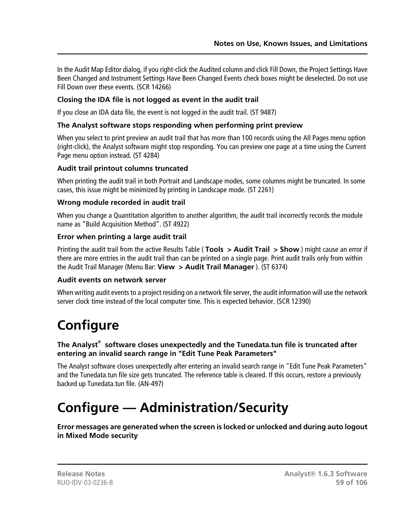In the Audit Map Editor dialog, if you right-click the Audited column and click Fill Down, the Project Settings Have Been Changed and Instrument Settings Have Been Changed Events check boxes might be deselected. Do not use Fill Down over these events. (SCR 14266)

### **Closing the IDA file is not logged as event in the audit trail**

If you close an IDA data file, the event is not logged in the audit trail. (ST 9487)

#### **The Analyst software stops responding when performing print preview**

When you select to print preview an audit trail that has more than 100 records using the All Pages menu option (right-click), the Analyst software might stop responding. You can preview one page at a time using the Current Page menu option instead. (ST 4284)

### **Audit trail printout columns truncated**

When printing the audit trail in both Portrait and Landscape modes, some columns might be truncated. In some cases, this issue might be minimized by printing in Landscape mode. (ST 2261)

### **Wrong module recorded in audit trail**

When you change a Quantitation algorithm to another algorithm, the audit trail incorrectly records the module name as "Build Acquisition Method". (ST 4922)

#### **Error when printing a large audit trail**

Printing the audit trail from the active Results Table ( **Tools > Audit Trail > Show** ) might cause an error if there are more entries in the audit trail than can be printed on a single page. Print audit trails only from within the Audit Trail Manager (Menu Bar: **View > Audit Trail Manager** ). (ST 6374)

#### **Audit events on network server**

When writing audit events to a project residing on a network file server, the audit information will use the network server clock time instead of the local computer time. This is expected behavior. (SCR 12390)

# **Configure**

### **The Analyst® software closes unexpectedly and the Tunedata.tun file is truncated after entering an invalid search range in "Edit Tune Peak Parameters"**

The Analyst software closes unexpectedly after entering an invalid search range in "Edit Tune Peak Parameters" and the Tunedata.tun file size gets truncated. The reference table is cleared. If this occurs, restore a previously backed up Tunedata.tun file. (AN-497)

# **Configure — Administration/Security**

**Error messages are generated when the screen is locked or unlocked and during auto logout in Mixed Mode security**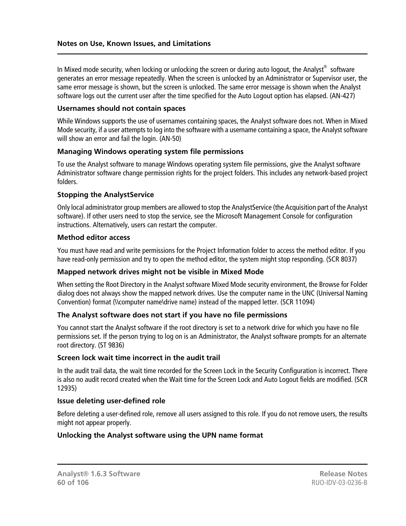In Mixed mode security, when locking or unlocking the screen or during auto logout, the Analyst $^\circledast$  software generates an error message repeatedly. When the screen is unlocked by an Administrator or Supervisor user, the same error message is shown, but the screen is unlocked. The same error message is shown when the Analyst software logs out the current user after the time specified for the Auto Logout option has elapsed. (AN-427)

#### **Usernames should not contain spaces**

While Windows supports the use of usernames containing spaces, the Analyst software does not. When in Mixed Mode security, if a user attempts to log into the software with a username containing a space, the Analyst software will show an error and fail the login. (AN-50)

#### **Managing Windows operating system file permissions**

To use the Analyst software to manage Windows operating system file permissions, give the Analyst software Administrator software change permission rights for the project folders. This includes any network-based project folders.

#### **Stopping the AnalystService**

Only local administrator group members are allowed to stop the Analyst Service (the Acquisition part of the Analyst software). If other users need to stop the service, see the Microsoft Management Console for configuration instructions. Alternatively, users can restart the computer.

#### **Method editor access**

You must have read and write permissions for the Project Information folder to access the method editor. If you have read-only permission and try to open the method editor, the system might stop responding. (SCR 8037)

#### **Mapped network drives might not be visible in Mixed Mode**

When setting the Root Directory in the Analyst software Mixed Mode security environment, the Browse for Folder dialog does not always show the mapped network drives. Use the computer name in the UNC (Universal Naming Convention) format (\\computer name\drive name) instead of the mapped letter. (SCR 11094)

#### **The Analyst software does not start if you have no file permissions**

You cannot start the Analyst software if the root directory is set to a network drive for which you have no file permissions set. If the person trying to log on is an Administrator, the Analyst software prompts for an alternate root directory. (ST 9836)

#### **Screen lock wait time incorrect in the audit trail**

In the audit trail data, the wait time recorded for the Screen Lock in the Security Configuration is incorrect. There is also no audit record created when the Wait time for the Screen Lock and Auto Logout fields are modified. (SCR 12935)

#### **Issue deleting user-defined role**

Before deleting a user-defined role, remove all users assigned to this role. If you do not remove users, the results might not appear properly.

#### **Unlocking the Analyst software using the UPN name format**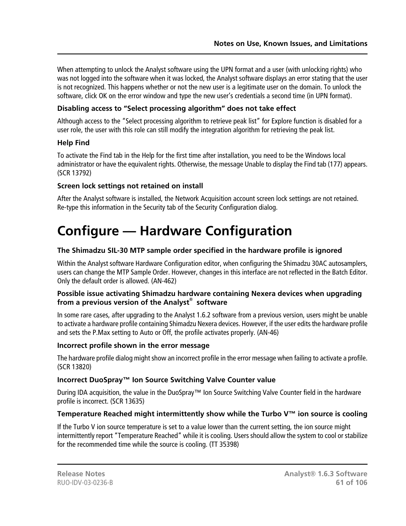When attempting to unlock the Analyst software using the UPN format and a user (with unlocking rights) who was not logged into the software when it was locked, the Analyst software displays an error stating that the user is not recognized. This happens whether or not the new user is a legitimate user on the domain. To unlock the software, click OK on the error window and type the new user's credentials a second time (in UPN format).

## **Disabling access to "Select processing algorithm" does not take effect**

Although access to the "Select processing algorithm to retrieve peak list" for Explore function is disabled for a user role, the user with this role can still modify the integration algorithm for retrieving the peak list.

### **Help Find**

To activate the Find tab in the Help for the first time after installation, you need to be the Windows local administrator or have the equivalent rights. Otherwise, the message Unable to display the Find tab (177) appears. (SCR 13792)

#### **Screen lock settings not retained on install**

After the Analyst software is installed, the Network Acquisition account screen lock settings are not retained. Re-type this information in the Security tab of the Security Configuration dialog.

# **Configure — Hardware Configuration**

### **The Shimadzu SIL-30 MTP sample order specified in the hardware profile is ignored**

Within the Analyst software Hardware Configuration editor, when configuring the Shimadzu 30AC autosamplers, users can change the MTP Sample Order. However, changes in this interface are not reflected in the Batch Editor. Only the default order is allowed. (AN-462)

#### **Possible issue activating Shimadzu hardware containing Nexera devices when upgrading from a previous version of the Analyst® software**

In some rare cases, after upgrading to the Analyst 1.6.2 software from a previous version, users might be unable to activate a hardware profile containing Shimadzu Nexera devices. However, if the user edits the hardware profile and sets the P.Max setting to Auto or Off, the profile activates properly. (AN-46)

#### **Incorrect profile shown in the error message**

The hardware profile dialog might show an incorrect profile in the error message when failing to activate a profile. (SCR 13820)

# **Incorrect DuoSpray™ Ion Source Switching Valve Counter value**

During IDA acquisition, the value in the DuoSpray™ Ion Source Switching Valve Counter field in the hardware profile is incorrect. (SCR 13635)

# **Temperature Reached might intermittently show while the Turbo V™ ion source is cooling**

If the Turbo V ion source temperature is set to a value lower than the current setting, the ion source might intermittently report "Temperature Reached" while it is cooling. Users should allow the system to cool or stabilize for the recommended time while the source is cooling. (TT 35398)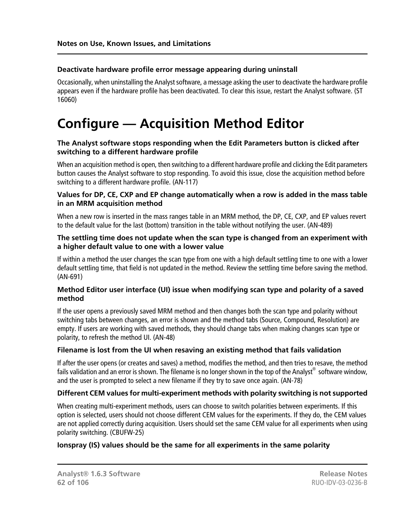#### **Deactivate hardware profile error message appearing during uninstall**

Occasionally, when uninstalling the Analyst software, a message asking the user to deactivate the hardware profile appears even if the hardware profile has been deactivated. To clear this issue, restart the Analyst software. (ST 16060)

# **Configure — Acquisition Method Editor**

#### **The Analyst software stops responding when the Edit Parameters button is clicked after switching to a different hardware profile**

When an acquisition method is open, then switching to a different hardware profile and clicking the Edit parameters button causes the Analyst software to stop responding. To avoid this issue, close the acquisition method before switching to a different hardware profile. (AN-117)

#### **Values for DP, CE, CXP and EP change automatically when a row is added in the mass table in an MRM acquisition method**

When a new row is inserted in the mass ranges table in an MRM method, the DP, CE, CXP, and EP values revert to the default value for the last (bottom) transition in the table without notifying the user. (AN-489)

#### **The settling time does not update when the scan type is changed from an experiment with a higher default value to one with a lower value**

If within a method the user changes the scan type from one with a high default settling time to one with a lower default settling time, that field is not updated in the method. Review the settling time before saving the method. (AN-691)

#### **Method Editor user interface (UI) issue when modifying scan type and polarity of a saved method**

If the user opens a previously saved MRM method and then changes both the scan type and polarity without switching tabs between changes, an error is shown and the method tabs (Source, Compound, Resolution) are empty. If users are working with saved methods, they should change tabs when making changes scan type or polarity, to refresh the method UI. (AN-48)

#### **Filename is lost from the UI when resaving an existing method that fails validation**

If after the user opens (or creates and saves) a method, modifies the method, and then tries to resave, the method fails validation and an error is shown. The filename is no longer shown in the top of the Analyst $^{\circledast}$  software window, and the user is prompted to select a new filename if they try to save once again. (AN-78)

#### **Different CEM values for multi-experiment methods with polarity switching is not supported**

When creating multi-experiment methods, users can choose to switch polarities between experiments. If this option is selected, users should not choose different CEM values for the experiments. If they do, the CEM values are not applied correctly during acquisition. Users should set the same CEM value for all experiments when using polarity switching. (CBUFW-25)

# **Ionspray (IS) values should be the same for all experiments in the same polarity**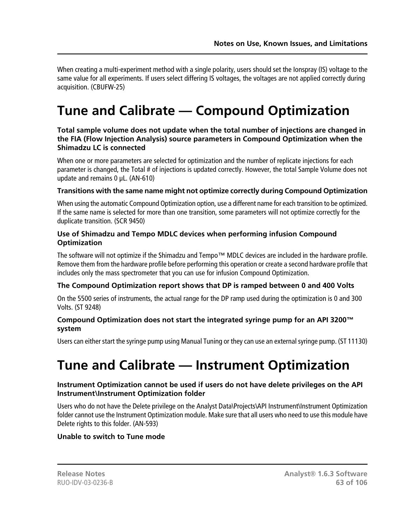When creating a multi-experiment method with a single polarity, users should set the Ionspray (IS) voltage to the same value for all experiments. If users select differing IS voltages, the voltages are not applied correctly during acquisition. (CBUFW-25)

# **Tune and Calibrate — Compound Optimization**

#### **Total sample volume does not update when the total number of injections are changed in the FIA (Flow Injection Analysis) source parameters in Compound Optimization when the Shimadzu LC is connected**

When one or more parameters are selected for optimization and the number of replicate injections for each parameter is changed, the Total # of injections is updated correctly. However, the total Sample Volume does not update and remains 0 µL. (AN-610)

#### **Transitions with the same name might not optimize correctly during Compound Optimization**

When using the automatic Compound Optimization option, use a different name for each transition to be optimized. If the same name is selected for more than one transition, some parameters will not optimize correctly for the duplicate transition. (SCR 9450)

#### **Use of Shimadzu and Tempo MDLC devices when performing infusion Compound Optimization**

The software will not optimize if the Shimadzu and Tempo™ MDLC devices are included in the hardware profile. Remove them from the hardware profile before performing this operation or create a second hardware profile that includes only the mass spectrometer that you can use for infusion Compound Optimization.

# **The Compound Optimization report shows that DP is ramped between 0 and 400 Volts**

On the 5500 series of instruments, the actual range for the DP ramp used during the optimization is 0 and 300 Volts. (ST 9248)

#### **Compound Optimization does not start the integrated syringe pump for an API 3200™ system**

Users can either start the syringe pump using Manual Tuning or they can use an external syringe pump. (ST 11130)

# **Tune and Calibrate — Instrument Optimization**

#### **Instrument Optimization cannot be used if users do not have delete privileges on the API Instrument\Instrument Optimization folder**

Users who do not have the Delete privilege on the Analyst Data\Projects\API Instrument\Instrument Optimization folder cannot use the Instrument Optimization module. Make sure that all users who need to use this module have Delete rights to this folder. (AN-593)

#### **Unable to switch to Tune mode**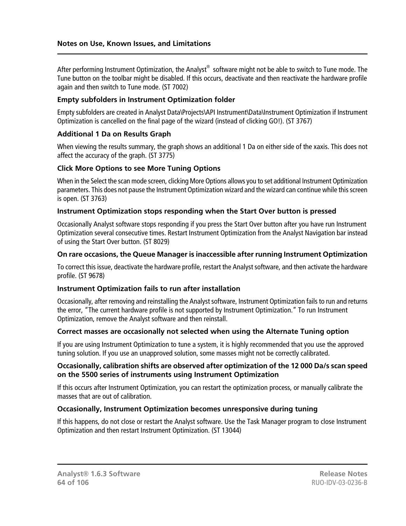After performing Instrument Optimization, the Analyst $^\circledast$  software might not be able to switch to Tune mode. The Tune button on the toolbar might be disabled. If this occurs, deactivate and then reactivate the hardware profile again and then switch to Tune mode. (ST 7002)

#### **Empty subfolders in Instrument Optimization folder**

Empty subfolders are created in Analyst Data\Projects\API Instrument\Data\Instrument Optimization if Instrument Optimization is cancelled on the final page of the wizard (instead of clicking GO!). (ST 3767)

#### **Additional 1 Da on Results Graph**

When viewing the results summary, the graph shows an additional 1 Da on either side of the xaxis. This does not affect the accuracy of the graph. (ST 3775)

#### **Click More Options to see More Tuning Options**

When in the Select the scan mode screen, clicking More Options allows you to set additional Instrument Optimization parameters. This does not pause the Instrument Optimization wizard and the wizard can continue while this screen is open. (ST 3763)

#### **Instrument Optimization stops responding when the Start Over button is pressed**

Occasionally Analyst software stops responding if you press the Start Over button after you have run Instrument Optimization several consecutive times. Restart Instrument Optimization from the Analyst Navigation bar instead of using the Start Over button. (ST 8029)

#### **On rare occasions, the Queue Manager is inaccessible after running Instrument Optimization**

To correct this issue, deactivate the hardware profile, restart the Analyst software, and then activate the hardware profile. (ST 9678)

#### **Instrument Optimization fails to run after installation**

Occasionally, after removing and reinstalling the Analyst software, Instrument Optimization fails to run and returns the error, "The current hardware profile is not supported by Instrument Optimization." To run Instrument Optimization, remove the Analyst software and then reinstall.

#### **Correct masses are occasionally not selected when using the Alternate Tuning option**

If you are using Instrument Optimization to tune a system, it is highly recommended that you use the approved tuning solution. If you use an unapproved solution, some masses might not be correctly calibrated.

#### **Occasionally, calibration shifts are observed after optimization of the 12 000 Da/s scan speed on the 5500 series of instruments using Instrument Optimization**

If this occurs after Instrument Optimization, you can restart the optimization process, or manually calibrate the masses that are out of calibration.

#### **Occasionally, Instrument Optimization becomes unresponsive during tuning**

If this happens, do not close or restart the Analyst software. Use the Task Manager program to close Instrument Optimization and then restart Instrument Optimization. (ST 13044)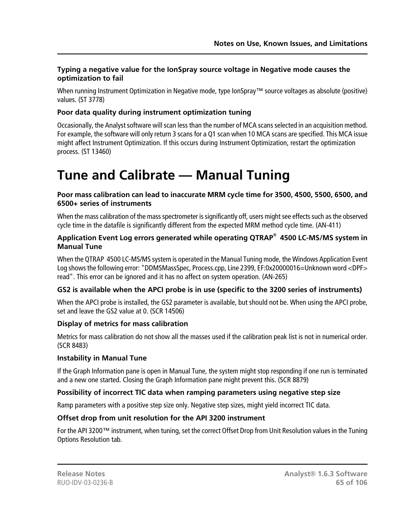#### **Typing a negative value for the IonSpray source voltage in Negative mode causes the optimization to fail**

When running Instrument Optimization in Negative mode, type IonSpray™ source voltages as absolute (positive) values. (ST 3778)

#### **Poor data quality during instrument optimization tuning**

Occasionally, the Analyst software will scan less than the number of MCA scans selected in an acquisition method. For example, the software will only return 3 scans for a Q1 scan when 10 MCA scans are specified. This MCA issue might affect Instrument Optimization. If this occurs during Instrument Optimization, restart the optimization process. (ST 13460)

# **Tune and Calibrate — Manual Tuning**

#### **Poor mass calibration can lead to inaccurate MRM cycle time for 3500, 4500, 5500, 6500, and 6500+ series of instruments**

When the mass calibration of the mass spectrometer is significantly off, users might see effects such as the observed cycle time in the datafile is significantly different from the expected MRM method cycle time. (AN-411)

#### **Application Event Log errors generated while operating QTRAP® 4500 LC-MS/MS system in Manual Tune**

When the QTRAP 4500 LC-MS/MS system is operated in the Manual Tuning mode, the Windows Application Event Log shows the following error: "DDMSMassSpec, Process.cpp, Line 2399, EF:0x20000016=Unknown word <DPF> read". This error can be ignored and it has no affect on system operation. (AN-265)

#### **GS2 is available when the APCI probe is in use (specific to the 3200 series of instruments)**

When the APCI probe is installed, the GS2 parameter is available, but should not be. When using the APCI probe, set and leave the GS2 value at 0. (SCR 14506)

#### **Display of metrics for mass calibration**

Metrics for mass calibration do not show all the masses used if the calibration peak list is not in numerical order. (SCR 8483)

#### **Instability in Manual Tune**

If the Graph Information pane is open in Manual Tune, the system might stop responding if one run is terminated and a new one started. Closing the Graph Information pane might prevent this. (SCR 8879)

#### **Possibility of incorrect TIC data when ramping parameters using negative step size**

Ramp parameters with a positive step size only. Negative step sizes, might yield incorrect TIC data.

#### **Offset drop from unit resolution for the API 3200 instrument**

For the API 3200™ instrument, when tuning, set the correct Offset Drop from Unit Resolution values in the Tuning Options Resolution tab.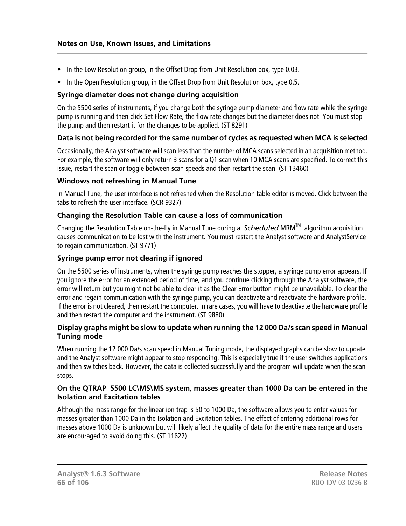- In the Low Resolution group, in the Offset Drop from Unit Resolution box, type 0.03.
- In the Open Resolution group, in the Offset Drop from Unit Resolution box, type 0.5.

#### **Syringe diameter does not change during acquisition**

On the 5500 series of instruments, if you change both the syringe pump diameter and flow rate while the syringe pump is running and then click Set Flow Rate, the flow rate changes but the diameter does not. You must stop the pump and then restart it for the changes to be applied. (ST 8291)

#### **Data is not being recorded for the same number of cycles as requested when MCA is selected**

Occasionally, the Analyst software will scan less than the number of MCA scans selected in an acquisition method. For example, the software will only return 3 scans for a Q1 scan when 10 MCA scans are specified. To correct this issue, restart the scan or toggle between scan speeds and then restart the scan. (ST 13460)

#### **Windows not refreshing in Manual Tune**

In Manual Tune, the user interface is not refreshed when the Resolution table editor is moved. Click between the tabs to refresh the user interface. (SCR 9327)

#### **Changing the Resolution Table can cause a loss of communication**

Changing the Resolution Table on-the-fly in Manual Tune during a *Scheduled* MRMTM algorithm acquisition causes communication to be lost with the instrument. You must restart the Analyst software and AnalystService to regain communication. (ST 9771)

#### **Syringe pump error not clearing if ignored**

On the 5500 series of instruments, when the syringe pump reaches the stopper, a syringe pump error appears. If you ignore the error for an extended period of time, and you continue clicking through the Analyst software, the error will return but you might not be able to clear it as the Clear Error button might be unavailable. To clear the error and regain communication with the syringe pump, you can deactivate and reactivate the hardware profile. If the error is not cleared, then restart the computer. In rare cases, you will have to deactivate the hardware profile and then restart the computer and the instrument. (ST 9880)

#### **Display graphs might be slow to update when running the 12 000 Da/s scan speed in Manual Tuning mode**

When running the 12 000 Da/s scan speed in Manual Tuning mode, the displayed graphs can be slow to update and the Analyst software might appear to stop responding. This is especially true if the user switches applications and then switches back. However, the data is collected successfully and the program will update when the scan stops.

#### **On the QTRAP 5500 LC\MS\MS system, masses greater than 1000 Da can be entered in the Isolation and Excitation tables**

Although the mass range for the linear ion trap is 50 to 1000 Da, the software allows you to enter values for masses greater than 1000 Da in the Isolation and Excitation tables. The effect of entering additional rows for masses above 1000 Da is unknown but will likely affect the quality of data for the entire mass range and users are encouraged to avoid doing this. (ST 11622)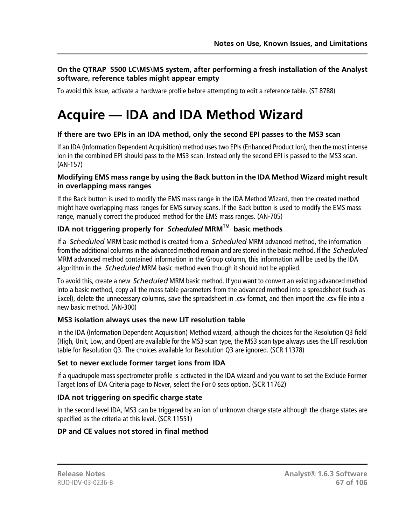### **On the QTRAP 5500 LC\MS\MS system, after performing a fresh installation of the Analyst software, reference tables might appear empty**

To avoid this issue, activate a hardware profile before attempting to edit a reference table. (ST 8788)

# **Acquire — IDA and IDA Method Wizard**

### **If there are two EPIs in an IDA method, only the second EPI passes to the MS3 scan**

If an IDA (Information Dependent Acquisition) method uses two EPIs (Enhanced Product Ion), then the most intense ion in the combined EPI should pass to the MS3 scan. Instead only the second EPI is passed to the MS3 scan. (AN-157)

#### **Modifying EMS mass range by using the Back button in the IDA Method Wizard might result in overlapping mass ranges**

If the Back button is used to modify the EMS mass range in the IDA Method Wizard, then the created method might have overlapping mass ranges for EMS survey scans. If the Back button is used to modify the EMS mass range, manually correct the produced method for the EMS mass ranges. (AN-705)

## **IDA not triggering properly for** *Scheduled* **MRMTM basic methods**

If a *Scheduled* MRM basic method is created from a *Scheduled* MRM advanced method, the information from the additional columns in the advanced method remain and are stored in the basic method. If the *Scheduled* MRM advanced method contained information in the Group column, this information will be used by the IDA algorithm in the *Scheduled* MRM basic method even though it should not be applied.

To avoid this, create a new *Scheduled* MRM basic method. If you want to convert an existing advanced method into a basic method, copy all the mass table parameters from the advanced method into a spreadsheet (such as Excel), delete the unnecessary columns, save the spreadsheet in .csv format, and then import the .csv file into a new basic method. (AN-300)

#### **MS3 isolation always uses the new LIT resolution table**

In the IDA (Information Dependent Acquisition) Method wizard, although the choices for the Resolution Q3 field (High, Unit, Low, and Open) are available for the MS3 scan type, the MS3 scan type always uses the LIT resolution table for Resolution Q3. The choices available for Resolution Q3 are ignored. (SCR 11378)

#### **Set to never exclude former target ions from IDA**

If a quadrupole mass spectrometer profile is activated in the IDA wizard and you want to set the Exclude Former Target Ions of IDA Criteria page to Never, select the For 0 secs option. (SCR 11762)

# **IDA not triggering on specific charge state**

In the second level IDA, MS3 can be triggered by an ion of unknown charge state although the charge states are specified as the criteria at this level. (SCR 11551)

#### **DP and CE values not stored in final method**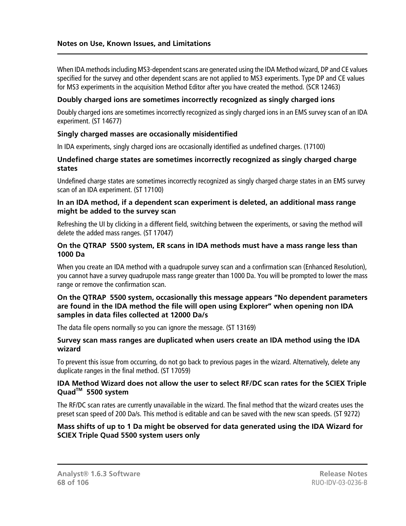When IDA methods including MS3-dependent scans are generated using the IDA Method wizard, DP and CE values specified for the survey and other dependent scans are not applied to MS3 experiments. Type DP and CE values for MS3 experiments in the acquisition Method Editor after you have created the method. (SCR 12463)

#### **Doubly charged ions are sometimes incorrectly recognized as singly charged ions**

Doubly charged ions are sometimes incorrectly recognized as singly charged ions in an EMS survey scan of an IDA experiment. (ST 14677)

#### **Singly charged masses are occasionally misidentified**

In IDA experiments, singly charged ions are occasionally identified as undefined charges. (17100)

#### **Undefined charge states are sometimes incorrectly recognized as singly charged charge states**

Undefined charge states are sometimes incorrectly recognized as singly charged charge states in an EMS survey scan of an IDA experiment. (ST 17100)

#### **In an IDA method, if a dependent scan experiment is deleted, an additional mass range might be added to the survey scan**

Refreshing the UI by clicking in a different field, switching between the experiments, or saving the method will delete the added mass ranges. (ST 17047)

#### **On the QTRAP 5500 system, ER scans in IDA methods must have a mass range less than 1000 Da**

When you create an IDA method with a quadrupole survey scan and a confirmation scan (Enhanced Resolution), you cannot have a survey quadrupole mass range greater than 1000 Da. You will be prompted to lower the mass range or remove the confirmation scan.

#### **On the QTRAP 5500 system, occasionally this message appears "No dependent parameters are found in the IDA method the file will open using Explorer" when opening non IDA samples in data files collected at 12000 Da/s**

The data file opens normally so you can ignore the message. (ST 13169)

#### **Survey scan mass ranges are duplicated when users create an IDA method using the IDA wizard**

To prevent this issue from occurring, do not go back to previous pages in the wizard. Alternatively, delete any duplicate ranges in the final method. (ST 17059)

#### **IDA Method Wizard does not allow the user to select RF/DC scan rates for the SCIEX Triple QuadTM 5500 system**

The RF/DC scan rates are currently unavailable in the wizard. The final method that the wizard creates uses the preset scan speed of 200 Da/s. This method is editable and can be saved with the new scan speeds. (ST 9272)

#### **Mass shifts of up to 1 Da might be observed for data generated using the IDA Wizard for SCIEX Triple Quad 5500 system users only**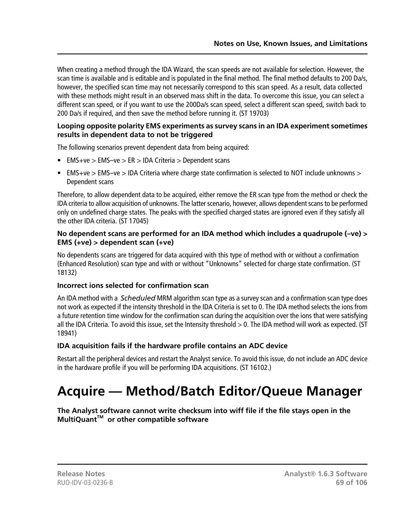When creating a method through the IDA Wizard, the scan speeds are not available for selection. However, the scan time is available and is editable and is populated in the final method. The final method defaults to 200 Da/s, however, the specified scan time may not necessarily correspond to this scan speed. As a result, data collected with these methods might result in an observed mass shift in the data. To overcome this issue, you can select a different scan speed, or if you want to use the 200Da/s scan speed, select a different scan speed, switch back to 200 Da/s if required, and then save the method before running it. (ST 19703)

#### **Looping opposite polarity EMS experiments as survey scans in an IDA experiment sometimes results in dependent data to not be triggered**

The following scenarios prevent dependent data from being acquired:

- EMS+ve > EMS–ve > ER > IDA Criteria > Dependent scans
- EMS+ve  $>$  EMS-ve  $>$  IDA Criteria where charge state confirmation is selected to NOT include unknowns  $>$ Dependent scans

Therefore, to allow dependent data to be acquired, either remove the ER scan type from the method or check the IDA criteria to allow acquisition of unknowns. The latter scenario, however, allows dependent scans to be performed only on undefined charge states. The peaks with the specified charged states are ignored even if they satisfy all the other IDA criteria. (ST 17045)

#### **No dependent scans are performed for an IDA method which includes a quadrupole (–ve) > EMS (+ve) > dependent scan (+ve)**

No dependents scans are triggered for data acquired with this type of method with or without a confirmation (Enhanced Resolution) scan type and with or without "Unknowns" selected for charge state confirmation. (ST 18132)

#### **Incorrect ions selected for confirmation scan**

An IDA method with a *Scheduled* MRM algorithm scan type as a survey scan and a confirmation scan type does not work as expected if the intensity threshold in the IDA Criteria is set to 0. The IDA method selects the ions from a future retention time window for the confirmation scan during the acquisition over the ions that were satisfying all the IDA Criteria. To avoid this issue, set the Intensity threshold > 0. The IDA method will work as expected. (ST 18941)

# **IDA acquisition fails if the hardware profile contains an ADC device**

Restart all the peripheral devices and restart the Analyst service. To avoid this issue, do not include an ADC device in the hardware profile if you will be performing IDA acquisitions. (ST 16102.)

# **Acquire — Method/Batch Editor/Queue Manager**

**The Analyst software cannot write checksum into wiff file if the file stays open in the MultiQuantTM or other compatible software**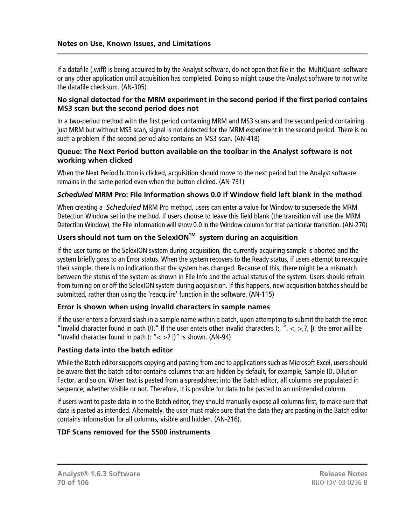If a datafile (.wiff) is being acquired to by the Analyst software, do not open that file in the MultiQuant software or any other application until acquisition has completed. Doing so might cause the Analyst software to not write the datafile checksum. (AN-305)

#### **No signal detected for the MRM experiment in the second period if the first period contains MS3 scan but the second period does not**

In a two-period method with the first period containing MRM and MS3 scans and the second period containing just MRM but without MS3 scan, signal is not detected for the MRM experiment in the second period. There is no such a problem if the second period also contains an MS3 scan. (AN-418)

#### **Queue: The Next Period button available on the toolbar in the Analyst software is not working when clicked**

When the Next Period button is clicked, acquisition should move to the next period but the Analyst software remains in the same period even when the button clicked. (AN-731)

### *Scheduled* **MRM Pro: File Information shows 0.0 if Window field left blank in the method**

When creating a *Scheduled* MRM Pro method, users can enter a value for Window to supersede the MRM Detection Window set in the method. If users choose to leave this field blank (the transition will use the MRM Detection Window), the File Information will show 0.0 in the Window column for that particular transition. (AN-270)

# **Users should not turn on the SelexIONTM system during an acquisition**

If the user turns on the SelexION system during acquisition, the currently acquiring sample is aborted and the system briefly goes to an Error status. When the system recovers to the Ready status, if users attempt to reacquire their sample, there is no indication that the system has changed. Because of this, there might be a mismatch between the status of the system as shown in File Info and the actual status of the system. Users should refrain from turning on or off the SelexION system during acquisition. If this happens, new acquisition batches should be submitted, rather than using the 'reacquire' function in the software. (AN-115)

#### **Error is shown when using invalid characters in sample names**

If the user enters a forward slash in a sample name within a batch, upon attempting to submit the batch the error: "Invalid character found in path (*I*)." If the user enters other invalid characters (:, ", <, >,?, |), the error will be "Invalid character found in path  $($ : " $\lt$  >? |)" is shown. (AN-94)

#### **Pasting data into the batch editor**

While the Batch editor supports copying and pasting from and to applications such as Microsoft Excel, users should be aware that the batch editor contains columns that are hidden by default, for example, Sample ID, Dilution Factor, and so on. When text is pasted from a spreadsheet into the Batch editor, all columns are populated in sequence, whether visible or not. Therefore, it is possible for data to be pasted to an unintended column.

If users want to paste data in to the Batch editor, they should manually expose all columns first, to make sure that data is pasted as intended. Alternately, the user must make sure that the data they are pasting in the Batch editor contains information for all columns, visible and hidden. (AN-216).

#### **TDF Scans removed for the 5500 instruments**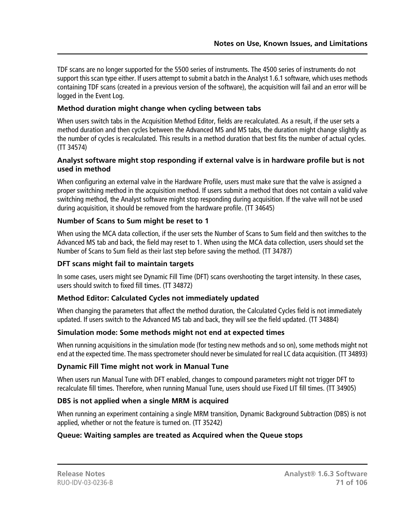TDF scans are no longer supported for the 5500 series of instruments. The 4500 series of instruments do not support this scan type either. If users attempt to submit a batch in the Analyst 1.6.1 software, which uses methods containing TDF scans (created in a previous version of the software), the acquisition will fail and an error will be logged in the Event Log.

### **Method duration might change when cycling between tabs**

When users switch tabs in the Acquisition Method Editor, fields are recalculated. As a result, if the user sets a method duration and then cycles between the Advanced MS and MS tabs, the duration might change slightly as the number of cycles is recalculated. This results in a method duration that best fits the number of actual cycles. (TT 34574)

#### **Analyst software might stop responding if external valve is in hardware profile but is not used in method**

When configuring an external valve in the Hardware Profile, users must make sure that the valve is assigned a proper switching method in the acquisition method. If users submit a method that does not contain a valid valve switching method, the Analyst software might stop responding during acquisition. If the valve will not be used during acquisition, it should be removed from the hardware profile. (TT 34645)

### **Number of Scans to Sum might be reset to 1**

When using the MCA data collection, if the user sets the Number of Scans to Sum field and then switches to the Advanced MS tab and back, the field may reset to 1. When using the MCA data collection, users should set the Number of Scans to Sum field as their last step before saving the method. (TT 34787)

#### **DFT scans might fail to maintain targets**

In some cases, users might see Dynamic Fill Time (DFT) scans overshooting the target intensity. In these cases, users should switch to fixed fill times. (TT 34872)

# **Method Editor: Calculated Cycles not immediately updated**

When changing the parameters that affect the method duration, the Calculated Cycles field is not immediately updated. If users switch to the Advanced MS tab and back, they will see the field updated. (TT 34884)

# **Simulation mode: Some methods might not end at expected times**

When running acquisitions in the simulation mode (for testing new methods and so on), some methods might not end at the expected time. The mass spectrometer should never be simulated for real LC data acquisition. (TT 34893)

#### **Dynamic Fill Time might not work in Manual Tune**

When users run Manual Tune with DFT enabled, changes to compound parameters might not trigger DFT to recalculate fill times. Therefore, when running Manual Tune, users should use Fixed LIT fill times. (TT 34905)

#### **DBS is not applied when a single MRM is acquired**

When running an experiment containing a single MRM transition, Dynamic Background Subtraction (DBS) is not applied, whether or not the feature is turned on. (TT 35242)

# **Queue: Waiting samples are treated as Acquired when the Queue stops**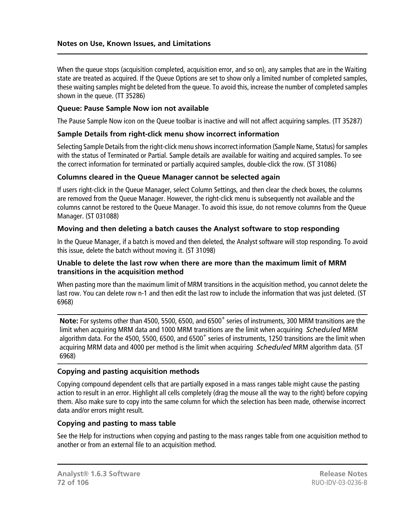When the queue stops (acquisition completed, acquisition error, and so on), any samples that are in the Waiting state are treated as acquired. If the Queue Options are set to show only a limited number of completed samples, these waiting samples might be deleted from the queue. To avoid this, increase the number of completed samples shown in the queue. (TT 35286)

#### **Queue: Pause Sample Now ion not available**

The Pause Sample Now icon on the Queue toolbar is inactive and will not affect acquiring samples. (TT 35287)

#### **Sample Details from right-click menu show incorrect information**

Selecting Sample Details from the right-click menu shows incorrect information (Sample Name, Status) for samples with the status of Terminated or Partial. Sample details are available for waiting and acquired samples. To see the correct information for terminated or partially acquired samples, double-click the row. (ST 31086)

#### **Columns cleared in the Queue Manager cannot be selected again**

If users right-click in the Queue Manager, select Column Settings, and then clear the check boxes, the columns are removed from the Queue Manager. However, the right-click menu is subsequently not available and the columns cannot be restored to the Queue Manager. To avoid this issue, do not remove columns from the Queue Manager. (ST 031088)

#### **Moving and then deleting a batch causes the Analyst software to stop responding**

In the Queue Manager, if a batch is moved and then deleted, the Analyst software will stop responding. To avoid this issue, delete the batch without moving it. (ST 31098)

#### **Unable to delete the last row when there are more than the maximum limit of MRM transitions in the acquisition method**

When pasting more than the maximum limit of MRM transitions in the acquisition method, you cannot delete the last row. You can delete row n-1 and then edit the last row to include the information that was just deleted. (ST 6968)

Note: For systems other than 4500, 5500, 6500, and 6500<sup>+</sup> series of instruments, 300 MRM transitions are the limit when acquiring MRM data and 1000 MRM transitions are the limit when acquiring *Scheduled* MRM algorithm data. For the 4500, 5500, 6500, and 6500<sup>+</sup> series of instruments, 1250 transitions are the limit when acquiring MRM data and 4000 per method is the limit when acquiring *Scheduled* MRM algorithm data. (ST 6968)

#### **Copying and pasting acquisition methods**

Copying compound dependent cells that are partially exposed in a mass ranges table might cause the pasting action to result in an error. Highlight all cells completely (drag the mouse all the way to the right) before copying them. Also make sure to copy into the same column for which the selection has been made, otherwise incorrect data and/or errors might result.

#### **Copying and pasting to mass table**

See the Help for instructions when copying and pasting to the mass ranges table from one acquisition method to another or from an external file to an acquisition method.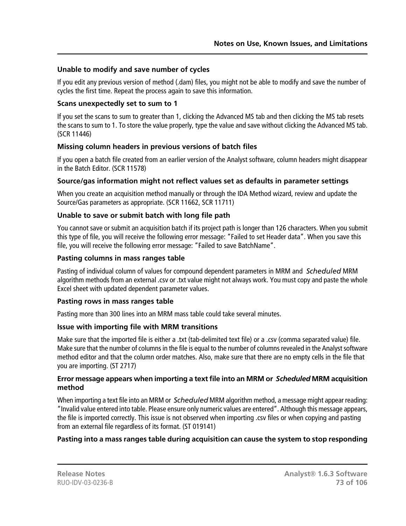### **Unable to modify and save number of cycles**

If you edit any previous version of method (.dam) files, you might not be able to modify and save the number of cycles the first time. Repeat the process again to save this information.

#### **Scans unexpectedly set to sum to 1**

If you set the scans to sum to greater than 1, clicking the Advanced MS tab and then clicking the MS tab resets the scans to sum to 1. To store the value properly, type the value and save without clicking the Advanced MS tab. (SCR 11446)

# **Missing column headers in previous versions of batch files**

If you open a batch file created from an earlier version of the Analyst software, column headers might disappear in the Batch Editor. (SCR 11578)

# **Source/gas information might not reflect values set as defaults in parameter settings**

When you create an acquisition method manually or through the IDA Method wizard, review and update the Source/Gas parameters as appropriate. (SCR 11662, SCR 11711)

# **Unable to save or submit batch with long file path**

You cannot save or submit an acquisition batch if its project path is longer than 126 characters. When you submit this type of file, you will receive the following error message: "Failed to set Header data". When you save this file, you will receive the following error message: "Failed to save BatchName".

#### **Pasting columns in mass ranges table**

Pasting of individual column of values for compound dependent parameters in MRM and *Scheduled* MRM algorithm methods from an external .csv or .txt value might not always work. You must copy and paste the whole Excel sheet with updated dependent parameter values.

#### **Pasting rows in mass ranges table**

Pasting more than 300 lines into an MRM mass table could take several minutes.

#### **Issue with importing file with MRM transitions**

Make sure that the imported file is either a .txt (tab-delimited text file) or a .csv (comma separated value) file. Make sure that the number of columns in the file is equal to the number of columns revealed in the Analyst software method editor and that the column order matches. Also, make sure that there are no empty cells in the file that you are importing. (ST 2717)

#### **Error message appears when importing a text file into an MRM or** *Scheduled* **MRM acquisition method**

When importing a text file into an MRM or *Scheduled* MRM algorithm method, a message might appear reading: "Invalid value entered into table. Please ensure only numeric values are entered". Although this message appears, the file is imported correctly. This issue is not observed when importing .csv files or when copying and pasting from an external file regardless of its format. (ST 019141)

# **Pasting into a mass ranges table during acquisition can cause the system to stop responding**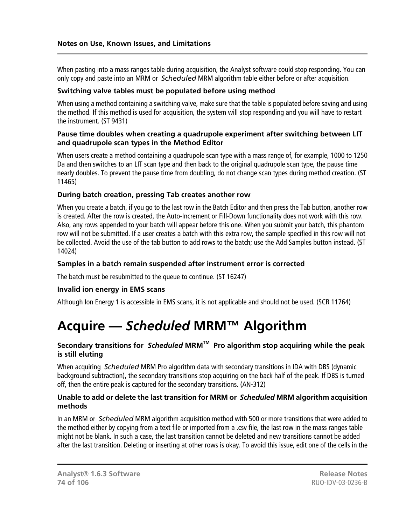When pasting into a mass ranges table during acquisition, the Analyst software could stop responding. You can only copy and paste into an MRM or *Scheduled* MRM algorithm table either before or after acquisition.

#### **Switching valve tables must be populated before using method**

When using a method containing a switching valve, make sure that the table is populated before saving and using the method. If this method is used for acquisition, the system will stop responding and you will have to restart the instrument. (ST 9431)

#### **Pause time doubles when creating a quadrupole experiment after switching between LIT and quadrupole scan types in the Method Editor**

When users create a method containing a quadrupole scan type with a mass range of, for example, 1000 to 1250 Da and then switches to an LIT scan type and then back to the original quadrupole scan type, the pause time nearly doubles. To prevent the pause time from doubling, do not change scan types during method creation. (ST 11465)

#### **During batch creation, pressing Tab creates another row**

When you create a batch, if you go to the last row in the Batch Editor and then press the Tab button, another row is created. After the row is created, the Auto-Increment or Fill-Down functionality does not work with this row. Also, any rows appended to your batch will appear before this one. When you submit your batch, this phantom row will not be submitted. If a user creates a batch with this extra row, the sample specified in this row will not be collected. Avoid the use of the tab button to add rows to the batch; use the Add Samples button instead. (ST 14024)

#### **Samples in a batch remain suspended after instrument error is corrected**

The batch must be resubmitted to the queue to continue. (ST 16247)

#### **Invalid ion energy in EMS scans**

Although Ion Energy 1 is accessible in EMS scans, it is not applicable and should not be used. (SCR 11764)

# **Acquire —** *Scheduled* **MRM™ Algorithm**

# **Secondary transitions for** *Scheduled* **MRMTM Pro algorithm stop acquiring while the peak is still eluting**

When acquiring *Scheduled* MRM Pro algorithm data with secondary transitions in IDA with DBS (dynamic background subtraction), the secondary transitions stop acquiring on the back half of the peak. If DBS is turned off, then the entire peak is captured for the secondary transitions. (AN-312)

#### **Unable to add or delete the last transition for MRM or** *Scheduled* **MRM algorithm acquisition methods**

In an MRM or *Scheduled* MRM algorithm acquisition method with 500 or more transitions that were added to the method either by copying from a text file or imported from a .csv file, the last row in the mass ranges table might not be blank. In such a case, the last transition cannot be deleted and new transitions cannot be added after the last transition. Deleting or inserting at other rows is okay. To avoid this issue, edit one of the cells in the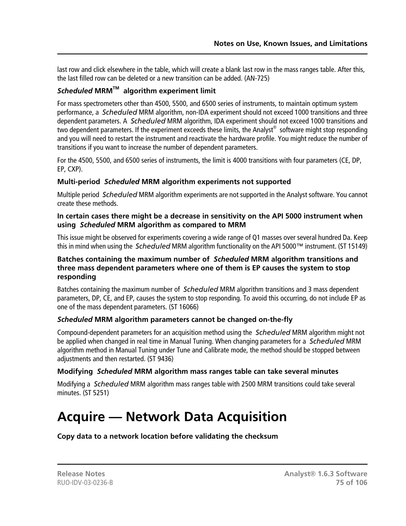last row and click elsewhere in the table, which will create a blank last row in the mass ranges table. After this, the last filled row can be deleted or a new transition can be added. (AN-725)

### *Scheduled* **MRMTM algorithm experiment limit**

For mass spectrometers other than 4500, 5500, and 6500 series of instruments, to maintain optimum system performance, a *Scheduled* MRM algorithm, non-IDA experiment should not exceed 1000 transitions and three dependent parameters. A *Scheduled* MRM algorithm, IDA experiment should not exceed 1000 transitions and two dependent parameters. If the experiment exceeds these limits, the Analyst $^\circ$  software might stop responding and you will need to restart the instrument and reactivate the hardware profile. You might reduce the number of transitions if you want to increase the number of dependent parameters.

For the 4500, 5500, and 6500 series of instruments, the limit is 4000 transitions with four parameters (CE, DP, EP, CXP).

#### **Multi-period** *Scheduled* **MRM algorithm experiments not supported**

Multiple period *Scheduled* MRM algorithm experiments are not supported in the Analyst software. You cannot create these methods.

#### **In certain cases there might be a decrease in sensitivity on the API 5000 instrument when using** *Scheduled* **MRM algorithm as compared to MRM**

This issue might be observed for experiments covering a wide range of Q1 masses over several hundred Da. Keep this in mind when using the *Scheduled* MRM algorithm functionality on the API 5000™ instrument. (ST 15149)

#### **Batches containing the maximum number of** *Scheduled* **MRM algorithm transitions and three mass dependent parameters where one of them is EP causes the system to stop responding**

Batches containing the maximum number of *Scheduled* MRM algorithm transitions and 3 mass dependent parameters, DP, CE, and EP, causes the system to stop responding. To avoid this occurring, do not include EP as one of the mass dependent parameters. (ST 16066)

# *Scheduled* **MRM algorithm parameters cannot be changed on-the-fly**

Compound-dependent parameters for an acquisition method using the *Scheduled* MRM algorithm might not be applied when changed in real time in Manual Tuning. When changing parameters for a *Scheduled* MRM algorithm method in Manual Tuning under Tune and Calibrate mode, the method should be stopped between adjustments and then restarted. (ST 9436)

# **Modifying** *Scheduled* **MRM algorithm mass ranges table can take several minutes**

Modifying a *Scheduled* MRM algorithm mass ranges table with 2500 MRM transitions could take several minutes. (ST 5251)

# **Acquire — Network Data Acquisition**

**Copy data to a network location before validating the checksum**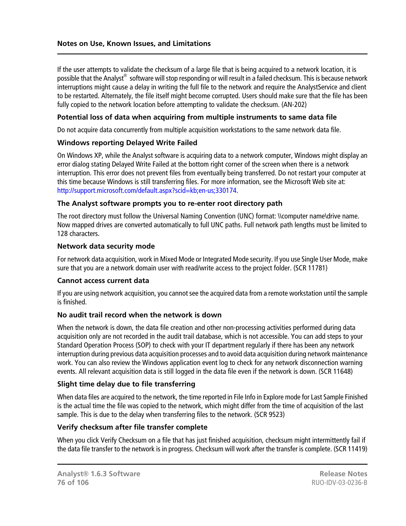If the user attempts to validate the checksum of a large file that is being acquired to a network location, it is possible that the Analyst $^\circledast$  software will stop responding or will result in a failed checksum. This is because network interruptions might cause a delay in writing the full file to the network and require the AnalystService and client to be restarted. Alternately, the file itself might become corrupted. Users should make sure that the file has been fully copied to the network location before attempting to validate the checksum. (AN-202)

#### **Potential loss of data when acquiring from multiple instruments to same data file**

Do not acquire data concurrently from multiple acquisition workstations to the same network data file.

#### **Windows reporting Delayed Write Failed**

On Windows XP, while the Analyst software is acquiring data to a network computer, Windows might display an error dialog stating Delayed Write Failed at the bottom right corner of the screen when there is a network interruption. This error does not prevent files from eventually being transferred. Do not restart your computer at this time because Windows is still transferring files. For more information, see the Microsoft Web site at: [http://support.microsoft.com/default.aspx?scid=kb;en-us;330174.](http://support.microsoft.com/default.aspx?scid=kb;en-us;330174)

#### **The Analyst software prompts you to re-enter root directory path**

The root directory must follow the Universal Naming Convention (UNC) format: \\computer name\drive name. Now mapped drives are converted automatically to full UNC paths. Full network path lengths must be limited to 128 characters.

#### **Network data security mode**

For network data acquisition, work in Mixed Mode or Integrated Mode security. If you use Single User Mode, make sure that you are a network domain user with read/write access to the project folder. (SCR 11781)

#### **Cannot access current data**

If you are using network acquisition, you cannot see the acquired data from a remote workstation until the sample is finished.

#### **No audit trail record when the network is down**

When the network is down, the data file creation and other non-processing activities performed during data acquisition only are not recorded in the audit trail database, which is not accessible. You can add steps to your Standard Operation Process (SOP) to check with your IT department regularly if there has been any network interruption during previous data acquisition processes and to avoid data acquisition during network maintenance work. You can also review the Windows application event log to check for any network disconnection warning events. All relevant acquisition data is still logged in the data file even if the network is down. (SCR 11648)

#### **Slight time delay due to file transferring**

When data files are acquired to the network, the time reported in File Info in Explore mode for Last Sample Finished is the actual time the file was copied to the network, which might differ from the time of acquisition of the last sample. This is due to the delay when transferring files to the network. (SCR 9523)

#### **Verify checksum after file transfer complete**

When you click Verify Checksum on a file that has just finished acquisition, checksum might intermittently fail if the data file transfer to the network is in progress. Checksum will work after the transfer is complete. (SCR 11419)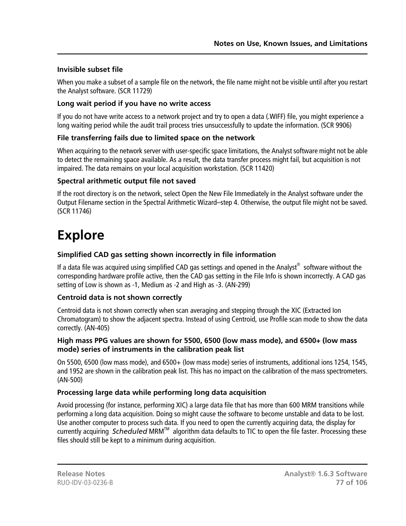# **Invisible subset file**

When you make a subset of a sample file on the network, the file name might not be visible until after you restart the Analyst software. (SCR 11729)

# **Long wait period if you have no write access**

If you do not have write access to a network project and try to open a data (.WIFF) file, you might experience a long waiting period while the audit trail process tries unsuccessfully to update the information. (SCR 9906)

# **File transferring fails due to limited space on the network**

When acquiring to the network server with user-specific space limitations, the Analyst software might not be able to detect the remaining space available. As a result, the data transfer process might fail, but acquisition is not impaired. The data remains on your local acquisition workstation. (SCR 11420)

# **Spectral arithmetic output file not saved**

If the root directory is on the network, select Open the New File Immediately in the Analyst software under the Output Filename section in the Spectral Arithmetic Wizard–step 4. Otherwise, the output file might not be saved. (SCR 11746)

# **Explore**

# **Simplified CAD gas setting shown incorrectly in file information**

If a data file was acquired using simplified CAD gas settings and opened in the Analyst $^{\circledast}$  software without the corresponding hardware profile active, then the CAD gas setting in the File Info is shown incorrectly. A CAD gas setting of Low is shown as -1, Medium as -2 and High as -3. (AN-299)

# **Centroid data is not shown correctly**

Centroid data is not shown correctly when scan averaging and stepping through the XIC (Extracted Ion Chromatogram) to show the adjacent spectra. Instead of using Centroid, use Profile scan mode to show the data correctly. (AN-405)

#### **High mass PPG values are shown for 5500, 6500 (low mass mode), and 6500+ (low mass mode) series of instruments in the calibration peak list**

On 5500, 6500 (low mass mode), and 6500+ (low mass mode) series of instruments, additional ions 1254, 1545, and 1952 are shown in the calibration peak list. This has no impact on the calibration of the mass spectrometers. (AN-500)

# **Processing large data while performing long data acquisition**

Avoid processing (for instance, performing XIC) a large data file that has more than 600 MRM transitions while performing a long data acquisition. Doing so might cause the software to become unstable and data to be lost. Use another computer to process such data. If you need to open the currently acquiring data, the display for currently acquiring *Scheduled* MRMTM algorithm data defaults to TIC to open the file faster. Processing these files should still be kept to a minimum during acquisition.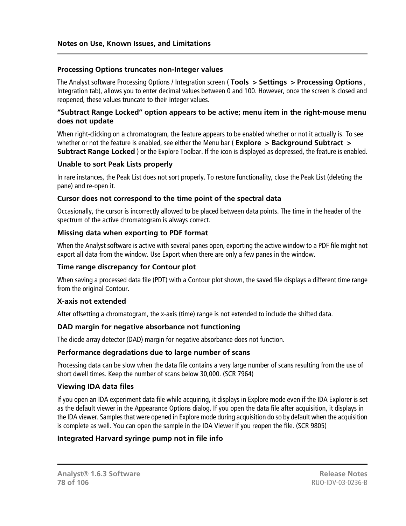#### **Processing Options truncates non-Integer values**

The Analyst software Processing Options / Integration screen ( **Tools > Settings > Processing Options** , Integration tab), allows you to enter decimal values between 0 and 100. However, once the screen is closed and reopened, these values truncate to their integer values.

#### **"Subtract Range Locked" option appears to be active; menu item in the right-mouse menu does not update**

When right-clicking on a chromatogram, the feature appears to be enabled whether or not it actually is. To see whether or not the feature is enabled, see either the Menu bar (**Explore** > Background Subtract > **Subtract Range Locked** ) or the Explore Toolbar. If the icon is displayed as depressed, the feature is enabled.

#### **Unable to sort Peak Lists properly**

In rare instances, the Peak List does not sort properly. To restore functionality, close the Peak List (deleting the pane) and re-open it.

#### **Cursor does not correspond to the time point of the spectral data**

Occasionally, the cursor is incorrectly allowed to be placed between data points. The time in the header of the spectrum of the active chromatogram is always correct.

#### **Missing data when exporting to PDF format**

When the Analyst software is active with several panes open, exporting the active window to a PDF file might not export all data from the window. Use Export when there are only a few panes in the window.

#### **Time range discrepancy for Contour plot**

When saving a processed data file (PDT) with a Contour plot shown, the saved file displays a different time range from the original Contour.

#### **X-axis not extended**

After offsetting a chromatogram, the x-axis (time) range is not extended to include the shifted data.

#### **DAD margin for negative absorbance not functioning**

The diode array detector (DAD) margin for negative absorbance does not function.

#### **Performance degradations due to large number of scans**

Processing data can be slow when the data file contains a very large number of scans resulting from the use of short dwell times. Keep the number of scans below 30,000. (SCR 7964)

#### **Viewing IDA data files**

If you open an IDA experiment data file while acquiring, it displays in Explore mode even if the IDA Explorer is set as the default viewer in the Appearance Options dialog. If you open the data file after acquisition, it displays in the IDA viewer. Samples that were opened in Explore mode during acquisition do so by default when the acquisition is complete as well. You can open the sample in the IDA Viewer if you reopen the file. (SCR 9805)

#### **Integrated Harvard syringe pump not in file info**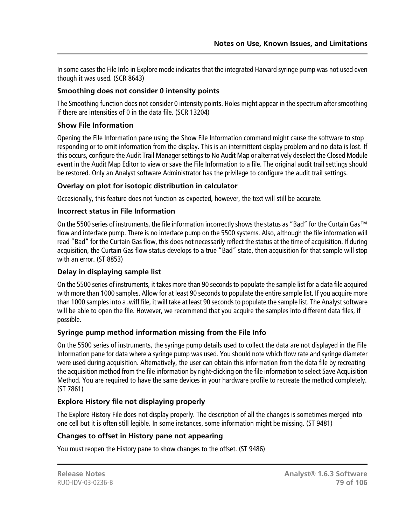In some cases the File Info in Explore mode indicates that the integrated Harvard syringe pump was not used even though it was used. (SCR 8643)

### **Smoothing does not consider 0 intensity points**

The Smoothing function does not consider 0 intensity points. Holes might appear in the spectrum after smoothing if there are intensities of 0 in the data file. (SCR 13204)

# **Show File Information**

Opening the File Information pane using the Show File Information command might cause the software to stop responding or to omit information from the display. This is an intermittent display problem and no data is lost. If this occurs, configure the Audit Trail Manager settings to No Audit Map or alternatively deselect the Closed Module event in the Audit Map Editor to view or save the File Information to a file. The original audit trail settings should be restored. Only an Analyst software Administrator has the privilege to configure the audit trail settings.

#### **Overlay on plot for isotopic distribution in calculator**

Occasionally, this feature does not function as expected, however, the text will still be accurate.

#### **Incorrect status in File Information**

On the 5500 series of instruments, the file information incorrectly shows the status as "Bad" for the Curtain Gas™ flow and interface pump. There is no interface pump on the 5500 systems. Also, although the file information will read "Bad" for the Curtain Gas flow, this does not necessarily reflect the status at the time of acquisition. If during acquisition, the Curtain Gas flow status develops to a true "Bad" state, then acquisition for that sample will stop with an error. (ST 8853)

#### **Delay in displaying sample list**

On the 5500 series of instruments, it takes more than 90 seconds to populate the sample list for a data file acquired with more than 1000 samples. Allow for at least 90 seconds to populate the entire sample list. If you acquire more than 1000 samples into a .wiff file, it will take at least 90 seconds to populate the sample list. The Analyst software will be able to open the file. However, we recommend that you acquire the samples into different data files, if possible.

#### **Syringe pump method information missing from the File Info**

On the 5500 series of instruments, the syringe pump details used to collect the data are not displayed in the File Information pane for data where a syringe pump was used. You should note which flow rate and syringe diameter were used during acquisition. Alternatively, the user can obtain this information from the data file by recreating the acquisition method from the file information by right-clicking on the file information to select Save Acquisition Method. You are required to have the same devices in your hardware profile to recreate the method completely. (ST 7861)

# **Explore History file not displaying properly**

The Explore History File does not display properly. The description of all the changes is sometimes merged into one cell but it is often still legible. In some instances, some information might be missing. (ST 9481)

#### **Changes to offset in History pane not appearing**

You must reopen the History pane to show changes to the offset. (ST 9486)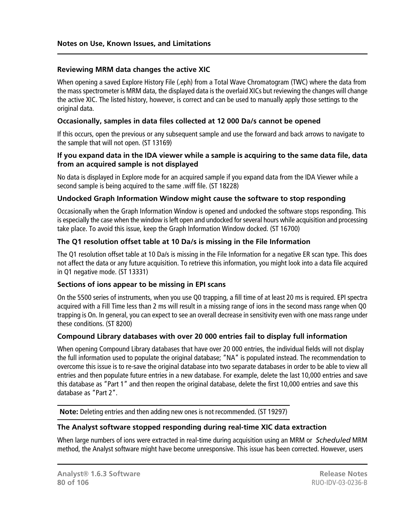#### **Reviewing MRM data changes the active XIC**

When opening a saved Explore History File (.eph) from a Total Wave Chromatogram (TWC) where the data from the mass spectrometer is MRM data, the displayed data is the overlaid XICs but reviewing the changes will change the active XIC. The listed history, however, is correct and can be used to manually apply those settings to the original data.

### **Occasionally, samples in data files collected at 12 000 Da/s cannot be opened**

If this occurs, open the previous or any subsequent sample and use the forward and back arrows to navigate to the sample that will not open. (ST 13169)

#### **If you expand data in the IDA viewer while a sample is acquiring to the same data file, data from an acquired sample is not displayed**

No data is displayed in Explore mode for an acquired sample if you expand data from the IDA Viewer while a second sample is being acquired to the same .wiff file. (ST 18228)

#### **Undocked Graph Information Window might cause the software to stop responding**

Occasionally when the Graph Information Window is opened and undocked the software stops responding. This is especially the case when the window is left open and undocked for several hours while acquisition and processing take place. To avoid this issue, keep the Graph Information Window docked. (ST 16700)

# **The Q1 resolution offset table at 10 Da/s is missing in the File Information**

The Q1 resolution offset table at 10 Da/s is missing in the File Information for a negative ER scan type. This does not affect the data or any future acquisition. To retrieve this information, you might look into a data file acquired in Q1 negative mode. (ST 13331)

#### **Sections of ions appear to be missing in EPI scans**

On the 5500 series of instruments, when you use Q0 trapping, a fill time of at least 20 ms is required. EPI spectra acquired with a Fill Time less than 2 ms will result in a missing range of ions in the second mass range when Q0 trapping is On. In general, you can expect to see an overall decrease in sensitivity even with one mass range under these conditions. (ST 8200)

#### **Compound Library databases with over 20 000 entries fail to display full information**

When opening Compound Library databases that have over 20 000 entries, the individual fields will not display the full information used to populate the original database; "NA" is populated instead. The recommendation to overcome this issue is to re-save the original database into two separate databases in order to be able to view all entries and then populate future entries in a new database. For example, delete the last 10,000 entries and save this database as "Part 1" and then reopen the original database, delete the first 10,000 entries and save this database as "Part 2".

**Note:** Deleting entries and then adding new ones is not recommended. (ST 19297)

#### **The Analyst software stopped responding during real-time XIC data extraction**

When large numbers of ions were extracted in real-time during acquisition using an MRM or *Scheduled* MRM method, the Analyst software might have become unresponsive. This issue has been corrected. However, users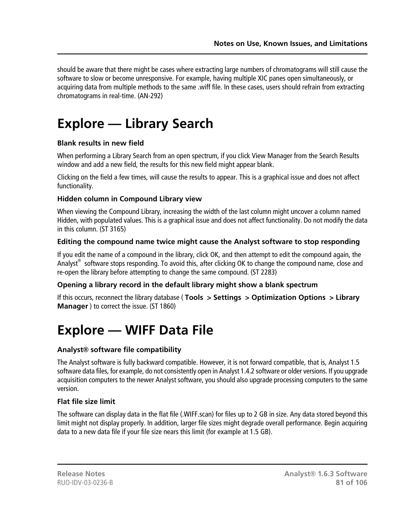should be aware that there might be cases where extracting large numbers of chromatograms will still cause the software to slow or become unresponsive. For example, having multiple XIC panes open simultaneously, or acquiring data from multiple methods to the same .wiff file. In these cases, users should refrain from extracting chromatograms in real-time. (AN-292)

# **Explore — Library Search**

#### **Blank results in new field**

When performing a Library Search from an open spectrum, if you click View Manager from the Search Results window and add a new field, the results for this new field might appear blank.

Clicking on the field a few times, will cause the results to appear. This is a graphical issue and does not affect functionality.

#### **Hidden column in Compound Library view**

When viewing the Compound Library, increasing the width of the last column might uncover a column named Hidden, with populated values. This is a graphical issue and does not affect functionality. Do not modify the data in this column. (ST 3165)

#### **Editing the compound name twice might cause the Analyst software to stop responding**

If you edit the name of a compound in the library, click OK, and then attempt to edit the compound again, the Analyst<sup>®</sup> software stops responding. To avoid this, after clicking OK to change the compound name, close and re-open the library before attempting to change the same compound. (ST 2283)

#### **Opening a library record in the default library might show a blank spectrum**

If this occurs, reconnect the library database ( **Tools > Settings > Optimization Options > Library Manager** ) to correct the issue. (ST 1860)

# **Explore — WIFF Data File**

#### **Analyst® software file compatibility**

The Analyst software is fully backward compatible. However, it is not forward compatible, that is, Analyst 1.5 software data files, for example, do not consistently open in Analyst 1.4.2 software or older versions. If you upgrade acquisition computers to the newer Analyst software, you should also upgrade processing computers to the same version.

#### **Flat file size limit**

The software can display data in the flat file (.WIFF.scan) for files up to 2 GB in size. Any data stored beyond this limit might not display properly. In addition, larger file sizes might degrade overall performance. Begin acquiring data to a new data file if your file size nears this limit (for example at 1.5 GB).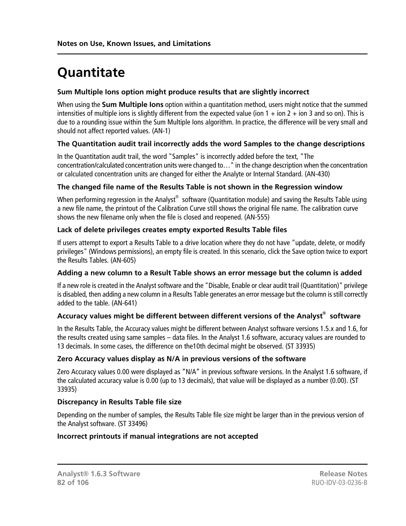# **Quantitate**

# **Sum Multiple Ions option might produce results that are slightly incorrect**

When using the **Sum Multiple Ions** option within a quantitation method, users might notice that the summed intensities of multiple ions is slightly different from the expected value (ion  $1 +$  ion  $2 +$  ion  $3$  and so on). This is due to a rounding issue within the Sum Multiple Ions algorithm. In practice, the difference will be very small and should not affect reported values. (AN-1)

# **The Quantitation audit trail incorrectly adds the word Samples to the change descriptions**

In the Quantitation audit trail, the word "Samples" is incorrectly added before the text, "The concentration/calculated concentration units were changed to…" in the change description when the concentration or calculated concentration units are changed for either the Analyte or Internal Standard. (AN-430)

#### **The changed file name of the Results Table is not shown in the Regression window**

When performing regression in the Analyst $^\circledast$  software (Quantitation module) and saving the Results Table using a new file name, the printout of the Calibration Curve still shows the original file name. The calibration curve shows the new filename only when the file is closed and reopened. (AN-555)

#### **Lack of delete privileges creates empty exported Results Table files**

If users attempt to export a Results Table to a drive location where they do not have "update, delete, or modify privileges" (Windows permissions), an empty file is created. In this scenario, click the Save option twice to export the Results Tables. (AN-605)

#### **Adding a new column to a Result Table shows an error message but the column is added**

If a new role is created in the Analyst software and the "Disable, Enable or clear audit trail (Quantitation)" privilege is disabled, then adding a new column in a Results Table generates an error message but the column is still correctly added to the table. (AN-641)

### **Accuracy values might be different between different versions of the Analyst® software**

In the Results Table, the Accuracy values might be different between Analyst software versions 1.5.x and 1.6, for the results created using same samples – data files. In the Analyst 1.6 software, accuracy values are rounded to 13 decimals. In some cases, the difference on the10th decimal might be observed. (ST 33935)

#### **Zero Accuracy values display as N/A in previous versions of the software**

Zero Accuracy values 0.00 were displayed as "N/A" in previous software versions. In the Analyst 1.6 software, if the calculated accuracy value is 0.00 (up to 13 decimals), that value will be displayed as a number (0.00). (ST 33935)

#### **Discrepancy in Results Table file size**

Depending on the number of samples, the Results Table file size might be larger than in the previous version of the Analyst software. (ST 33496)

#### **Incorrect printouts if manual integrations are not accepted**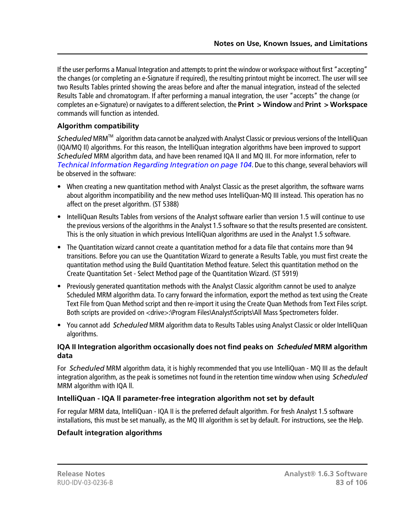If the user performs a Manual Integration and attempts to print the window or workspace without first "accepting" the changes (or completing an e-Signature if required), the resulting printout might be incorrect. The user will see two Results Tables printed showing the areas before and after the manual integration, instead of the selected Results Table and chromatogram. If after performing a manual integration, the user "accepts" the change (or completes an e-Signature) or navigates to a different selection, the **Print > Window** and **Print > Workspace** commands will function as intended.

# **Algorithm compatibility**

*Scheduled* MRM<sup>™</sup> algorithm data cannot be analyzed with Analyst Classic or previous versions of the IntelliQuan (IQA/MQ II) algorithms. For this reason, the IntelliQuan integration algorithms have been improved to support *Scheduled* MRM algorithm data, and have been renamed IQA II and MQ III. For more information, refer to *[Technical Information Regarding Integration on page 104](#page-103-0)*. Due to this change, several behaviors will be observed in the software:

- When creating a new quantitation method with Analyst Classic as the preset algorithm, the software warns about algorithm incompatibility and the new method uses IntelliQuan-MQ III instead. This operation has no affect on the preset algorithm. (ST 5388)
- IntelliQuan Results Tables from versions of the Analyst software earlier than version 1.5 will continue to use the previous versions of the algorithms in the Analyst 1.5 software so that the results presented are consistent. This is the only situation in which previous IntelliQuan algorithms are used in the Analyst 1.5 software.
- The Quantitation wizard cannot create a quantitation method for a data file that contains more than 94 transitions. Before you can use the Quantitation Wizard to generate a Results Table, you must first create the quantitation method using the Build Quantitation Method feature. Select this quantitation method on the Create Quantitation Set - Select Method page of the Quantitation Wizard. (ST 5919)
- Previously generated quantitation methods with the Analyst Classic algorithm cannot be used to analyze Scheduled MRM algorithm data. To carry forward the information, export the method as text using the Create Text File from Quan Method script and then re-import it using the Create Quan Methods from Text Files script. Both scripts are provided on <drive>:\Program Files\Analyst\Scripts\All Mass Spectrometers folder.
- You cannot add *Scheduled* MRM algorithm data to Results Tables using Analyst Classic or older IntelliQuan algorithms.

# **IQA II Integration algorithm occasionally does not find peaks on** *Scheduled* **MRM algorithm data**

For *Scheduled* MRM algorithm data, it is highly recommended that you use IntelliQuan - MQ III as the default integration algorithm, as the peak is sometimes not found in the retention time window when using *Scheduled* MRM algorithm with IQA ll.

# **IntelliQuan - IQA ll parameter-free integration algorithm not set by default**

For regular MRM data, IntelliQuan - IQA II is the preferred default algorithm. For fresh Analyst 1.5 software installations, this must be set manually, as the MQ III algorithm is set by default. For instructions, see the Help.

# **Default integration algorithms**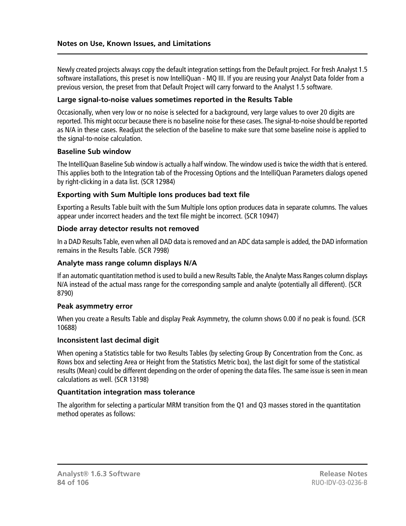Newly created projects always copy the default integration settings from the Default project. For fresh Analyst 1.5 software installations, this preset is now IntelliQuan - MQ III. If you are reusing your Analyst Data folder from a previous version, the preset from that Default Project will carry forward to the Analyst 1.5 software.

#### **Large signal-to-noise values sometimes reported in the Results Table**

Occasionally, when very low or no noise is selected for a background, very large values to over 20 digits are reported. This might occur because there is no baseline noise for these cases. The signal-to-noise should be reported as N/A in these cases. Readjust the selection of the baseline to make sure that some baseline noise is applied to the signal-to-noise calculation.

#### **Baseline Sub window**

The IntelliQuan Baseline Sub window is actually a half window. The window used is twice the width that is entered. This applies both to the Integration tab of the Processing Options and the IntelliQuan Parameters dialogs opened by right-clicking in a data list. (SCR 12984)

#### **Exporting with Sum Multiple Ions produces bad text file**

Exporting a Results Table built with the Sum Multiple Ions option produces data in separate columns. The values appear under incorrect headers and the text file might be incorrect. (SCR 10947)

#### **Diode array detector results not removed**

In a DAD Results Table, even when all DAD data is removed and an ADC data sample is added, the DAD information remains in the Results Table. (SCR 7998)

#### **Analyte mass range column displays N/A**

If an automatic quantitation method is used to build a new Results Table, the Analyte Mass Ranges column displays N/A instead of the actual mass range for the corresponding sample and analyte (potentially all different). (SCR 8790)

#### **Peak asymmetry error**

When you create a Results Table and display Peak Asymmetry, the column shows 0.00 if no peak is found. (SCR 10688)

#### **Inconsistent last decimal digit**

When opening a Statistics table for two Results Tables (by selecting Group By Concentration from the Conc. as Rows box and selecting Area or Height from the Statistics Metric box), the last digit for some of the statistical results (Mean) could be different depending on the order of opening the data files. The same issue is seen in mean calculations as well. (SCR 13198)

#### **Quantitation integration mass tolerance**

The algorithm for selecting a particular MRM transition from the Q1 and Q3 masses stored in the quantitation method operates as follows: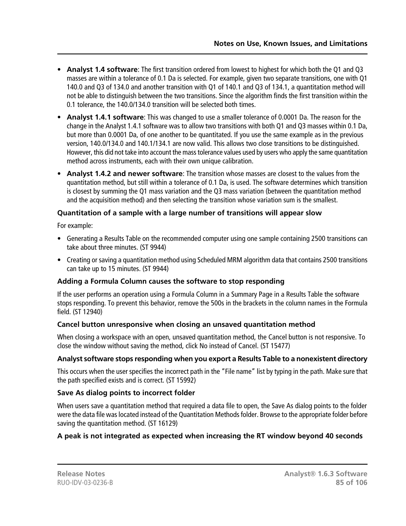- **Analyst 1.4 software**: The first transition ordered from lowest to highest for which both the Q1 and Q3 masses are within a tolerance of 0.1 Da is selected. For example, given two separate transitions, one with Q1 140.0 and Q3 of 134.0 and another transition with Q1 of 140.1 and Q3 of 134.1, a quantitation method will not be able to distinguish between the two transitions. Since the algorithm finds the first transition within the 0.1 tolerance, the 140.0/134.0 transition will be selected both times.
- **Analyst 1.4.1 software**: This was changed to use a smaller tolerance of 0.0001 Da. The reason for the change in the Analyst 1.4.1 software was to allow two transitions with both Q1 and Q3 masses within 0.1 Da, but more than 0.0001 Da, of one another to be quantitated. If you use the same example as in the previous version, 140.0/134.0 and 140.1/134.1 are now valid. This allows two close transitions to be distinguished. However, this did not take into account the mass tolerance values used by users who apply the same quantitation method across instruments, each with their own unique calibration.
- **Analyst 1.4.2 and newer software**: The transition whose masses are closest to the values from the quantitation method, but still within a tolerance of 0.1 Da, is used. The software determines which transition is closest by summing the Q1 mass variation and the Q3 mass variation (between the quantitation method and the acquisition method) and then selecting the transition whose variation sum is the smallest.

# **Quantitation of a sample with a large number of transitions will appear slow**

For example:

- Generating a Results Table on the recommended computer using one sample containing 2500 transitions can take about three minutes. (ST 9944)
- Creating or saving a quantitation method using Scheduled MRM algorithm data that contains 2500 transitions can take up to 15 minutes. (ST 9944)

#### **Adding a Formula Column causes the software to stop responding**

If the user performs an operation using a Formula Column in a Summary Page in a Results Table the software stops responding. To prevent this behavior, remove the 500s in the brackets in the column names in the Formula field. (ST 12940)

#### **Cancel button unresponsive when closing an unsaved quantitation method**

When closing a workspace with an open, unsaved quantitation method, the Cancel button is not responsive. To close the window without saving the method, click No instead of Cancel. (ST 15477)

# **Analyst software stops responding when you export a Results Table to a nonexistent directory**

This occurs when the user specifies the incorrect path in the "File name" list by typing in the path. Make sure that the path specified exists and is correct. (ST 15992)

# **Save As dialog points to incorrect folder**

When users save a quantitation method that required a data file to open, the Save As dialog points to the folder were the data file was located instead of the Quantitation Methods folder. Browse to the appropriate folder before saving the quantitation method. (ST 16129)

# **A peak is not integrated as expected when increasing the RT window beyond 40 seconds**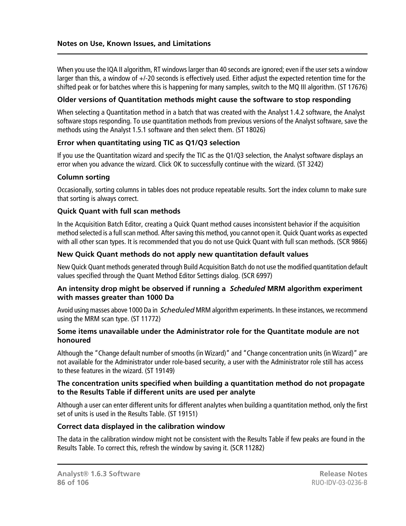When you use the IQA II algorithm, RT windows larger than 40 seconds are ignored; even if the user sets a window larger than this, a window of +/-20 seconds is effectively used. Either adjust the expected retention time for the shifted peak or for batches where this is happening for many samples, switch to the MQ III algorithm. (ST 17676)

#### **Older versions of Quantitation methods might cause the software to stop responding**

When selecting a Quantitation method in a batch that was created with the Analyst 1.4.2 software, the Analyst software stops responding. To use quantitation methods from previous versions of the Analyst software, save the methods using the Analyst 1.5.1 software and then select them. (ST 18026)

#### **Error when quantitating using TIC as Q1/Q3 selection**

If you use the Quantitation wizard and specify the TIC as the Q1/Q3 selection, the Analyst software displays an error when you advance the wizard. Click OK to successfully continue with the wizard. (ST 3242)

#### **Column sorting**

Occasionally, sorting columns in tables does not produce repeatable results. Sort the index column to make sure that sorting is always correct.

#### **Quick Quant with full scan methods**

In the Acquisition Batch Editor, creating a Quick Quant method causes inconsistent behavior if the acquisition method selected is a full scan method. After saving this method, you cannot open it. Quick Quant works as expected with all other scan types. It is recommended that you do not use Quick Quant with full scan methods. (SCR 9866)

#### **New Quick Quant methods do not apply new quantitation default values**

New Quick Quant methods generated through Build Acquisition Batch do not use the modified quantitation default values specified through the Quant Method Editor Settings dialog. (SCR 6997)

#### **An intensity drop might be observed if running a** *Scheduled* **MRM algorithm experiment with masses greater than 1000 Da**

Avoid using masses above 1000 Da in *Scheduled* MRM algorithm experiments. In these instances, we recommend using the MRM scan type. (ST 11772)

#### **Some items unavailable under the Administrator role for the Quantitate module are not honoured**

Although the "Change default number of smooths (in Wizard)" and "Change concentration units (in Wizard)" are not available for the Administrator under role-based security, a user with the Administrator role still has access to these features in the wizard. (ST 19149)

#### **The concentration units specified when building a quantitation method do not propagate to the Results Table if different units are used per analyte**

Although a user can enter different units for different analytes when building a quantitation method, only the first set of units is used in the Results Table. (ST 19151)

#### **Correct data displayed in the calibration window**

The data in the calibration window might not be consistent with the Results Table if few peaks are found in the Results Table. To correct this, refresh the window by saving it. (SCR 11282)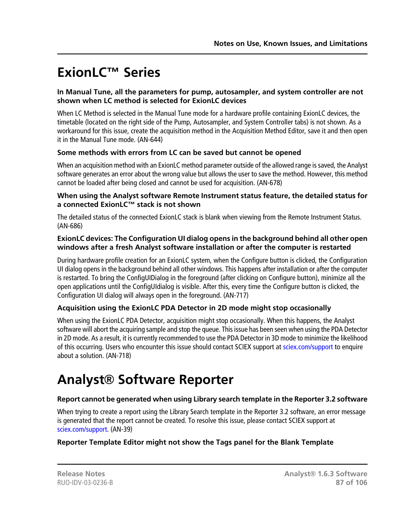# **ExionLC™ Series**

#### **In Manual Tune, all the parameters for pump, autosampler, and system controller are not shown when LC method is selected for ExionLC devices**

When LC Method is selected in the Manual Tune mode for a hardware profile containing ExionLC devices, the timetable (located on the right side of the Pump, Autosampler, and System Controller tabs) is not shown. As a workaround for this issue, create the acquisition method in the Acquisition Method Editor, save it and then open it in the Manual Tune mode. (AN-644)

# **Some methods with errors from LC can be saved but cannot be opened**

When an acquisition method with an ExionLC method parameter outside of the allowed range is saved, the Analyst software generates an error about the wrong value but allows the user to save the method. However, this method cannot be loaded after being closed and cannot be used for acquisition. (AN-678)

#### **When using the Analyst software Remote Instrument status feature, the detailed status for a connected ExionLC™ stack is not shown**

The detailed status of the connected ExionLC stack is blank when viewing from the Remote Instrument Status. (AN-686)

#### **ExionLC devices: The Configuration UI dialog opens in the background behind all other open windows after a fresh Analyst software installation or after the computer is restarted**

During hardware profile creation for an ExionLC system, when the Configure button is clicked, the Configuration UI dialog opens in the background behind all other windows. This happens after installation or after the computer is restarted. To bring the ConfigUIDialog in the foreground (after clicking on Configure button), minimize all the open applications until the ConfigUIdialog is visible. After this, every time the Configure button is clicked, the Configuration UI dialog will always open in the foreground. (AN-717)

# **Acquisition using the ExionLC PDA Detector in 2D mode might stop occasionally**

When using the ExionLC PDA Detector, acquisition might stop occasionally. When this happens, the Analyst software will abort the acquiring sample and stop the queue. This issue has been seen when using the PDA Detector in 2D mode. As a result, it is currently recommended to use the PDA Detector in 3D mode to minimize the likelihood of this occurring. Users who encounter this issue should contact SCIEX support at [sciex.com/support](http://sciex.com/support) to enquire about a solution. (AN-718)

# **Analyst® Software Reporter**

# **Report cannot be generated when using Library search template in the Reporter 3.2 software**

When trying to create a report using the Library Search template in the Reporter 3.2 software, an error message is generated that the report cannot be created. To resolve this issue, please contact SCIEX support at [sciex.com/support.](http://sciex.com/support) (AN-39)

#### **Reporter Template Editor might not show the Tags panel for the Blank Template**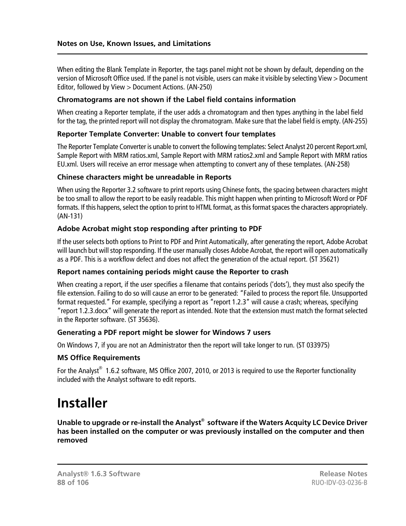When editing the Blank Template in Reporter, the tags panel might not be shown by default, depending on the version of Microsoft Office used. If the panel is not visible, users can make it visible by selecting View > Document Editor, followed by View > Document Actions. (AN-250)

#### **Chromatograms are not shown if the Label field contains information**

When creating a Reporter template, if the user adds a chromatogram and then types anything in the label field for the tag, the printed report will not display the chromatogram. Make sure that the label field is empty. (AN-255)

#### **Reporter Template Converter: Unable to convert four templates**

The Reporter Template Converter is unable to convert the following templates: Select Analyst 20 percent Report.xml, Sample Report with MRM ratios.xml, Sample Report with MRM ratios2.xml and Sample Report with MRM ratios EU.xml. Users will receive an error message when attempting to convert any of these templates. (AN-258)

#### **Chinese characters might be unreadable in Reports**

When using the Reporter 3.2 software to print reports using Chinese fonts, the spacing between characters might be too small to allow the report to be easily readable. This might happen when printing to Microsoft Word or PDF formats. If this happens, select the option to print to HTML format, as this format spaces the characters appropriately. (AN-131)

#### **Adobe Acrobat might stop responding after printing to PDF**

If the user selects both options to Print to PDF and Print Automatically, after generating the report, Adobe Acrobat will launch but will stop responding. If the user manually closes Adobe Acrobat, the report will open automatically as a PDF. This is a workflow defect and does not affect the generation of the actual report. (ST 35621)

#### **Report names containing periods might cause the Reporter to crash**

When creating a report, if the user specifies a filename that contains periods ('dots'), they must also specify the file extension. Failing to do so will cause an error to be generated: "Failed to process the report file. Unsupported format requested." For example, specifying a report as "report 1.2.3" will cause a crash; whereas, specifying "report 1.2.3.docx" will generate the report as intended. Note that the extension must match the format selected in the Reporter software. (ST 35636).

#### **Generating a PDF report might be slower for Windows 7 users**

On Windows 7, if you are not an Administrator then the report will take longer to run. (ST 033975)

#### **MS Office Requirements**

For the Analyst® 1.6.2 software, MS Office 2007, 2010, or 2013 is required to use the Reporter functionality included with the Analyst software to edit reports.

# **Installer**

**Unable to upgrade or re-install the Analyst® software if the Waters Acquity LC Device Driver has been installed on the computer or was previously installed on the computer and then removed**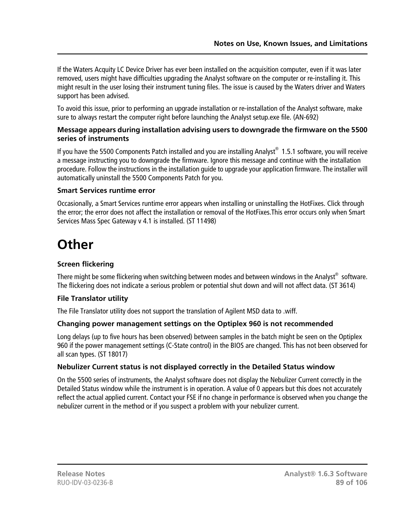If the Waters Acquity LC Device Driver has ever been installed on the acquisition computer, even if it was later removed, users might have difficulties upgrading the Analyst software on the computer or re-installing it. This might result in the user losing their instrument tuning files. The issue is caused by the Waters driver and Waters support has been advised.

To avoid this issue, prior to performing an upgrade installation or re-installation of the Analyst software, make sure to always restart the computer right before launching the Analyst setup.exe file. (AN-692)

#### **Message appears during installation advising users to downgrade the firmware on the 5500 series of instruments**

If you have the 5500 Components Patch installed and you are installing Analyst $^{\circledast}$  1.5.1 software, you will receive a message instructing you to downgrade the firmware. Ignore this message and continue with the installation procedure. Follow the instructions in the installation guide to upgrade your application firmware. The installer will automatically uninstall the 5500 Components Patch for you.

# **Smart Services runtime error**

Occasionally, a Smart Services runtime error appears when installing or uninstalling the HotFixes. Click through the error; the error does not affect the installation or removal of the HotFixes.This error occurs only when Smart Services Mass Spec Gateway v 4.1 is installed. (ST 11498)

# **Other**

# **Screen flickering**

There might be some flickering when switching between modes and between windows in the Analyst $^\circ$  software. The flickering does not indicate a serious problem or potential shut down and will not affect data. (ST 3614)

# **File Translator utility**

The File Translator utility does not support the translation of Agilent MSD data to .wiff.

# **Changing power management settings on the Optiplex 960 is not recommended**

Long delays (up to five hours has been observed) between samples in the batch might be seen on the Optiplex 960 if the power management settings (C-State control) in the BIOS are changed. This has not been observed for all scan types. (ST 18017)

#### **Nebulizer Current status is not displayed correctly in the Detailed Status window**

On the 5500 series of instruments, the Analyst software does not display the Nebulizer Current correctly in the Detailed Status window while the instrument is in operation. A value of 0 appears but this does not accurately reflect the actual applied current. Contact your FSE if no change in performance is observed when you change the nebulizer current in the method or if you suspect a problem with your nebulizer current.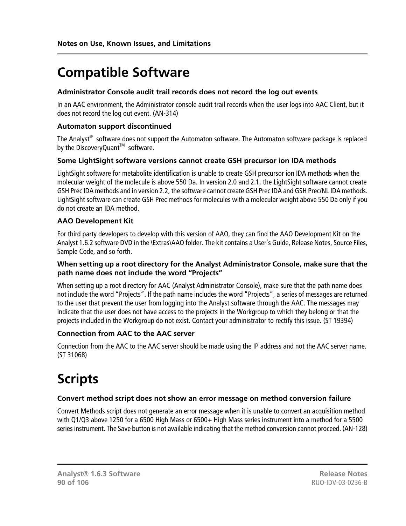# **Compatible Software**

### **Administrator Console audit trail records does not record the log out events**

In an AAC environment, the Administrator console audit trail records when the user logs into AAC Client, but it does not record the log out event. (AN-314)

# **Automaton support discontinued**

The Analyst® software does not support the Automaton software. The Automaton software package is replaced by the DiscoveryQuant<sup>™</sup> software.

# **Some LightSight software versions cannot create GSH precursor ion IDA methods**

LightSight software for metabolite identification is unable to create GSH precursor ion IDA methods when the molecular weight of the molecule is above 550 Da. In version 2.0 and 2.1, the LightSight software cannot create GSH Prec IDA methods and in version 2.2, the software cannot create GSH Prec IDA and GSH Prec/NL IDA methods. LightSight software can create GSH Prec methods for molecules with a molecular weight above 550 Da only if you do not create an IDA method.

# **AAO Development Kit**

For third party developers to develop with this version of AAO, they can find the AAO Development Kit on the Analyst 1.6.2 software DVD in the \Extras\AAO folder. The kit contains a User's Guide, Release Notes, Source Files, Sample Code, and so forth.

#### **When setting up a root directory for the Analyst Administrator Console, make sure that the path name does not include the word "Projects"**

When setting up a root directory for AAC (Analyst Administrator Console), make sure that the path name does not include the word "Projects". If the path name includes the word "Projects", a series of messages are returned to the user that prevent the user from logging into the Analyst software through the AAC. The messages may indicate that the user does not have access to the projects in the Workgroup to which they belong or that the projects included in the Workgroup do not exist. Contact your administrator to rectify this issue. (ST 19394)

#### **Connection from AAC to the AAC server**

Connection from the AAC to the AAC server should be made using the IP address and not the AAC server name. (ST 31068)

# **Scripts**

# **Convert method script does not show an error message on method conversion failure**

Convert Methods script does not generate an error message when it is unable to convert an acquisition method with Q1/Q3 above 1250 for a 6500 High Mass or 6500+ High Mass series instrument into a method for a 5500 series instrument. The Save button is not available indicating that the method conversion cannot proceed. (AN-128)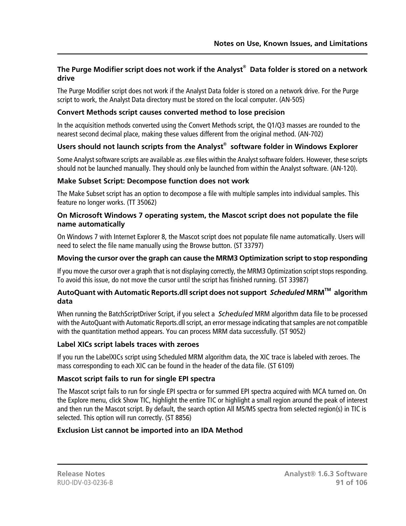#### **The Purge Modifier script does not work if the Analyst® Data folder is stored on a network drive**

The Purge Modifier script does not work if the Analyst Data folder is stored on a network drive. For the Purge script to work, the Analyst Data directory must be stored on the local computer. (AN-505)

#### **Convert Methods script causes converted method to lose precision**

In the acquisition methods converted using the Convert Methods script, the Q1/Q3 masses are rounded to the nearest second decimal place, making these values different from the original method. (AN-702)

#### **Users should not launch scripts from the Analyst® software folder in Windows Explorer**

Some Analyst software scripts are available as .exe files within the Analyst software folders. However, these scripts should not be launched manually. They should only be launched from within the Analyst software. (AN-120).

#### **Make Subset Script: Decompose function does not work**

The Make Subset script has an option to decompose a file with multiple samples into individual samples. This feature no longer works. (TT 35062)

#### **On Microsoft Windows 7 operating system, the Mascot script does not populate the file name automatically**

On Windows 7 with Internet Explorer 8, the Mascot script does not populate file name automatically. Users will need to select the file name manually using the Browse button. (ST 33797)

#### **Moving the cursor over the graph can cause the MRM3 Optimization script to stop responding**

If you move the cursor over a graph that is not displaying correctly, the MRM3 Optimization script stops responding. To avoid this issue, do not move the cursor until the script has finished running. (ST 33987)

#### **AutoQuant with Automatic Reports.dll script does not support** *Scheduled* **MRMTM algorithm data**

When running the BatchScriptDriver Script, if you select a *Scheduled* MRM algorithm data file to be processed with the AutoQuant with Automatic Reports.dll script, an error message indicating that samples are not compatible with the quantitation method appears. You can process MRM data successfully. (ST 9052)

#### **Label XICs script labels traces with zeroes**

If you run the LabelXICs script using Scheduled MRM algorithm data, the XIC trace is labeled with zeroes. The mass corresponding to each XIC can be found in the header of the data file. (ST 6109)

#### **Mascot script fails to run for single EPI spectra**

The Mascot script fails to run for single EPI spectra or for summed EPI spectra acquired with MCA turned on. On the Explore menu, click Show TIC, highlight the entire TIC or highlight a small region around the peak of interest and then run the Mascot script. By default, the search option All MS/MS spectra from selected region(s) in TIC is selected. This option will run correctly. (ST 8856)

#### **Exclusion List cannot be imported into an IDA Method**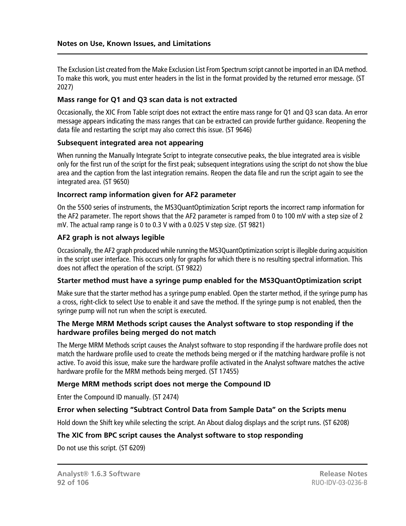The Exclusion List created from the Make Exclusion List From Spectrum script cannot be imported in an IDA method. To make this work, you must enter headers in the list in the format provided by the returned error message. (ST 2027)

#### **Mass range for Q1 and Q3 scan data is not extracted**

Occasionally, the XIC From Table script does not extract the entire mass range for Q1 and Q3 scan data. An error message appears indicating the mass ranges that can be extracted can provide further guidance. Reopening the data file and restarting the script may also correct this issue. (ST 9646)

#### **Subsequent integrated area not appearing**

When running the Manually Integrate Script to integrate consecutive peaks, the blue integrated area is visible only for the first run of the script for the first peak; subsequent integrations using the script do not show the blue area and the caption from the last integration remains. Reopen the data file and run the script again to see the integrated area. (ST 9650)

#### **Incorrect ramp information given for AF2 parameter**

On the 5500 series of instruments, the MS3QuantOptimization Script reports the incorrect ramp information for the AF2 parameter. The report shows that the AF2 parameter is ramped from 0 to 100 mV with a step size of 2 mV. The actual ramp range is 0 to 0.3 V with a 0.025 V step size. (ST 9821)

#### **AF2 graph is not always legible**

Occasionally, the AF2 graph produced while running the MS3QuantOptimization script is illegible during acquisition in the script user interface. This occurs only for graphs for which there is no resulting spectral information. This does not affect the operation of the script. (ST 9822)

#### **Starter method must have a syringe pump enabled for the MS3QuantOptimization script**

Make sure that the starter method has a syringe pump enabled. Open the starter method, if the syringe pump has a cross, right-click to select Use to enable it and save the method. If the syringe pump is not enabled, then the syringe pump will not run when the script is executed.

#### **The Merge MRM Methods script causes the Analyst software to stop responding if the hardware profiles being merged do not match**

The Merge MRM Methods script causes the Analyst software to stop responding if the hardware profile does not match the hardware profile used to create the methods being merged or if the matching hardware profile is not active. To avoid this issue, make sure the hardware profile activated in the Analyst software matches the active hardware profile for the MRM methods being merged. (ST 17455)

#### **Merge MRM methods script does not merge the Compound ID**

Enter the Compound ID manually. (ST 2474)

#### **Error when selecting "Subtract Control Data from Sample Data" on the Scripts menu**

Hold down the Shift key while selecting the script. An About dialog displays and the script runs. (ST 6208)

#### **The XIC from BPC script causes the Analyst software to stop responding**

Do not use this script. (ST 6209)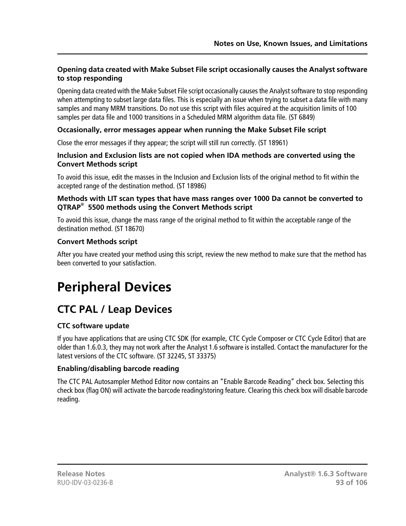# **Opening data created with Make Subset File script occasionally causes the Analyst software to stop responding**

Opening data created with the Make Subset File script occasionally causes the Analyst software to stop responding when attempting to subset large data files. This is especially an issue when trying to subset a data file with many samples and many MRM transitions. Do not use this script with files acquired at the acquisition limits of 100 samples per data file and 1000 transitions in a Scheduled MRM algorithm data file. (ST 6849)

# **Occasionally, error messages appear when running the Make Subset File script**

Close the error messages if they appear; the script will still run correctly. (ST 18961)

#### **Inclusion and Exclusion lists are not copied when IDA methods are converted using the Convert Methods script**

To avoid this issue, edit the masses in the Inclusion and Exclusion lists of the original method to fit within the accepted range of the destination method. (ST 18986)

#### **Methods with LIT scan types that have mass ranges over 1000 Da cannot be converted to QTRAP® 5500 methods using the Convert Methods script**

To avoid this issue, change the mass range of the original method to fit within the acceptable range of the destination method. (ST 18670)

#### **Convert Methods script**

After you have created your method using this script, review the new method to make sure that the method has been converted to your satisfaction.

# **Peripheral Devices**

# **CTC PAL / Leap Devices**

# **CTC software update**

If you have applications that are using CTC SDK (for example, CTC Cycle Composer or CTC Cycle Editor) that are older than 1.6.0.3, they may not work after the Analyst 1.6 software is installed. Contact the manufacturer for the latest versions of the CTC software. (ST 32245, ST 33375)

# **Enabling/disabling barcode reading**

The CTC PAL Autosampler Method Editor now contains an "Enable Barcode Reading" check box. Selecting this check box (flag ON) will activate the barcode reading/storing feature. Clearing this check box will disable barcode reading.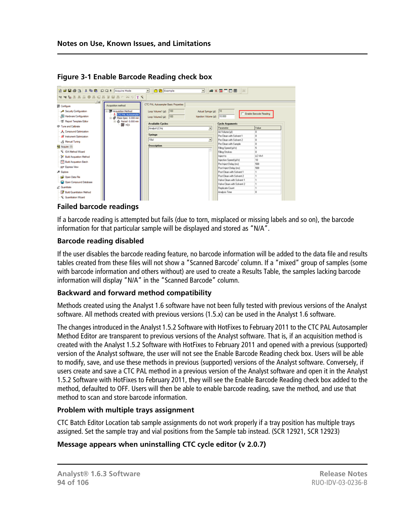| 合は日母区 X Ra B 22± Acquire Mode                                                       |                                                                                              | • B Example                                                                                |                                                         | <b>ELAKETOB</b>            |                        |
|-------------------------------------------------------------------------------------|----------------------------------------------------------------------------------------------|--------------------------------------------------------------------------------------------|---------------------------------------------------------|----------------------------|------------------------|
|                                                                                     |                                                                                              |                                                                                            |                                                         |                            |                        |
| 土耳<br><b>B</b> Configure<br>Security Configuration<br><b>Hardware Configuration</b> | Acquisition method<br>Acquisition Method<br><b>CTC PAL Autosample</b><br>Mass Spec 0.000 min | CTC PAL Autosampler Basic Properties<br>Loop Volume 1 (pl): 100<br>Loop Volume 2 (µi): 100 | Actual Syringe (p): 10<br>Injection Volume (pl): 10 000 |                            | Enable Barcode Reading |
| X Report Template Editor                                                            | +6 Period 0.000 min<br>jù,                                                                   | <b>Available Cycles</b>                                                                    |                                                         | <b>Cycle Arguments</b>     |                        |
| (B) Tune and Calibrate                                                              | $26 + 01$                                                                                    | Analyst LC-Inj                                                                             | $\blacksquare$                                          | Parameter                  | Value                  |
| <b>人</b> Compound Optimization                                                      |                                                                                              |                                                                                            |                                                         | Air Volume (ul)            | o                      |
| <b>All</b> Instrument Optimization                                                  |                                                                                              | Syringe                                                                                    |                                                         | Pre Clean with Solvent 1   |                        |
| - & Manual Tuning                                                                   |                                                                                              | 104                                                                                        | $\blacksquare$                                          | Pre Clean with Solvent 2   |                        |
|                                                                                     |                                                                                              | Description                                                                                |                                                         | Pre Clean with Sample      |                        |
| <b>Nd</b> Acquire (1)                                                               |                                                                                              |                                                                                            |                                                         | Filing Speed (pl/s)        |                        |
| C IDA Method Waard                                                                  |                                                                                              |                                                                                            |                                                         | Filing Strokes             | n                      |
| Build Acquisition Method                                                            |                                                                                              |                                                                                            |                                                         | <b>Inject to</b>           | LC VM                  |
| <b>Duid Acquistion Batch</b>                                                        |                                                                                              |                                                                                            |                                                         | Injection Speed (µ//s)     | 10                     |
| 27 Express View                                                                     |                                                                                              |                                                                                            |                                                         | Pre Inject Delay [ms]      | 500                    |
|                                                                                     |                                                                                              |                                                                                            |                                                         | Post Inject Delay Inst     | 500                    |
| All Explorer                                                                        |                                                                                              |                                                                                            |                                                         | Post Clean with Solvent 1  |                        |
| Car Open Data File                                                                  |                                                                                              |                                                                                            |                                                         | Post Clean with Solvent 2  |                        |
| Co Open Compound Database                                                           |                                                                                              |                                                                                            |                                                         | Valve Clean with Solvent 1 |                        |
| 2 Quartitate                                                                        |                                                                                              |                                                                                            |                                                         | Valve Clean with Solvent 2 |                        |
|                                                                                     |                                                                                              |                                                                                            |                                                         | Replicate Count            | $\Omega$               |
| <b>D</b> Build Quantitation Method                                                  |                                                                                              |                                                                                            |                                                         | Analysis Time              |                        |

### **Figure 3-1 Enable Barcode Reading check box**

#### **Failed barcode readings**

If a barcode reading is attempted but fails (due to torn, misplaced or missing labels and so on), the barcode information for that particular sample will be displayed and stored as "N/A".

#### **Barcode reading disabled**

If the user disables the barcode reading feature, no barcode information will be added to the data file and results tables created from these files will not show a "Scanned Barcode' column. If a "mixed" group of samples (some with barcode information and others without) are used to create a Results Table, the samples lacking barcode information will display "N/A" in the "Scanned Barcode" column.

#### **Backward and forward method compatibility**

Methods created using the Analyst 1.6 software have not been fully tested with previous versions of the Analyst software. All methods created with previous versions (1.5.x) can be used in the Analyst 1.6 software.

The changes introduced in the Analyst 1.5.2 Software with HotFixes to February 2011 to the CTC PAL Autosampler Method Editor are transparent to previous versions of the Analyst software. That is, if an acquisition method is created with the Analyst 1.5.2 Software with HotFixes to February 2011 and opened with a previous (supported) version of the Analyst software, the user will not see the Enable Barcode Reading check box. Users will be able to modify, save, and use these methods in previous (supported) versions of the Analyst software. Conversely, if users create and save a CTC PAL method in a previous version of the Analyst software and open it in the Analyst 1.5.2 Software with HotFixes to February 2011, they will see the Enable Barcode Reading check box added to the method, defaulted to OFF. Users will then be able to enable barcode reading, save the method, and use that method to scan and store barcode information.

#### **Problem with multiple trays assignment**

CTC Batch Editor Location tab sample assignments do not work properly if a tray position has multiple trays assigned. Set the sample tray and vial positions from the Sample tab instead. (SCR 12921, SCR 12923)

#### **Message appears when uninstalling CTC cycle editor (v 2.0.7)**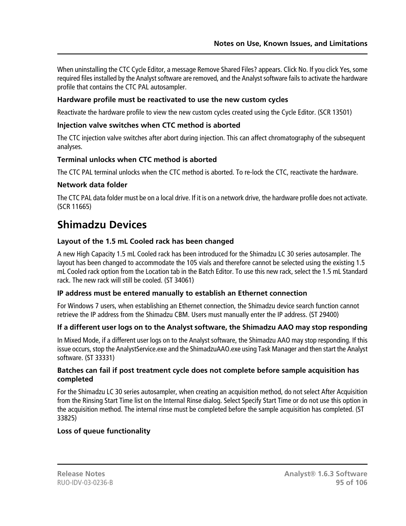When uninstalling the CTC Cycle Editor, a message Remove Shared Files? appears. Click No. If you click Yes, some required files installed by the Analyst software are removed, and the Analyst software fails to activate the hardware profile that contains the CTC PAL autosampler.

### **Hardware profile must be reactivated to use the new custom cycles**

Reactivate the hardware profile to view the new custom cycles created using the Cycle Editor. (SCR 13501)

# **Injection valve switches when CTC method is aborted**

The CTC injection valve switches after abort during injection. This can affect chromatography of the subsequent analyses.

# **Terminal unlocks when CTC method is aborted**

The CTC PAL terminal unlocks when the CTC method is aborted. To re-lock the CTC, reactivate the hardware.

#### **Network data folder**

The CTC PAL data folder must be on a local drive. If it is on a network drive, the hardware profile does not activate. (SCR 11665)

# **Shimadzu Devices**

# **Layout of the 1.5 mL Cooled rack has been changed**

A new High Capacity 1.5 mL Cooled rack has been introduced for the Shimadzu LC 30 series autosampler. The layout has been changed to accommodate the 105 vials and therefore cannot be selected using the existing 1.5 mL Cooled rack option from the Location tab in the Batch Editor. To use this new rack, select the 1.5 mL Standard rack. The new rack will still be cooled. (ST 34061)

#### **IP address must be entered manually to establish an Ethernet connection**

For Windows 7 users, when establishing an Ethernet connection, the Shimadzu device search function cannot retrieve the IP address from the Shimadzu CBM. Users must manually enter the IP address. (ST 29400)

#### **If a different user logs on to the Analyst software, the Shimadzu AAO may stop responding**

In Mixed Mode, if a different user logs on to the Analyst software, the Shimadzu AAO may stop responding. If this issue occurs, stop the AnalystService.exe and the ShimadzuAAO.exe using Task Manager and then start the Analyst software. (ST 33331)

#### **Batches can fail if post treatment cycle does not complete before sample acquisition has completed**

For the Shimadzu LC 30 series autosampler, when creating an acquisition method, do not select After Acquisition from the Rinsing Start Time list on the Internal Rinse dialog. Select Specify Start Time or do not use this option in the acquisition method. The internal rinse must be completed before the sample acquisition has completed. (ST 33825)

#### **Loss of queue functionality**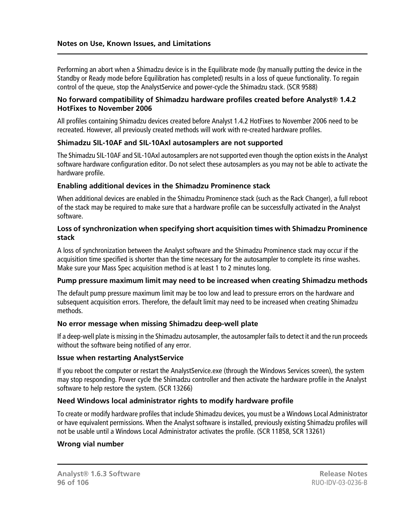Performing an abort when a Shimadzu device is in the Equilibrate mode (by manually putting the device in the Standby or Ready mode before Equilibration has completed) results in a loss of queue functionality. To regain control of the queue, stop the AnalystService and power-cycle the Shimadzu stack. (SCR 9588)

#### **No forward compatibility of Shimadzu hardware profiles created before Analyst® 1.4.2 HotFixes to November 2006**

All profiles containing Shimadzu devices created before Analyst 1.4.2 HotFixes to November 2006 need to be recreated. However, all previously created methods will work with re-created hardware profiles.

#### **Shimadzu SIL-10AF and SIL-10Axl autosamplers are not supported**

The Shimadzu SIL-10AF and SIL-10Axl autosamplers are not supported even though the option exists in the Analyst software hardware configuration editor. Do not select these autosamplers as you may not be able to activate the hardware profile.

#### **Enabling additional devices in the Shimadzu Prominence stack**

When additional devices are enabled in the Shimadzu Prominence stack (such as the Rack Changer), a full reboot of the stack may be required to make sure that a hardware profile can be successfully activated in the Analyst software.

#### **Loss of synchronization when specifying short acquisition times with Shimadzu Prominence stack**

A loss of synchronization between the Analyst software and the Shimadzu Prominence stack may occur if the acquisition time specified is shorter than the time necessary for the autosampler to complete its rinse washes. Make sure your Mass Spec acquisition method is at least 1 to 2 minutes long.

#### **Pump pressure maximum limit may need to be increased when creating Shimadzu methods**

The default pump pressure maximum limit may be too low and lead to pressure errors on the hardware and subsequent acquisition errors. Therefore, the default limit may need to be increased when creating Shimadzu methods.

#### **No error message when missing Shimadzu deep-well plate**

If a deep-well plate is missing in the Shimadzu autosampler, the autosampler fails to detect it and the run proceeds without the software being notified of any error.

#### **Issue when restarting AnalystService**

If you reboot the computer or restart the AnalystService.exe (through the Windows Services screen), the system may stop responding. Power cycle the Shimadzu controller and then activate the hardware profile in the Analyst software to help restore the system. (SCR 13266)

#### **Need Windows local administrator rights to modify hardware profile**

To create or modify hardware profiles that include Shimadzu devices, you must be a Windows Local Administrator or have equivalent permissions. When the Analyst software is installed, previously existing Shimadzu profiles will not be usable until a Windows Local Administrator activates the profile. (SCR 11858, SCR 13261)

#### **Wrong vial number**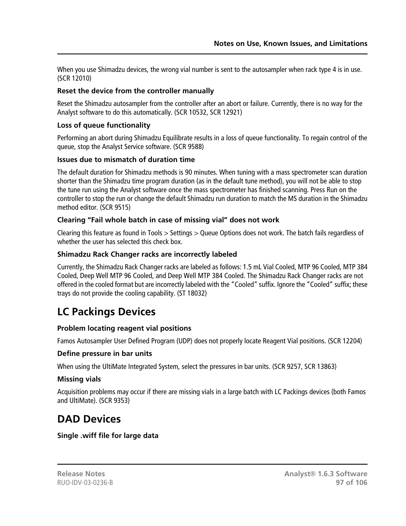When you use Shimadzu devices, the wrong vial number is sent to the autosampler when rack type 4 is in use. (SCR 12010)

### **Reset the device from the controller manually**

Reset the Shimadzu autosampler from the controller after an abort or failure. Currently, there is no way for the Analyst software to do this automatically. (SCR 10532, SCR 12921)

# **Loss of queue functionality**

Performing an abort during Shimadzu Equilibrate results in a loss of queue functionality. To regain control of the queue, stop the Analyst Service software. (SCR 9588)

# **Issues due to mismatch of duration time**

The default duration for Shimadzu methods is 90 minutes. When tuning with a mass spectrometer scan duration shorter than the Shimadzu time program duration (as in the default tune method), you will not be able to stop the tune run using the Analyst software once the mass spectrometer has finished scanning. Press Run on the controller to stop the run or change the default Shimadzu run duration to match the MS duration in the Shimadzu method editor. (SCR 9515)

#### **Clearing "Fail whole batch in case of missing vial" does not work**

Clearing this feature as found in Tools > Settings > Queue Options does not work. The batch fails regardless of whether the user has selected this check box.

# **Shimadzu Rack Changer racks are incorrectly labeled**

Currently, the Shimadzu Rack Changer racks are labeled as follows: 1.5 mL Vial Cooled, MTP 96 Cooled, MTP 384 Cooled, Deep Well MTP 96 Cooled, and Deep Well MTP 384 Cooled. The Shimadzu Rack Changer racks are not offered in the cooled format but are incorrectly labeled with the "Cooled" suffix. Ignore the "Cooled" suffix; these trays do not provide the cooling capability. (ST 18032)

# **LC Packings Devices**

# **Problem locating reagent vial positions**

Famos Autosampler User Defined Program (UDP) does not properly locate Reagent Vial positions. (SCR 12204)

#### **Define pressure in bar units**

When using the UltiMate Integrated System, select the pressures in bar units. (SCR 9257, SCR 13863)

#### **Missing vials**

Acquisition problems may occur if there are missing vials in a large batch with LC Packings devices (both Famos and UltiMate). (SCR 9353)

# **DAD Devices**

#### **Single .wiff file for large data**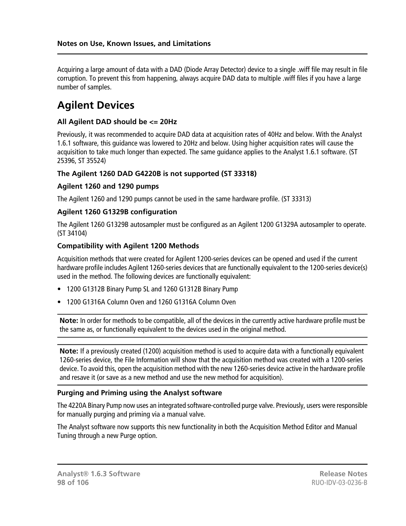Acquiring a large amount of data with a DAD (Diode Array Detector) device to a single .wiff file may result in file corruption. To prevent this from happening, always acquire DAD data to multiple .wiff files if you have a large number of samples.

# **Agilent Devices**

#### **All Agilent DAD should be <= 20Hz**

Previously, it was recommended to acquire DAD data at acquisition rates of 40Hz and below. With the Analyst 1.6.1 software, this guidance was lowered to 20Hz and below. Using higher acquisition rates will cause the acquisition to take much longer than expected. The same guidance applies to the Analyst 1.6.1 software. (ST 25396, ST 35524)

#### **The Agilent 1260 DAD G4220B is not supported (ST 33318)**

#### **Agilent 1260 and 1290 pumps**

The Agilent 1260 and 1290 pumps cannot be used in the same hardware profile. (ST 33313)

#### **Agilent 1260 G1329B configuration**

The Agilent 1260 G1329B autosampler must be configured as an Agilent 1200 G1329A autosampler to operate. (ST 34104)

#### **Compatibility with Agilent 1200 Methods**

Acquisition methods that were created for Agilent 1200-series devices can be opened and used if the current hardware profile includes Agilent 1260-series devices that are functionally equivalent to the 1200-series device(s) used in the method. The following devices are functionally equivalent:

- 1200 G1312B Binary Pump SL and 1260 G1312B Binary Pump
- 1200 G1316A Column Oven and 1260 G1316A Column Oven

**Note:** In order for methods to be compatible, all of the devices in the currently active hardware profile must be the same as, or functionally equivalent to the devices used in the original method.

**Note:** If a previously created (1200) acquisition method is used to acquire data with a functionally equivalent 1260-series device, the File Information will show that the acquisition method was created with a 1200-series device. To avoid this, open the acquisition method with the new 1260-series device active in the hardware profile and resave it (or save as a new method and use the new method for acquisition).

#### **Purging and Priming using the Analyst software**

The 4220A Binary Pump now uses an integrated software-controlled purge valve. Previously, users were responsible for manually purging and priming via a manual valve.

The Analyst software now supports this new functionality in both the Acquisition Method Editor and Manual Tuning through a new Purge option.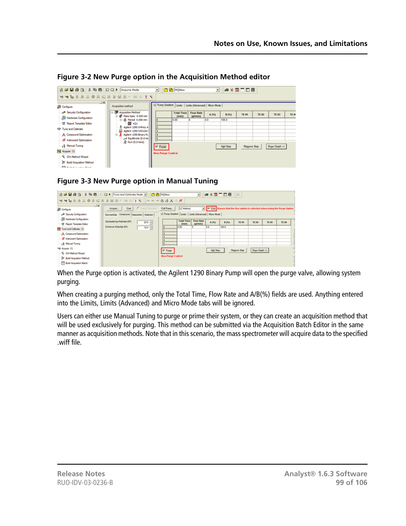| <b>合成日毎日 ※中国 2011 Acquire Mode</b><br>******************* |                                                           |                                                            | <b>C &amp; MQNew</b> |                               |       | <b>J</b> # X <b>E</b> T D H |             |              |               |      |
|-----------------------------------------------------------|-----------------------------------------------------------|------------------------------------------------------------|----------------------|-------------------------------|-------|-----------------------------|-------------|--------------|---------------|------|
| $\mathbb{R}$ $\mathbb{R}$<br><b>图 Configure</b>           | Acquisition method                                        | LC Pump Gradient   Limits   Limits (Advanced)   Micro Mode |                      |                               |       |                             |             |              |               |      |
| Security Configuration                                    | <b>E-M</b> Acquisition Method<br>S @ Mass Spec 0.000 min  |                                                            | <b>Total Time</b>    | <b>Flow Rate</b><br>(pil/min) | A (%) | <b>B (%)</b>                | TE #1       | <b>TE #2</b> | TE #3         | TE # |
| Hardware Configuration                                    | B & Period 0.000 min                                      |                                                            | (min)<br>0.00        |                               | 0.0   | 100.0                       |             |              |               |      |
| - X Report Template Editor                                | $-20 + 01$                                                |                                                            |                      |                               |       |                             |             |              |               |      |
| 4甲 Tune and Calbrate                                      | Aglent 1290 Infinity A                                    |                                                            |                      |                               |       |                             |             |              |               |      |
| A Compound Optimization                                   | 22 Aglent 1290 G4212A1<br><b>B.</b> Aglent 1290 Binary Pu | L                                                          |                      |                               |       |                             |             |              |               |      |
| A Instrument Optimization                                 | art Equilibrate (0.0 mi                                   |                                                            |                      |                               |       |                             |             |              |               |      |
|                                                           | $\frac{1}{\sqrt{2}}$ Run (0.0 mins)                       |                                                            |                      |                               |       |                             |             |              |               |      |
| 8 Manual Tuning                                           |                                                           | <b>F</b> Purse                                             |                      |                               |       | Add Step                    | Remove Step |              | Show Graph >> |      |
| Pd Acquire (1)                                            |                                                           | <b>Hew Purge Control</b>                                   |                      |                               |       |                             |             |              |               |      |
| V: IDA Method Wizard                                      |                                                           |                                                            |                      |                               |       |                             |             |              |               |      |
| Build Acquisition Method<br><b>ERA ALLANDRO BALL</b>      |                                                           |                                                            |                      |                               |       |                             |             |              |               |      |

#### **Figure 3-2 New Purge option in the Acquisition Method editor**

# **Figure 3-3 New Purge option in Manual Tuning**

|                                                                                                                      | <b>合成日母区 X Ra 商 二〇土 Tune and Calibrate Mode &gt; □西 MONew</b>                  |                                                                         |                                                        |                               |          | <b>ELEXANDER</b>                                                          |             |               |       |       |   |
|----------------------------------------------------------------------------------------------------------------------|--------------------------------------------------------------------------------|-------------------------------------------------------------------------|--------------------------------------------------------|-------------------------------|----------|---------------------------------------------------------------------------|-------------|---------------|-------|-------|---|
|                                                                                                                      |                                                                                |                                                                         |                                                        |                               |          |                                                                           |             |               |       |       |   |
| $x \mid x$<br><b>BB</b> Configure<br>Security Configuration<br><b>Hardware Configuration</b>                         | F Renp Parameter<br>Stat<br>Acquie.<br>Source/Gas Compound Resolution Detector | Edi Ranp.<br>LC Pump Gradient   Limits   Limits (Advanced)   Micro Mode | LC Method                                              |                               |          | IF Use Ensure that the Use option is selected when using the Purge Option |             |               |       |       |   |
| CE Report Template Editor                                                                                            | Declustering Potential (DP)<br>200 수                                           |                                                                         | <b>Total Time</b><br><b><i><u><b>Omină</b></u></i></b> | <b>Flow Rate</b><br>dail/min) | A (%)    | 8 (%)                                                                     | TE #1       | <b>TE #2</b>  | TE #3 | TE 84 |   |
| FIR Tune and Calbrate (1)<br>A Compound Optimization<br><b>N</b> Instrument Optimization<br>- ¿§ Manual Tuning       | Entrance Potential (EP)<br>100 중                                               |                                                                         | 0.00                                                   |                               | 0.0      | 100.0                                                                     |             |               |       |       |   |
| Rd Acquire (T)<br><b>V DA Method Ward</b><br><b>Cf</b> Build Acquisition Method<br><b>TT</b> Build Acquisition Batch |                                                                                | F Purge<br><b>Hew Purge Control</b>                                     |                                                        |                               | Add Step |                                                                           | Regove Step | Show Graph 33 |       |       | ٠ |

When the Purge option is activated, the Agilent 1290 Binary Pump will open the purge valve, allowing system purging.

When creating a purging method, only the Total Time, Flow Rate and A/B(%) fields are used. Anything entered into the Limits, Limits (Advanced) and Micro Mode tabs will be ignored.

Users can either use Manual Tuning to purge or prime their system, or they can create an acquisition method that will be used exclusively for purging. This method can be submitted via the Acquisition Batch Editor in the same manner as acquisition methods. Note that in this scenario, the mass spectrometer will acquire data to the specified .wiff file.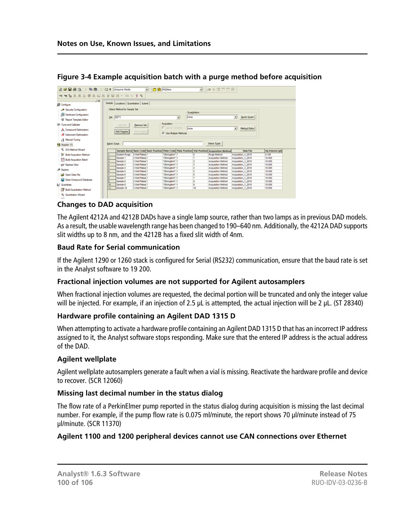| 富盛日盛区 ※ 取商 2 Ω± Acquire Mode                       |                      |                              | $\blacksquare$                             | <b>O B</b> MONew                                                                                                |              | ▼ - 8 5 0 0 0 円           |                     |                           |
|----------------------------------------------------|----------------------|------------------------------|--------------------------------------------|-----------------------------------------------------------------------------------------------------------------|--------------|---------------------------|---------------------|---------------------------|
| ▼▼••• A A A B A A A A A A A A A A F F Y            |                      |                              |                                            |                                                                                                                 |              |                           |                     |                           |
| 图图<br><b>BB</b> Configure                          |                      |                              | Sample   Locations   Quantitation   Submit |                                                                                                                 |              |                           |                     |                           |
| Security Configuration                             |                      | Select Method for Sample Set |                                            |                                                                                                                 |              |                           |                     |                           |
|                                                    |                      |                              |                                            |                                                                                                                 | Quantitation |                           |                     |                           |
| Hardware Configuration                             |                      | Set: SET1                    |                                            | ٠                                                                                                               | Inone        |                           | - Quick Quart       |                           |
| S Report Template Editor                           |                      |                              |                                            |                                                                                                                 |              |                           |                     |                           |
| 18 Tune and Calbrate                               |                      | Add Set                      | <b>Benove Set</b>                          | <b>Acquisition</b>                                                                                              |              |                           |                     |                           |
| <b>A</b> Compound Optimization                     |                      | Add Samples                  |                                            | Use as Template                                                                                                 | Inone        |                           | Method Editor<br>◾  |                           |
|                                                    |                      |                              | Del Samples                                | V Use Multiple Methods                                                                                          |              |                           |                     |                           |
| All Instrument Optimization                        |                      |                              |                                            |                                                                                                                 |              |                           |                     |                           |
| - <sub>C</sub> S Manual Tuning                     |                      |                              |                                            |                                                                                                                 |              |                           |                     |                           |
|                                                    | <b>Batch Script:</b> |                              |                                            |                                                                                                                 |              | Select Script             |                     |                           |
| C IDA Method Waard                                 |                      |                              |                                            |                                                                                                                 |              |                           | Data File           |                           |
| <b>M</b> Build Acquisition Method                  | н                    | <b>System Purge</b>          | 2 Well Plates 1                            | Sample Name Rack Code Rack Position Plate Code Plate Position Vial Position Acquisition Method<br>*384Aglent* 1 |              | Purge Method              | Acquisition 1, 2010 | 0, 100                    |
|                                                    | 2                    | Sample 1                     | 2 Well Plates 1                            | *384Aglent" 1                                                                                                   |              | <b>Acquisition Method</b> | Acquisition 1, 2010 | Inj.Volume (pl)<br>10,000 |
| <b>Build Acquisition Batch</b>                     | ь                    | Sample 2                     | 2 Well Plates 1                            | *354Aglent* 1                                                                                                   |              | <b>Acquistion Method</b>  | Acquisition 1 2010  | 10,000                    |
| 27 Elevens View                                    | и                    | Sample 3                     | 2 Well Plates 1                            | *384Aglent" 1                                                                                                   |              | <b>Acquisition Method</b> | Acquisition 1, 2010 | 10,000                    |
|                                                    | ß.                   | Sample 4                     | 2 Well Plates 1                            | *384Aolent" 1                                                                                                   |              | <b>Acquisition Method</b> | Acquisition 1, 2010 | 10,000                    |
|                                                    | c                    | Sample 5                     | 2 Well Plates 1                            | *354Aglent" 1                                                                                                   |              | <b>Acquisition Method</b> | Acquisition 1, 2010 | 10,000                    |
| Call: Open Data File                               | π                    | Sample 6                     | 2 Well Plates 1                            | *384Aglent" 1                                                                                                   |              | <b>Acquisition Method</b> | Acquisition_1_2010  | 10,000                    |
|                                                    | в                    | Sample 7                     | 2 Well Plates 1                            | *384Aolenn 1                                                                                                    |              | <b>Acquisition Method</b> | Acquisition 1, 2010 | 10,000                    |
| C Open Compound Database                           | <sup>3</sup>         | Sample 8                     | 2 Well Plates 1                            | *384Aglent" 1                                                                                                   |              | <b>Acquisition Method</b> | Acquisition 1, 2010 | 10,000                    |
| <b>Pd</b> Acquire (1)<br>& Explore<br>Z Quantitate | 10                   | Sample 9                     | 2 Well Plates 1                            | *384Aglent" 1                                                                                                   | 19           | <b>Acquisition Method</b> | Acquisition_1_2010  | 10.000                    |

#### **Figure 3-4 Example acquisition batch with a purge method before acquisition**

# **Changes to DAD acquisition**

The Agilent 4212A and 4212B DADs have a single lamp source, rather than two lamps as in previous DAD models. As a result, the usable wavelength range has been changed to 190–640 nm. Additionally, the 4212A DAD supports slit widths up to 8 nm, and the 4212B has a fixed slit width of 4nm.

#### **Baud Rate for Serial communication**

If the Agilent 1290 or 1260 stack is configured for Serial (RS232) communication, ensure that the baud rate is set in the Analyst software to 19 200.

#### **Fractional injection volumes are not supported for Agilent autosamplers**

When fractional injection volumes are requested, the decimal portion will be truncated and only the integer value will be injected. For example, if an injection of 2.5 μL is attempted, the actual injection will be 2 μL. (ST 28340)

#### **Hardware profile containing an Agilent DAD 1315 D**

When attempting to activate a hardware profile containing an Agilent DAD 1315 D that has an incorrect IP address assigned to it, the Analyst software stops responding. Make sure that the entered IP address is the actual address of the DAD.

#### **Agilent wellplate**

Agilent wellplate autosamplers generate a fault when a vial is missing. Reactivate the hardware profile and device to recover. (SCR 12060)

#### **Missing last decimal number in the status dialog**

The flow rate of a PerkinElmer pump reported in the status dialog during acquisition is missing the last decimal number. For example, if the pump flow rate is 0.075 ml/minute, the report shows 70 μl/minute instead of 75 μl/minute. (SCR 11370)

#### **Agilent 1100 and 1200 peripheral devices cannot use CAN connections over Ethernet**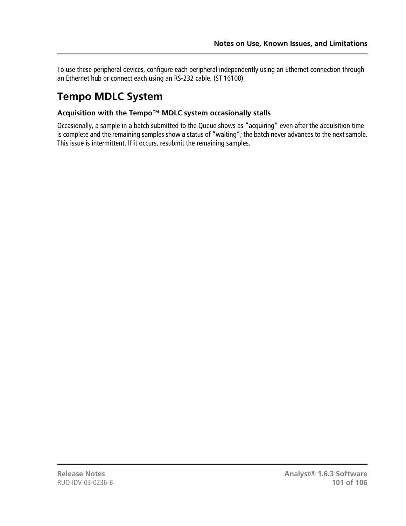To use these peripheral devices, configure each peripheral independently using an Ethernet connection through an Ethernet hub or connect each using an RS-232 cable. (ST 16108)

# **Tempo MDLC System**

# **Acquisition with the Tempo™ MDLC system occasionally stalls**

Occasionally, a sample in a batch submitted to the Queue shows as "acquiring" even after the acquisition time is complete and the remaining samples show a status of "waiting"; the batch never advances to the next sample. This issue is intermittent. If it occurs, resubmit the remaining samples.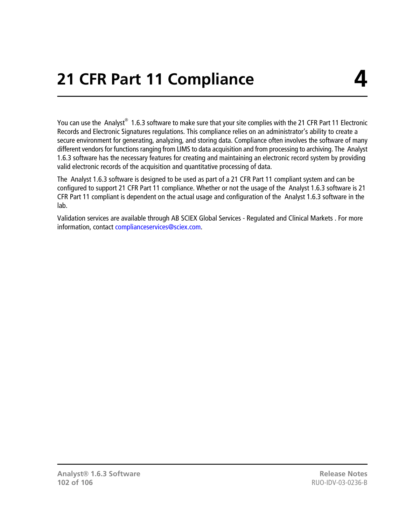You can use the Analyst $^{\circledast}$  1.6.3 software to make sure that your site complies with the 21 CFR Part 11 Electronic Records and Electronic Signatures regulations. This compliance relies on an administrator's ability to create a secure environment for generating, analyzing, and storing data. Compliance often involves the software of many different vendors for functions ranging from LIMS to data acquisition and from processing to archiving. The Analyst 1.6.3 software has the necessary features for creating and maintaining an electronic record system by providing valid electronic records of the acquisition and quantitative processing of data.

The Analyst 1.6.3 software is designed to be used as part of a 21 CFR Part 11 compliant system and can be configured to support 21 CFR Part 11 compliance. Whether or not the usage of the Analyst 1.6.3 software is 21 CFR Part 11 compliant is dependent on the actual usage and configuration of the Analyst 1.6.3 software in the lab.

Validation services are available through AB SCIEX Global Services - Regulated and Clinical Markets . For more information, contact [complianceservices@sciex.com.](mailto:complianceservices@sciex.com)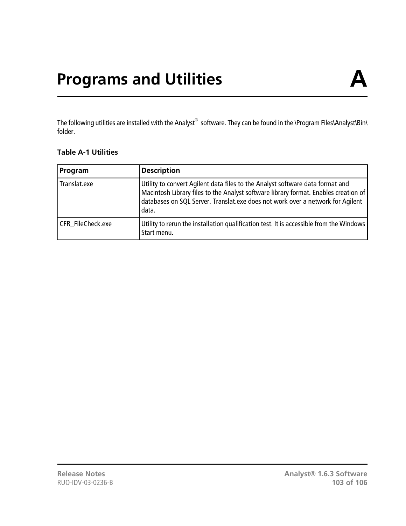The following utilities are installed with the Analyst® software. They can be found in the \Program Files\Analyst\Bin\ folder.

#### **Table A-1 Utilities**

| Program           | <b>Description</b>                                                                                                                                                                                                                                              |
|-------------------|-----------------------------------------------------------------------------------------------------------------------------------------------------------------------------------------------------------------------------------------------------------------|
| Translat.exe      | Utility to convert Agilent data files to the Analyst software data format and<br>Macintosh Library files to the Analyst software library format. Enables creation of<br>databases on SQL Server. Translat.exe does not work over a network for Agilent<br>data. |
| CFR FileCheck.exe | Utility to rerun the installation qualification test. It is accessible from the Windows<br>Start menu.                                                                                                                                                          |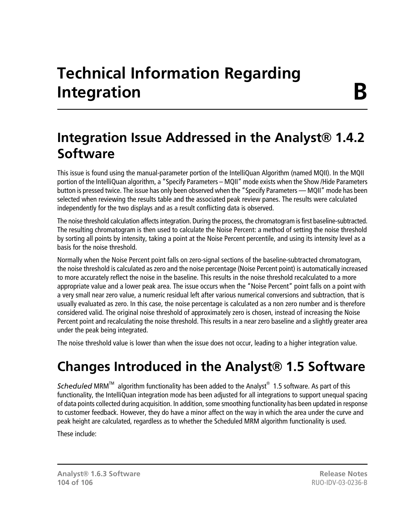# <span id="page-103-0"></span>**Integration Issue Addressed in the Analyst® 1.4.2 Software**

This issue is found using the manual-parameter portion of the IntelliQuan Algorithm (named MQII). In the MQII portion of the IntelliQuan algorithm, a "Specify Parameters – MQII" mode exists when the Show /Hide Parameters button is pressed twice. The issue has only been observed when the "Specify Parameters — MQII" mode has been selected when reviewing the results table and the associated peak review panes. The results were calculated independently for the two displays and as a result conflicting data is observed.

The noise threshold calculation affects integration. During the process, the chromatogram is first baseline-subtracted. The resulting chromatogram is then used to calculate the Noise Percent: a method of setting the noise threshold by sorting all points by intensity, taking a point at the Noise Percent percentile, and using its intensity level as a basis for the noise threshold.

Normally when the Noise Percent point falls on zero-signal sections of the baseline-subtracted chromatogram, the noise threshold is calculated as zero and the noise percentage (Noise Percent point) is automatically increased to more accurately reflect the noise in the baseline. This results in the noise threshold recalculated to a more appropriate value and a lower peak area. The issue occurs when the "Noise Percent" point falls on a point with a very small near zero value, a numeric residual left after various numerical conversions and subtraction, that is usually evaluated as zero. In this case, the noise percentage is calculated as a non zero number and is therefore considered valid. The original noise threshold of approximately zero is chosen, instead of increasing the Noise Percent point and recalculating the noise threshold. This results in a near zero baseline and a slightly greater area under the peak being integrated.

The noise threshold value is lower than when the issue does not occur, leading to a higher integration value.

# **Changes Introduced in the Analyst® 1.5 Software**

Scheduled MRM<sup>™</sup> algorithm functionality has been added to the Analyst<sup>®</sup> 1.5 software. As part of this functionality, the IntelliQuan integration mode has been adjusted for all integrations to support unequal spacing of data points collected during acquisition. In addition, some smoothing functionality has been updated in response to customer feedback. However, they do have a minor affect on the way in which the area under the curve and peak height are calculated, regardless as to whether the Scheduled MRM algorithm functionality is used.

These include: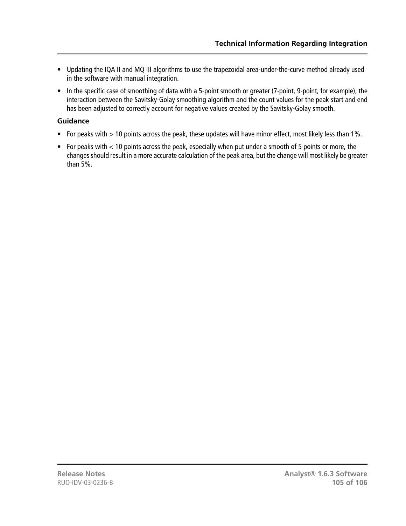- Updating the IQA II and MQ III algorithms to use the trapezoidal area-under-the-curve method already used in the software with manual integration.
- In the specific case of smoothing of data with a 5-point smooth or greater (7-point, 9-point, for example), the interaction between the Savitsky-Golay smoothing algorithm and the count values for the peak start and end has been adjusted to correctly account for negative values created by the Savitsky-Golay smooth.

# **Guidance**

- For peaks with > 10 points across the peak, these updates will have minor effect, most likely less than 1%.
- For peaks with < 10 points across the peak, especially when put under a smooth of 5 points or more, the changes should result in a more accurate calculation of the peak area, but the change will most likely be greater than 5%.